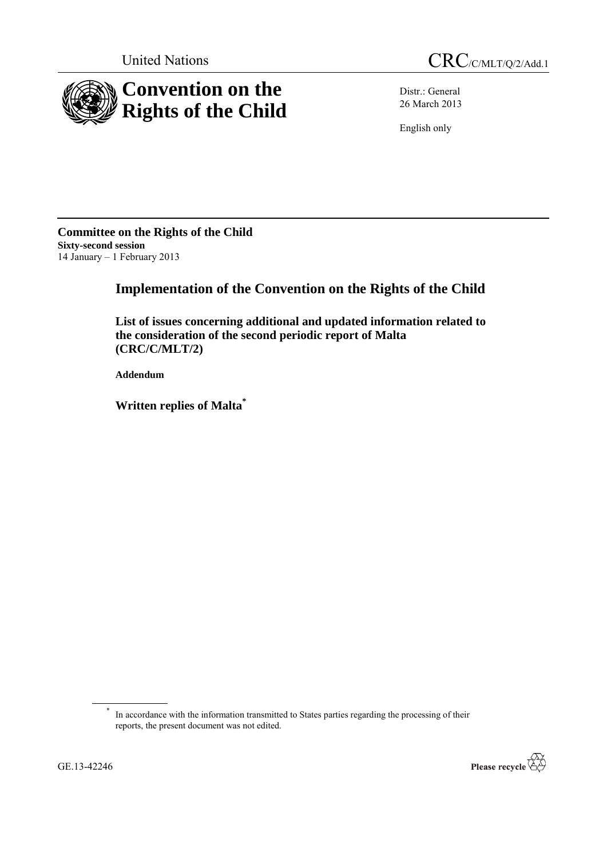

Distr.: General 26 March 2013

English only

**Committee on the Rights of the Child Sixty-second session** 14 January – 1 February 2013

# **Implementation of the Convention on the Rights of the Child**

**List of issues concerning additional and updated information related to the consideration of the second periodic report of Malta (CRC/C/MLT/2)**

**Addendum**

**Written replies of Malta\***

\* In accordance with the information transmitted to States parties regarding the processing of their reports, the present document was not edited.

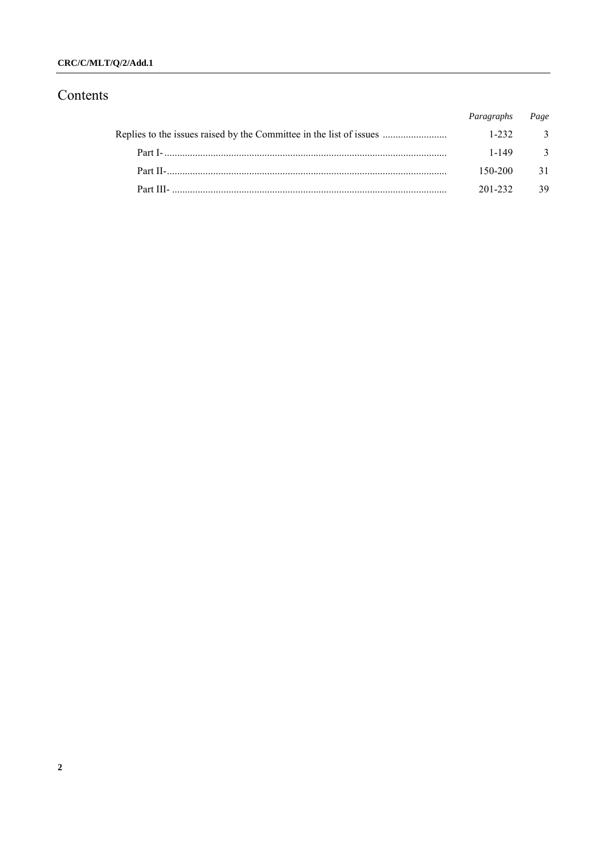# $\text{CRC/C/MLT}/\text{Q}/\text{2}/\text{Add}.1$

# Contents

|                                                                     | Paragraphs Page |                         |
|---------------------------------------------------------------------|-----------------|-------------------------|
| Replies to the issues raised by the Committee in the list of issues | $1 - 232$       | $\overline{\mathbf{3}}$ |
|                                                                     | 1-149           | $\overline{\mathbf{3}}$ |
|                                                                     | 150-200         | 31                      |
|                                                                     | 201-232         | 39                      |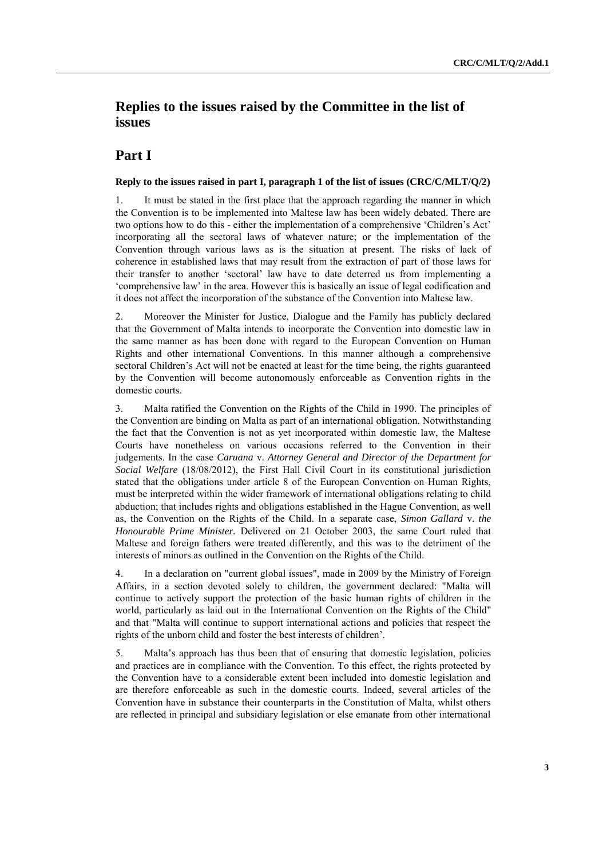# **Replies to the issues raised by the Committee in the list of issues**

# **Part I**

# **Reply to the issues raised in part I, paragraph 1 of the list of issues (CRC/C/MLT/Q/2)**

1. It must be stated in the first place that the approach regarding the manner in which the Convention is to be implemented into Maltese law has been widely debated. There are two options how to do this - either the implementation of a comprehensive "Children"s Act" incorporating all the sectoral laws of whatever nature; or the implementation of the Convention through various laws as is the situation at present. The risks of lack of coherence in established laws that may result from the extraction of part of those laws for their transfer to another "sectoral" law have to date deterred us from implementing a "comprehensive law" in the area. However this is basically an issue of legal codification and it does not affect the incorporation of the substance of the Convention into Maltese law.

2. Moreover the Minister for Justice, Dialogue and the Family has publicly declared that the Government of Malta intends to incorporate the Convention into domestic law in the same manner as has been done with regard to the European Convention on Human Rights and other international Conventions. In this manner although a comprehensive sectoral Children's Act will not be enacted at least for the time being, the rights guaranteed by the Convention will become autonomously enforceable as Convention rights in the domestic courts.

3. Malta ratified the Convention on the Rights of the Child in 1990. The principles of the Convention are binding on Malta as part of an international obligation. Notwithstanding the fact that the Convention is not as yet incorporated within domestic law, the Maltese Courts have nonetheless on various occasions referred to the Convention in their judgements. In the case *Caruana* v. *Attorney General and Director of the Department for Social Welfare* (18/08/2012), the First Hall Civil Court in its constitutional jurisdiction stated that the obligations under article 8 of the European Convention on Human Rights, must be interpreted within the wider framework of international obligations relating to child abduction; that includes rights and obligations established in the Hague Convention, as well as, the Convention on the Rights of the Child. In a separate case, *Simon Gallard* v. *the Honourable Prime Minister.* Delivered on 21 October 2003, the same Court ruled that Maltese and foreign fathers were treated differently, and this was to the detriment of the interests of minors as outlined in the Convention on the Rights of the Child.

4. In a declaration on "current global issues", made in 2009 by the Ministry of Foreign Affairs, in a section devoted solely to children, the government declared: "Malta will continue to actively support the protection of the basic human rights of children in the world, particularly as laid out in the International Convention on the Rights of the Child" and that "Malta will continue to support international actions and policies that respect the rights of the unborn child and foster the best interests of children".

5. Malta"s approach has thus been that of ensuring that domestic legislation, policies and practices are in compliance with the Convention. To this effect, the rights protected by the Convention have to a considerable extent been included into domestic legislation and are therefore enforceable as such in the domestic courts. Indeed, several articles of the Convention have in substance their counterparts in the Constitution of Malta, whilst others are reflected in principal and subsidiary legislation or else emanate from other international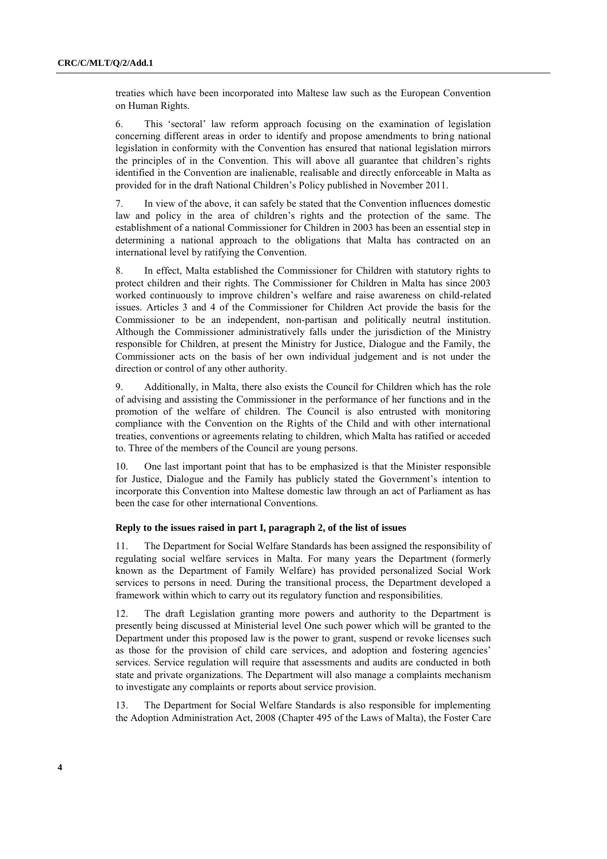treaties which have been incorporated into Maltese law such as the European Convention on Human Rights.

6. This "sectoral" law reform approach focusing on the examination of legislation concerning different areas in order to identify and propose amendments to bring national legislation in conformity with the Convention has ensured that national legislation mirrors the principles of in the Convention. This will above all guarantee that children"s rights identified in the Convention are inalienable, realisable and directly enforceable in Malta as provided for in the draft National Children"s Policy published in November 2011.

7. In view of the above, it can safely be stated that the Convention influences domestic law and policy in the area of children"s rights and the protection of the same. The establishment of a national Commissioner for Children in 2003 has been an essential step in determining a national approach to the obligations that Malta has contracted on an international level by ratifying the Convention.

8. In effect, Malta established the Commissioner for Children with statutory rights to protect children and their rights. The Commissioner for Children in Malta has since 2003 worked continuously to improve children"s welfare and raise awareness on child-related issues. Articles 3 and 4 of the Commissioner for Children Act provide the basis for the Commissioner to be an independent, non-partisan and politically neutral institution. Although the Commissioner administratively falls under the jurisdiction of the Ministry responsible for Children, at present the Ministry for Justice, Dialogue and the Family, the Commissioner acts on the basis of her own individual judgement and is not under the direction or control of any other authority.

9. Additionally, in Malta, there also exists the Council for Children which has the role of advising and assisting the Commissioner in the performance of her functions and in the promotion of the welfare of children. The Council is also entrusted with monitoring compliance with the Convention on the Rights of the Child and with other international treaties, conventions or agreements relating to children, which Malta has ratified or acceded to. Three of the members of the Council are young persons.

10. One last important point that has to be emphasized is that the Minister responsible for Justice, Dialogue and the Family has publicly stated the Government's intention to incorporate this Convention into Maltese domestic law through an act of Parliament as has been the case for other international Conventions.

### **Reply to the issues raised in part I, paragraph 2, of the list of issues**

11. The Department for Social Welfare Standards has been assigned the responsibility of regulating social welfare services in Malta. For many years the Department (formerly known as the Department of Family Welfare) has provided personalized Social Work services to persons in need. During the transitional process, the Department developed a framework within which to carry out its regulatory function and responsibilities.

12. The draft Legislation granting more powers and authority to the Department is presently being discussed at Ministerial level One such power which will be granted to the Department under this proposed law is the power to grant, suspend or revoke licenses such as those for the provision of child care services, and adoption and fostering agencies" services. Service regulation will require that assessments and audits are conducted in both state and private organizations. The Department will also manage a complaints mechanism to investigate any complaints or reports about service provision.

13. The Department for Social Welfare Standards is also responsible for implementing the Adoption Administration Act, 2008 (Chapter 495 of the Laws of Malta), the Foster Care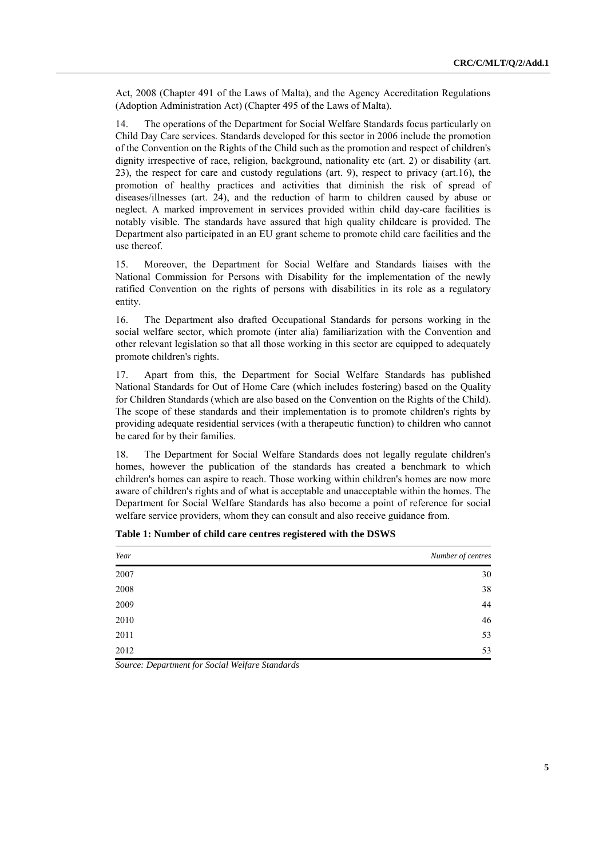Act, 2008 (Chapter 491 of the Laws of Malta), and the Agency Accreditation Regulations (Adoption Administration Act) (Chapter 495 of the Laws of Malta).

14. The operations of the Department for Social Welfare Standards focus particularly on Child Day Care services. Standards developed for this sector in 2006 include the promotion of the Convention on the Rights of the Child such as the promotion and respect of children's dignity irrespective of race, religion, background, nationality etc (art. 2) or disability (art. 23), the respect for care and custody regulations (art. 9), respect to privacy (art.16), the promotion of healthy practices and activities that diminish the risk of spread of diseases/illnesses (art. 24), and the reduction of harm to children caused by abuse or neglect. A marked improvement in services provided within child day-care facilities is notably visible. The standards have assured that high quality childcare is provided. The Department also participated in an EU grant scheme to promote child care facilities and the use thereof.

15. Moreover, the Department for Social Welfare and Standards liaises with the National Commission for Persons with Disability for the implementation of the newly ratified Convention on the rights of persons with disabilities in its role as a regulatory entity.

16. The Department also drafted Occupational Standards for persons working in the social welfare sector, which promote (inter alia) familiarization with the Convention and other relevant legislation so that all those working in this sector are equipped to adequately promote children's rights.

17. Apart from this, the Department for Social Welfare Standards has published National Standards for Out of Home Care (which includes fostering) based on the Quality for Children Standards (which are also based on the Convention on the Rights of the Child). The scope of these standards and their implementation is to promote children's rights by providing adequate residential services (with a therapeutic function) to children who cannot be cared for by their families.

18. The Department for Social Welfare Standards does not legally regulate children's homes, however the publication of the standards has created a benchmark to which children's homes can aspire to reach. Those working within children's homes are now more aware of children's rights and of what is acceptable and unacceptable within the homes. The Department for Social Welfare Standards has also become a point of reference for social welfare service providers, whom they can consult and also receive guidance from.

| Year | Number of centres |
|------|-------------------|
| 2007 | 30                |
| 2008 | 38                |
| 2009 | 44                |
| 2010 | 46                |
| 2011 | 53                |
| 2012 | 53                |

**Table 1: Number of child care centres registered with the DSWS**

*Source: Department for Social Welfare Standards*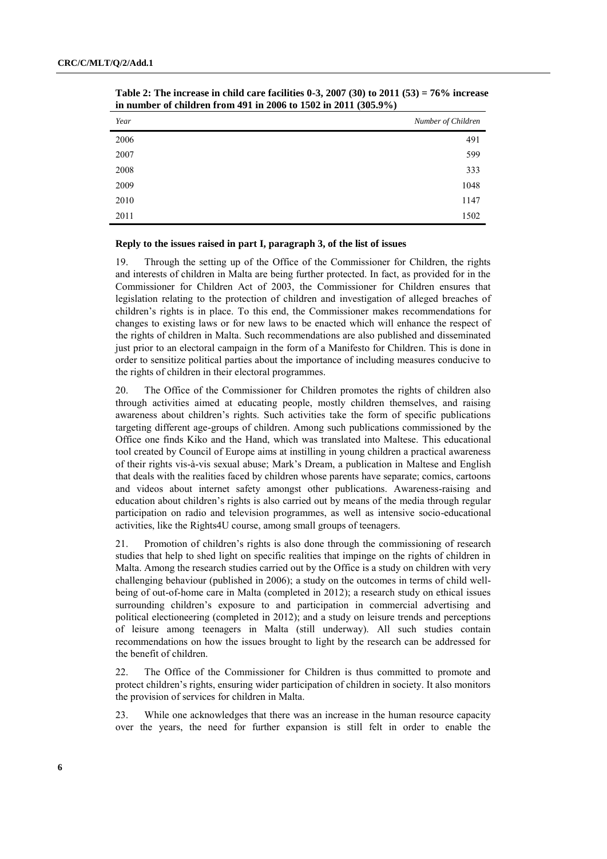| Year | Number of Children |
|------|--------------------|
| 2006 | 491                |
| 2007 | 599                |
| 2008 | 333                |
| 2009 | 1048               |
| 2010 | 1147               |
| 2011 | 1502               |

**Table 2: The increase in child care facilities 0-3, 2007 (30) to 2011 (53) = 76% increase in number of children from 491 in 2006 to 1502 in 2011 (305.9%)** 

# **Reply to the issues raised in part I, paragraph 3, of the list of issues**

19. Through the setting up of the Office of the Commissioner for Children, the rights and interests of children in Malta are being further protected. In fact, as provided for in the Commissioner for Children Act of 2003, the Commissioner for Children ensures that legislation relating to the protection of children and investigation of alleged breaches of children"s rights is in place. To this end, the Commissioner makes recommendations for changes to existing laws or for new laws to be enacted which will enhance the respect of the rights of children in Malta. Such recommendations are also published and disseminated just prior to an electoral campaign in the form of a Manifesto for Children. This is done in order to sensitize political parties about the importance of including measures conducive to the rights of children in their electoral programmes.

20. The Office of the Commissioner for Children promotes the rights of children also through activities aimed at educating people, mostly children themselves, and raising awareness about children"s rights. Such activities take the form of specific publications targeting different age-groups of children. Among such publications commissioned by the Office one finds Kiko and the Hand, which was translated into Maltese. This educational tool created by Council of Europe aims at instilling in young children a practical awareness of their rights vis-à-vis sexual abuse; Mark"s Dream, a publication in Maltese and English that deals with the realities faced by children whose parents have separate; comics, cartoons and videos about internet safety amongst other publications. Awareness-raising and education about children"s rights is also carried out by means of the media through regular participation on radio and television programmes, as well as intensive socio-educational activities, like the Rights4U course, among small groups of teenagers.

21. Promotion of children"s rights is also done through the commissioning of research studies that help to shed light on specific realities that impinge on the rights of children in Malta. Among the research studies carried out by the Office is a study on children with very challenging behaviour (published in 2006); a study on the outcomes in terms of child wellbeing of out-of-home care in Malta (completed in 2012); a research study on ethical issues surrounding children"s exposure to and participation in commercial advertising and political electioneering (completed in 2012); and a study on leisure trends and perceptions of leisure among teenagers in Malta (still underway). All such studies contain recommendations on how the issues brought to light by the research can be addressed for the benefit of children.

22. The Office of the Commissioner for Children is thus committed to promote and protect children"s rights, ensuring wider participation of children in society. It also monitors the provision of services for children in Malta.

23. While one acknowledges that there was an increase in the human resource capacity over the years, the need for further expansion is still felt in order to enable the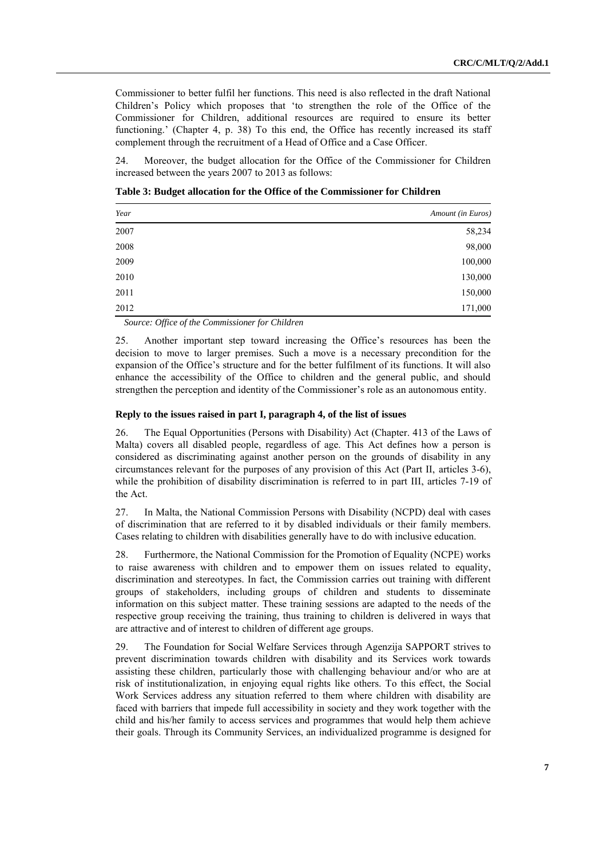Commissioner to better fulfil her functions. This need is also reflected in the draft National Children"s Policy which proposes that "to strengthen the role of the Office of the Commissioner for Children, additional resources are required to ensure its better functioning.' (Chapter 4, p. 38) To this end, the Office has recently increased its staff complement through the recruitment of a Head of Office and a Case Officer.

24. Moreover, the budget allocation for the Office of the Commissioner for Children increased between the years 2007 to 2013 as follows:

**Table 3: Budget allocation for the Office of the Commissioner for Children**

| Year | Amount (in Euros) |
|------|-------------------|
| 2007 | 58,234            |
| 2008 | 98,000            |
| 2009 | 100,000           |
| 2010 | 130,000           |
| 2011 | 150,000           |
| 2012 | 171,000           |

*Source: Office of the Commissioner for Children*

25. Another important step toward increasing the Office"s resources has been the decision to move to larger premises. Such a move is a necessary precondition for the expansion of the Office"s structure and for the better fulfilment of its functions. It will also enhance the accessibility of the Office to children and the general public, and should strengthen the perception and identity of the Commissioner"s role as an autonomous entity.

### **Reply to the issues raised in part I, paragraph 4, of the list of issues**

26. The Equal Opportunities (Persons with Disability) Act (Chapter. 413 of the Laws of Malta) covers all disabled people, regardless of age. This Act defines how a person is considered as discriminating against another person on the grounds of disability in any circumstances relevant for the purposes of any provision of this Act (Part II, articles 3-6), while the prohibition of disability discrimination is referred to in part III, articles 7-19 of the Act.

27. In Malta, the National Commission Persons with Disability (NCPD) deal with cases of discrimination that are referred to it by disabled individuals or their family members. Cases relating to children with disabilities generally have to do with inclusive education.

28. Furthermore, the National Commission for the Promotion of Equality (NCPE) works to raise awareness with children and to empower them on issues related to equality, discrimination and stereotypes. In fact, the Commission carries out training with different groups of stakeholders, including groups of children and students to disseminate information on this subject matter. These training sessions are adapted to the needs of the respective group receiving the training, thus training to children is delivered in ways that are attractive and of interest to children of different age groups.

29. The Foundation for Social Welfare Services through Agenzija SAPPORT strives to prevent discrimination towards children with disability and its Services work towards assisting these children, particularly those with challenging behaviour and/or who are at risk of institutionalization, in enjoying equal rights like others. To this effect, the Social Work Services address any situation referred to them where children with disability are faced with barriers that impede full accessibility in society and they work together with the child and his/her family to access services and programmes that would help them achieve their goals. Through its Community Services, an individualized programme is designed for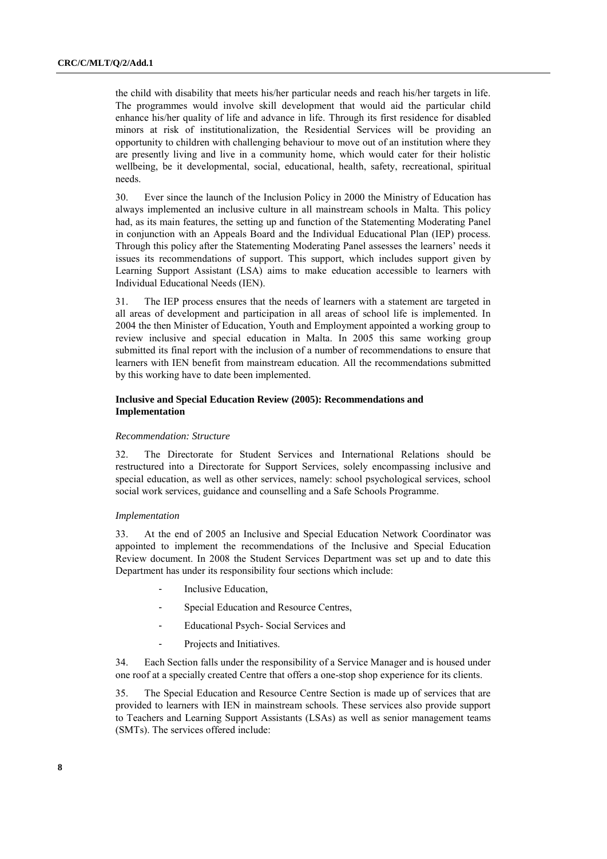the child with disability that meets his/her particular needs and reach his/her targets in life. The programmes would involve skill development that would aid the particular child enhance his/her quality of life and advance in life. Through its first residence for disabled minors at risk of institutionalization, the Residential Services will be providing an opportunity to children with challenging behaviour to move out of an institution where they are presently living and live in a community home, which would cater for their holistic wellbeing, be it developmental, social, educational, health, safety, recreational, spiritual needs.

30. Ever since the launch of the Inclusion Policy in 2000 the Ministry of Education has always implemented an inclusive culture in all mainstream schools in Malta. This policy had, as its main features, the setting up and function of the Statementing Moderating Panel in conjunction with an Appeals Board and the Individual Educational Plan (IEP) process. Through this policy after the Statementing Moderating Panel assesses the learners" needs it issues its recommendations of support. This support, which includes support given by Learning Support Assistant (LSA) aims to make education accessible to learners with Individual Educational Needs (IEN).

31. The IEP process ensures that the needs of learners with a statement are targeted in all areas of development and participation in all areas of school life is implemented. In 2004 the then Minister of Education, Youth and Employment appointed a working group to review inclusive and special education in Malta. In 2005 this same working group submitted its final report with the inclusion of a number of recommendations to ensure that learners with IEN benefit from mainstream education. All the recommendations submitted by this working have to date been implemented.

# **Inclusive and Special Education Review (2005): Recommendations and Implementation**

#### *Recommendation: Structure*

32. The Directorate for Student Services and International Relations should be restructured into a Directorate for Support Services, solely encompassing inclusive and special education, as well as other services, namely: school psychological services, school social work services, guidance and counselling and a Safe Schools Programme.

#### *Implementation*

33. At the end of 2005 an Inclusive and Special Education Network Coordinator was appointed to implement the recommendations of the Inclusive and Special Education Review document. In 2008 the Student Services Department was set up and to date this Department has under its responsibility four sections which include:

- Inclusive Education,
- Special Education and Resource Centres,
- Educational Psych- Social Services and
- Projects and Initiatives.

34. Each Section falls under the responsibility of a Service Manager and is housed under one roof at a specially created Centre that offers a one-stop shop experience for its clients.

35. The Special Education and Resource Centre Section is made up of services that are provided to learners with IEN in mainstream schools. These services also provide support to Teachers and Learning Support Assistants (LSAs) as well as senior management teams (SMTs). The services offered include: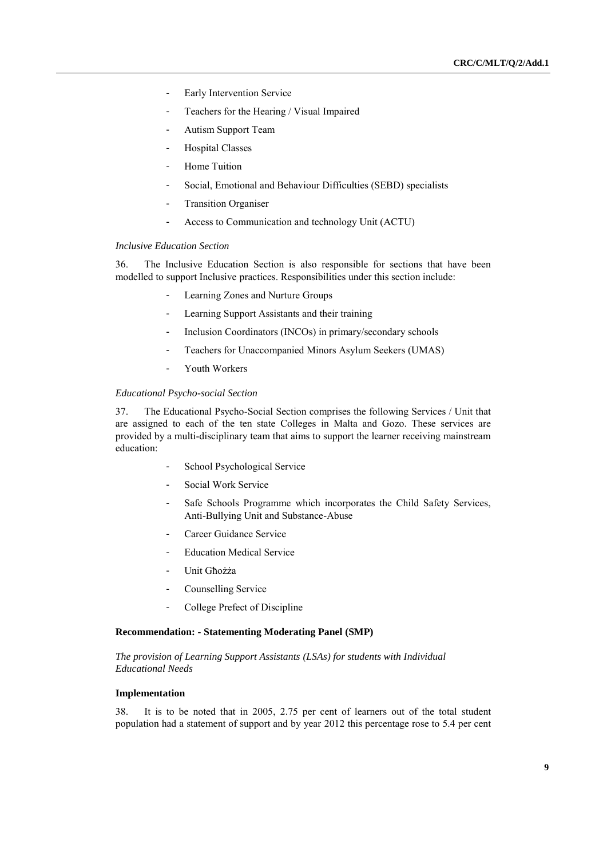- Early Intervention Service
- Teachers for the Hearing / Visual Impaired
- Autism Support Team
- Hospital Classes
- Home Tuition
- Social, Emotional and Behaviour Difficulties (SEBD) specialists
- **Transition Organiser**
- Access to Communication and technology Unit (ACTU)

#### *Inclusive Education Section*

36. The Inclusive Education Section is also responsible for sections that have been modelled to support Inclusive practices. Responsibilities under this section include:

- Learning Zones and Nurture Groups
- Learning Support Assistants and their training
- Inclusion Coordinators (INCOs) in primary/secondary schools
- Teachers for Unaccompanied Minors Asylum Seekers (UMAS)
- Youth Workers

#### *Educational Psycho-social Section*

37. The Educational Psycho-Social Section comprises the following Services / Unit that are assigned to each of the ten state Colleges in Malta and Gozo. These services are provided by a multi-disciplinary team that aims to support the learner receiving mainstream education:

- School Psychological Service
- Social Work Service
- Safe Schools Programme which incorporates the Child Safety Services, Anti-Bullying Unit and Substance-Abuse
- Career Guidance Service
- Education Medical Service
- Unit Għożża
- Counselling Service
- College Prefect of Discipline

# **Recommendation: - Statementing Moderating Panel (SMP)**

*The provision of Learning Support Assistants (LSAs) for students with Individual Educational Needs*

#### **Implementation**

38. It is to be noted that in 2005, 2.75 per cent of learners out of the total student population had a statement of support and by year 2012 this percentage rose to 5.4 per cent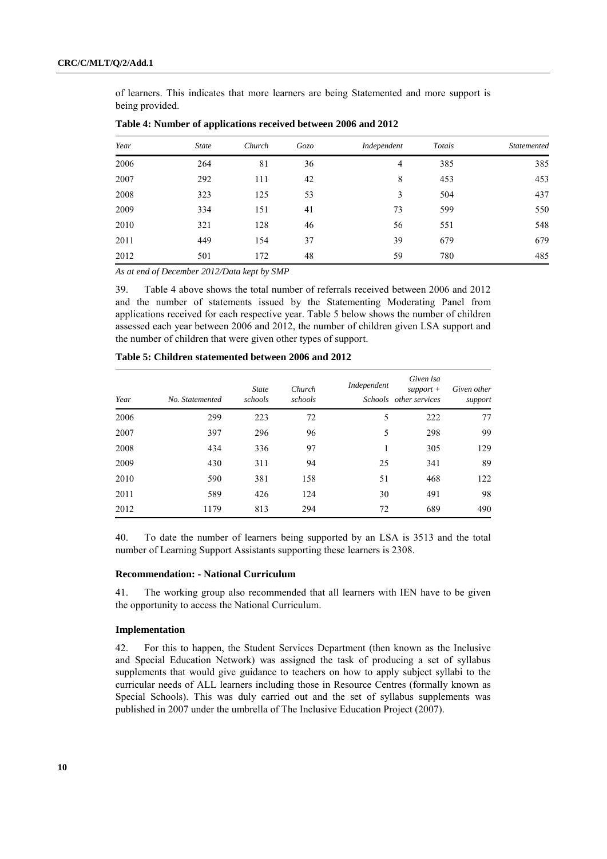of learners. This indicates that more learners are being Statemented and more support is being provided.

| Year | <b>State</b> | Church | Gozo | Independent | Totals | <b>Statemented</b> |
|------|--------------|--------|------|-------------|--------|--------------------|
| 2006 | 264          | 81     | 36   | 4           | 385    | 385                |
| 2007 | 292          | 111    | 42   | 8           | 453    | 453                |
| 2008 | 323          | 125    | 53   | 3           | 504    | 437                |
| 2009 | 334          | 151    | 41   | 73          | 599    | 550                |
| 2010 | 321          | 128    | 46   | 56          | 551    | 548                |
| 2011 | 449          | 154    | 37   | 39          | 679    | 679                |
| 2012 | 501          | 172    | 48   | 59          | 780    | 485                |

**Table 4: Number of applications received between 2006 and 2012**

*As at end of December 2012/Data kept by SMP*

39. Table 4 above shows the total number of referrals received between 2006 and 2012 and the number of statements issued by the Statementing Moderating Panel from applications received for each respective year. Table 5 below shows the number of children assessed each year between 2006 and 2012, the number of children given LSA support and the number of children that were given other types of support.

| Year | No. Statemented | <b>State</b><br>schools | Church<br>schools | Independent | Given lsa<br>$support +$<br>Schools other services | Given other<br>support |
|------|-----------------|-------------------------|-------------------|-------------|----------------------------------------------------|------------------------|
| 2006 | 299             | 223                     | 72                | 5           | 222                                                | 77                     |
| 2007 | 397             | 296                     | 96                | 5           | 298                                                | 99                     |
| 2008 | 434             | 336                     | 97                |             | 305                                                | 129                    |
| 2009 | 430             | 311                     | 94                | 25          | 341                                                | 89                     |
| 2010 | 590             | 381                     | 158               | 51          | 468                                                | 122                    |
| 2011 | 589             | 426                     | 124               | 30          | 491                                                | 98                     |
| 2012 | 1179            | 813                     | 294               | 72          | 689                                                | 490                    |

**Table 5: Children statemented between 2006 and 2012**

40. To date the number of learners being supported by an LSA is 3513 and the total number of Learning Support Assistants supporting these learners is 2308.

# **Recommendation: - National Curriculum**

41. The working group also recommended that all learners with IEN have to be given the opportunity to access the National Curriculum.

## **Implementation**

42. For this to happen, the Student Services Department (then known as the Inclusive and Special Education Network) was assigned the task of producing a set of syllabus supplements that would give guidance to teachers on how to apply subject syllabi to the curricular needs of ALL learners including those in Resource Centres (formally known as Special Schools). This was duly carried out and the set of syllabus supplements was published in 2007 under the umbrella of The Inclusive Education Project (2007).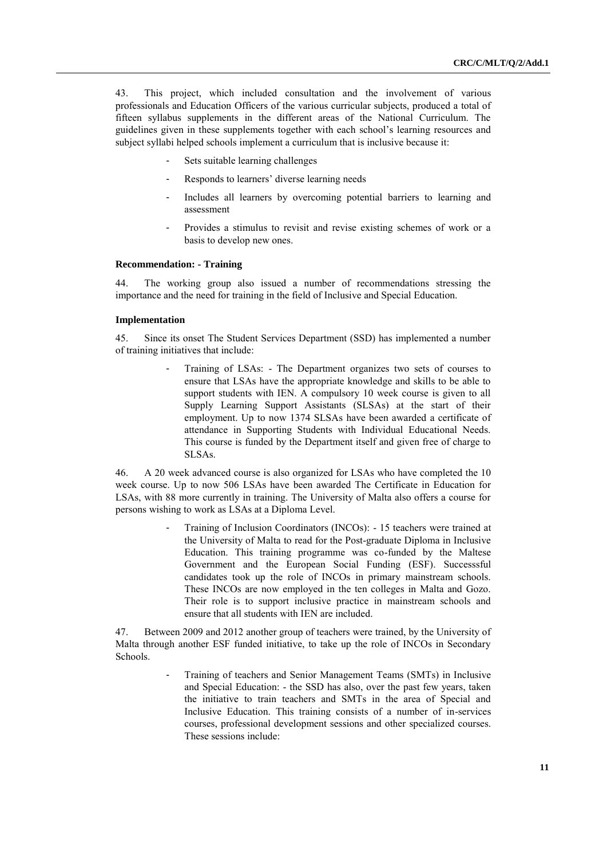43. This project, which included consultation and the involvement of various professionals and Education Officers of the various curricular subjects, produced a total of fifteen syllabus supplements in the different areas of the National Curriculum. The guidelines given in these supplements together with each school"s learning resources and subject syllabi helped schools implement a curriculum that is inclusive because it:

- Sets suitable learning challenges
- Responds to learners' diverse learning needs
- Includes all learners by overcoming potential barriers to learning and assessment
- Provides a stimulus to revisit and revise existing schemes of work or a basis to develop new ones.

# **Recommendation: - Training**

44. The working group also issued a number of recommendations stressing the importance and the need for training in the field of Inclusive and Special Education.

#### **Implementation**

45. Since its onset The Student Services Department (SSD) has implemented a number of training initiatives that include:

> - Training of LSAs: - The Department organizes two sets of courses to ensure that LSAs have the appropriate knowledge and skills to be able to support students with IEN. A compulsory 10 week course is given to all Supply Learning Support Assistants (SLSAs) at the start of their employment. Up to now 1374 SLSAs have been awarded a certificate of attendance in Supporting Students with Individual Educational Needs. This course is funded by the Department itself and given free of charge to SLSAs.

46. A 20 week advanced course is also organized for LSAs who have completed the 10 week course. Up to now 506 LSAs have been awarded The Certificate in Education for LSAs, with 88 more currently in training. The University of Malta also offers a course for persons wishing to work as LSAs at a Diploma Level.

> Training of Inclusion Coordinators (INCOs): - 15 teachers were trained at the University of Malta to read for the Post-graduate Diploma in Inclusive Education. This training programme was co-funded by the Maltese Government and the European Social Funding (ESF). Successsful candidates took up the role of INCOs in primary mainstream schools. These INCOs are now employed in the ten colleges in Malta and Gozo. Their role is to support inclusive practice in mainstream schools and ensure that all students with IEN are included.

47. Between 2009 and 2012 another group of teachers were trained, by the University of Malta through another ESF funded initiative, to take up the role of INCOs in Secondary Schools.

> Training of teachers and Senior Management Teams (SMTs) in Inclusive and Special Education: - the SSD has also, over the past few years, taken the initiative to train teachers and SMTs in the area of Special and Inclusive Education. This training consists of a number of in-services courses, professional development sessions and other specialized courses. These sessions include: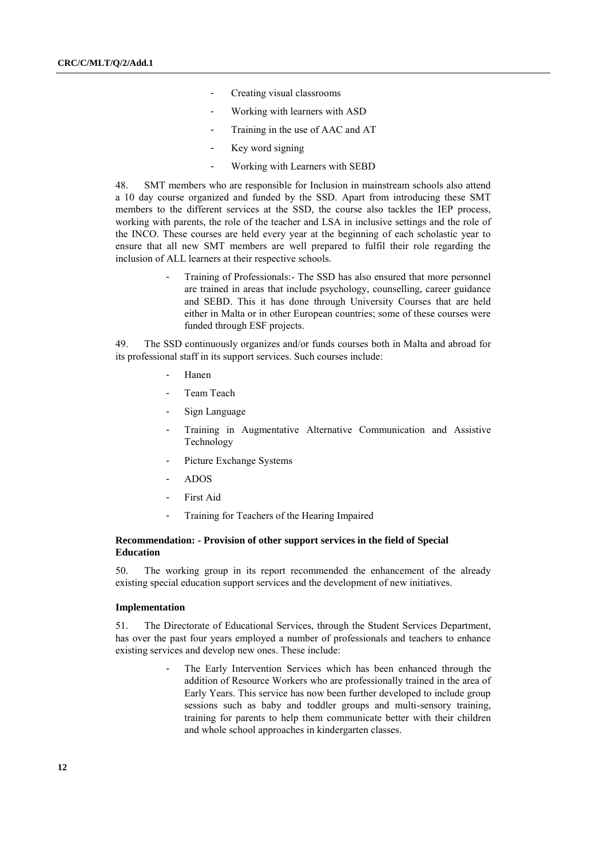- Creating visual classrooms
- Working with learners with ASD
- Training in the use of AAC and AT
- Key word signing
- Working with Learners with SEBD

48. SMT members who are responsible for Inclusion in mainstream schools also attend a 10 day course organized and funded by the SSD. Apart from introducing these SMT members to the different services at the SSD, the course also tackles the IEP process, working with parents, the role of the teacher and LSA in inclusive settings and the role of the INCO. These courses are held every year at the beginning of each scholastic year to ensure that all new SMT members are well prepared to fulfil their role regarding the inclusion of ALL learners at their respective schools.

> Training of Professionals: The SSD has also ensured that more personnel are trained in areas that include psychology, counselling, career guidance and SEBD. This it has done through University Courses that are held either in Malta or in other European countries; some of these courses were funded through ESF projects.

49. The SSD continuously organizes and/or funds courses both in Malta and abroad for its professional staff in its support services. Such courses include:

- Hanen
- Team Teach
- Sign Language
- Training in Augmentative Alternative Communication and Assistive Technology
- Picture Exchange Systems
- ADOS
- First Aid
- Training for Teachers of the Hearing Impaired

# **Recommendation: - Provision of other support services in the field of Special Education**

50. The working group in its report recommended the enhancement of the already existing special education support services and the development of new initiatives.

# **Implementation**

51. The Directorate of Educational Services, through the Student Services Department, has over the past four years employed a number of professionals and teachers to enhance existing services and develop new ones. These include:

> The Early Intervention Services which has been enhanced through the addition of Resource Workers who are professionally trained in the area of Early Years. This service has now been further developed to include group sessions such as baby and toddler groups and multi-sensory training, training for parents to help them communicate better with their children and whole school approaches in kindergarten classes.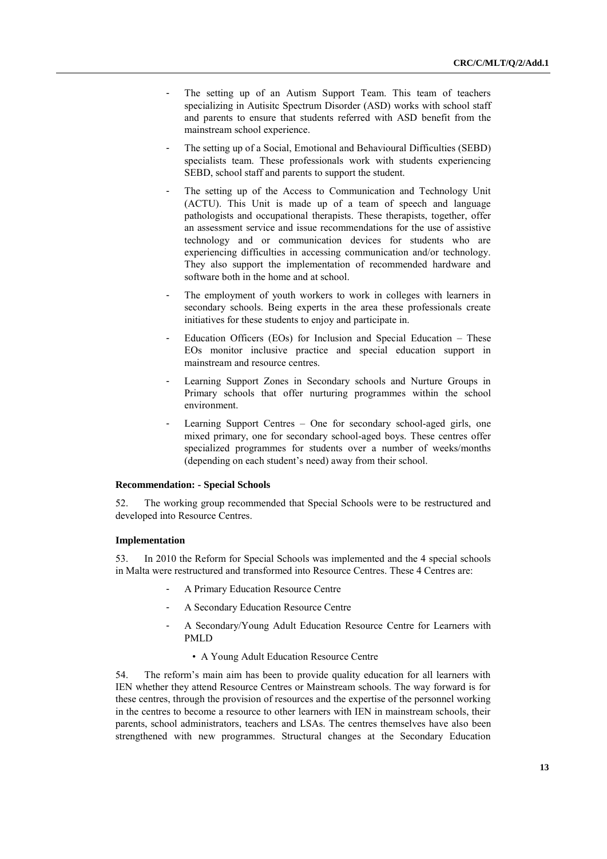- The setting up of an Autism Support Team. This team of teachers specializing in Autisitc Spectrum Disorder (ASD) works with school staff and parents to ensure that students referred with ASD benefit from the mainstream school experience.
- The setting up of a Social, Emotional and Behavioural Difficulties (SEBD) specialists team. These professionals work with students experiencing SEBD, school staff and parents to support the student.
- The setting up of the Access to Communication and Technology Unit (ACTU). This Unit is made up of a team of speech and language pathologists and occupational therapists. These therapists, together, offer an assessment service and issue recommendations for the use of assistive technology and or communication devices for students who are experiencing difficulties in accessing communication and/or technology. They also support the implementation of recommended hardware and software both in the home and at school.
- The employment of youth workers to work in colleges with learners in secondary schools. Being experts in the area these professionals create initiatives for these students to enjoy and participate in.
- Education Officers (EOs) for Inclusion and Special Education  $-$  These EOs monitor inclusive practice and special education support in mainstream and resource centres.
- Learning Support Zones in Secondary schools and Nurture Groups in Primary schools that offer nurturing programmes within the school environment.
- Learning Support Centres One for secondary school-aged girls, one mixed primary, one for secondary school-aged boys. These centres offer specialized programmes for students over a number of weeks/months (depending on each student"s need) away from their school.

# **Recommendation: - Special Schools**

52. The working group recommended that Special Schools were to be restructured and developed into Resource Centres.

# **Implementation**

53. In 2010 the Reform for Special Schools was implemented and the 4 special schools in Malta were restructured and transformed into Resource Centres. These 4 Centres are:

- A Primary Education Resource Centre
- A Secondary Education Resource Centre
- A Secondary/Young Adult Education Resource Centre for Learners with PMLD
	- A Young Adult Education Resource Centre

54. The reform"s main aim has been to provide quality education for all learners with IEN whether they attend Resource Centres or Mainstream schools. The way forward is for these centres, through the provision of resources and the expertise of the personnel working in the centres to become a resource to other learners with IEN in mainstream schools, their parents, school administrators, teachers and LSAs. The centres themselves have also been strengthened with new programmes. Structural changes at the Secondary Education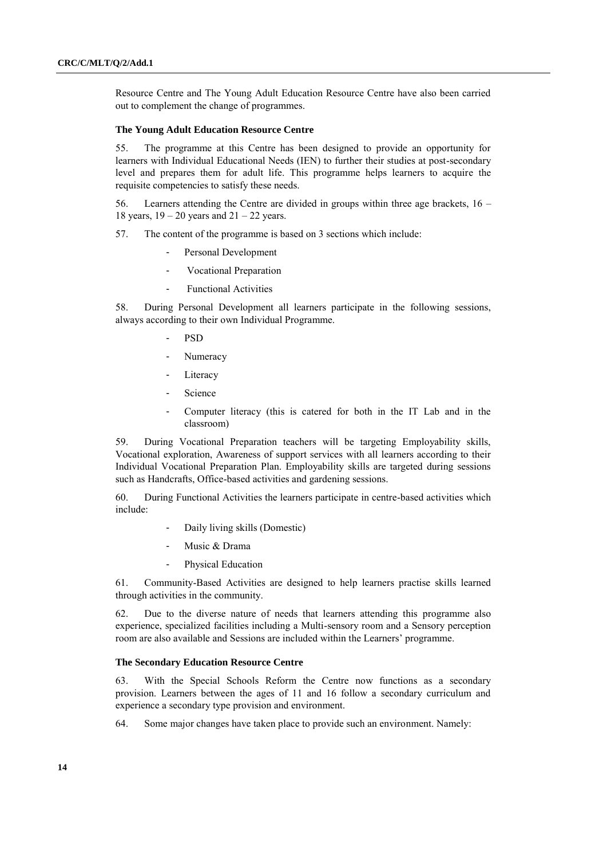Resource Centre and The Young Adult Education Resource Centre have also been carried out to complement the change of programmes.

## **The Young Adult Education Resource Centre**

55. The programme at this Centre has been designed to provide an opportunity for learners with Individual Educational Needs (IEN) to further their studies at post-secondary level and prepares them for adult life. This programme helps learners to acquire the requisite competencies to satisfy these needs.

56. Learners attending the Centre are divided in groups within three age brackets, 16 – 18 years,  $19 - 20$  years and  $21 - 22$  years.

57. The content of the programme is based on 3 sections which include:

- Personal Development
- Vocational Preparation
- Functional Activities

58. During Personal Development all learners participate in the following sessions, always according to their own Individual Programme.

- PSD
- **Numeracy**
- Literacy
- **Science**
- Computer literacy (this is catered for both in the IT Lab and in the classroom)

59. During Vocational Preparation teachers will be targeting Employability skills, Vocational exploration, Awareness of support services with all learners according to their Individual Vocational Preparation Plan. Employability skills are targeted during sessions such as Handcrafts, Office-based activities and gardening sessions.

60. During Functional Activities the learners participate in centre-based activities which include:

- Daily living skills (Domestic)
- Music & Drama
- Physical Education

61. Community-Based Activities are designed to help learners practise skills learned through activities in the community.

62. Due to the diverse nature of needs that learners attending this programme also experience, specialized facilities including a Multi-sensory room and a Sensory perception room are also available and Sessions are included within the Learners" programme.

### **The Secondary Education Resource Centre**

63. With the Special Schools Reform the Centre now functions as a secondary provision. Learners between the ages of 11 and 16 follow a secondary curriculum and experience a secondary type provision and environment.

64. Some major changes have taken place to provide such an environment. Namely: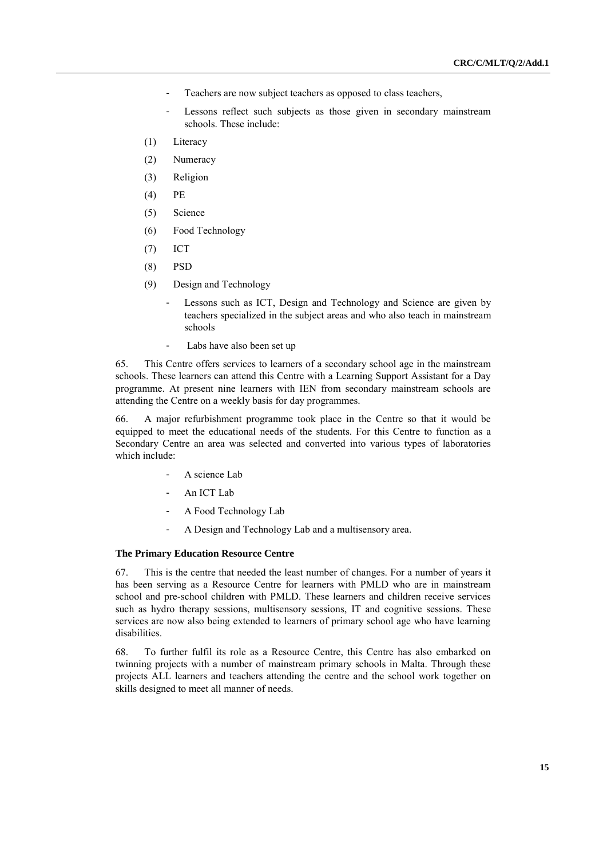- Teachers are now subject teachers as opposed to class teachers,
- Lessons reflect such subjects as those given in secondary mainstream schools. These include:
- (1) Literacy
- (2) Numeracy
- (3) Religion
- (4) PE
- (5) Science
- (6) Food Technology
- (7) ICT
- (8) PSD
- (9) Design and Technology
	- Lessons such as ICT, Design and Technology and Science are given by teachers specialized in the subject areas and who also teach in mainstream schools
	- Labs have also been set up

65. This Centre offers services to learners of a secondary school age in the mainstream schools. These learners can attend this Centre with a Learning Support Assistant for a Day programme. At present nine learners with IEN from secondary mainstream schools are attending the Centre on a weekly basis for day programmes.

66. A major refurbishment programme took place in the Centre so that it would be equipped to meet the educational needs of the students. For this Centre to function as a Secondary Centre an area was selected and converted into various types of laboratories which include:

- A science Lab
- An ICT Lab
- A Food Technology Lab
- A Design and Technology Lab and a multisensory area.

# **The Primary Education Resource Centre**

67. This is the centre that needed the least number of changes. For a number of years it has been serving as a Resource Centre for learners with PMLD who are in mainstream school and pre-school children with PMLD. These learners and children receive services such as hydro therapy sessions, multisensory sessions, IT and cognitive sessions. These services are now also being extended to learners of primary school age who have learning disabilities.

68. To further fulfil its role as a Resource Centre, this Centre has also embarked on twinning projects with a number of mainstream primary schools in Malta. Through these projects ALL learners and teachers attending the centre and the school work together on skills designed to meet all manner of needs.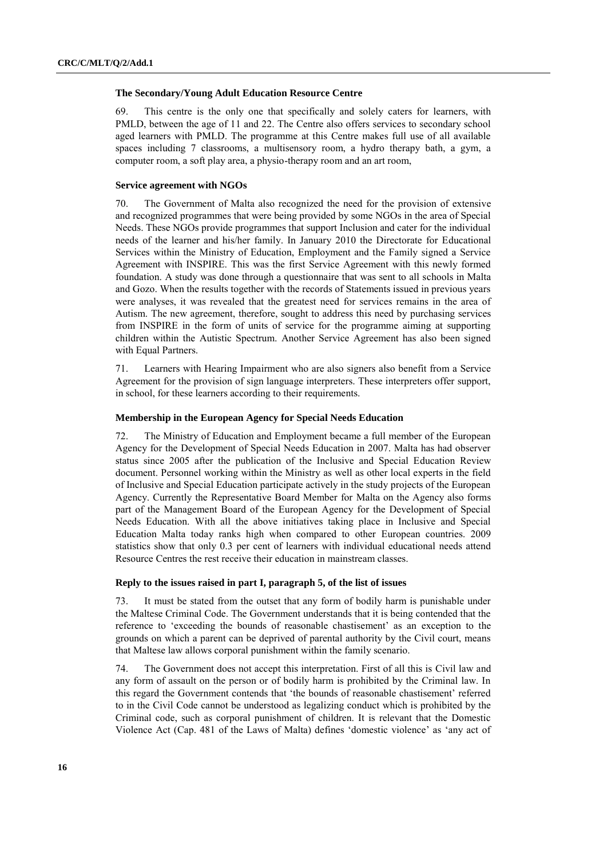#### **The Secondary/Young Adult Education Resource Centre**

69. This centre is the only one that specifically and solely caters for learners, with PMLD, between the age of 11 and 22. The Centre also offers services to secondary school aged learners with PMLD. The programme at this Centre makes full use of all available spaces including 7 classrooms, a multisensory room, a hydro therapy bath, a gym, a computer room, a soft play area, a physio-therapy room and an art room,

### **Service agreement with NGOs**

70. The Government of Malta also recognized the need for the provision of extensive and recognized programmes that were being provided by some NGOs in the area of Special Needs. These NGOs provide programmes that support Inclusion and cater for the individual needs of the learner and his/her family. In January 2010 the Directorate for Educational Services within the Ministry of Education, Employment and the Family signed a Service Agreement with INSPIRE. This was the first Service Agreement with this newly formed foundation. A study was done through a questionnaire that was sent to all schools in Malta and Gozo. When the results together with the records of Statements issued in previous years were analyses, it was revealed that the greatest need for services remains in the area of Autism. The new agreement, therefore, sought to address this need by purchasing services from INSPIRE in the form of units of service for the programme aiming at supporting children within the Autistic Spectrum. Another Service Agreement has also been signed with Equal Partners.

71. Learners with Hearing Impairment who are also signers also benefit from a Service Agreement for the provision of sign language interpreters. These interpreters offer support, in school, for these learners according to their requirements.

# **Membership in the European Agency for Special Needs Education**

72. The Ministry of Education and Employment became a full member of the European Agency for the Development of Special Needs Education in 2007. Malta has had observer status since 2005 after the publication of the Inclusive and Special Education Review document. Personnel working within the Ministry as well as other local experts in the field of Inclusive and Special Education participate actively in the study projects of the European Agency. Currently the Representative Board Member for Malta on the Agency also forms part of the Management Board of the European Agency for the Development of Special Needs Education. With all the above initiatives taking place in Inclusive and Special Education Malta today ranks high when compared to other European countries. 2009 statistics show that only 0.3 per cent of learners with individual educational needs attend Resource Centres the rest receive their education in mainstream classes.

### **Reply to the issues raised in part I, paragraph 5, of the list of issues**

73. It must be stated from the outset that any form of bodily harm is punishable under the Maltese Criminal Code. The Government understands that it is being contended that the reference to "exceeding the bounds of reasonable chastisement" as an exception to the grounds on which a parent can be deprived of parental authority by the Civil court, means that Maltese law allows corporal punishment within the family scenario.

74. The Government does not accept this interpretation. First of all this is Civil law and any form of assault on the person or of bodily harm is prohibited by the Criminal law. In this regard the Government contends that "the bounds of reasonable chastisement" referred to in the Civil Code cannot be understood as legalizing conduct which is prohibited by the Criminal code, such as corporal punishment of children. It is relevant that the Domestic Violence Act (Cap. 481 of the Laws of Malta) defines "domestic violence" as "any act of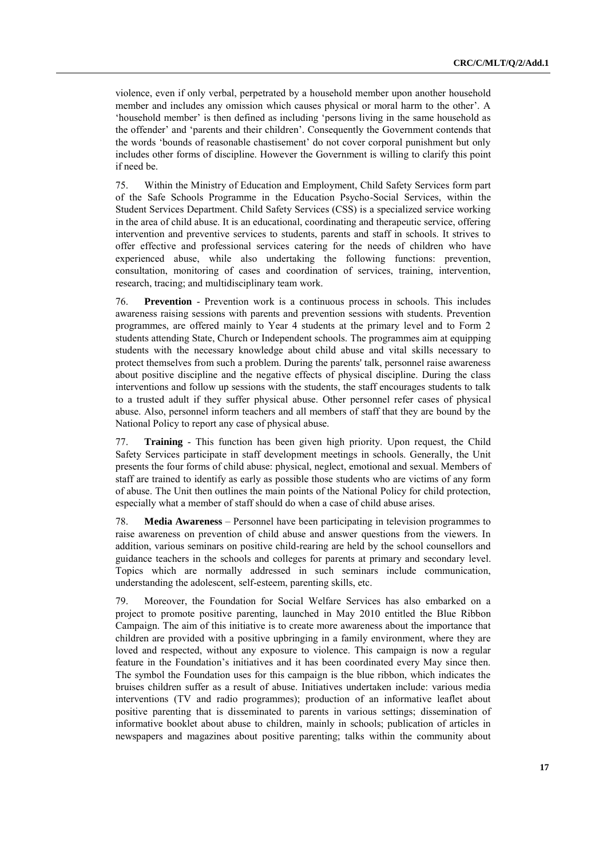violence, even if only verbal, perpetrated by a household member upon another household member and includes any omission which causes physical or moral harm to the other". A 'household member' is then defined as including 'persons living in the same household as the offender" and "parents and their children". Consequently the Government contends that the words 'bounds of reasonable chastisement' do not cover corporal punishment but only includes other forms of discipline. However the Government is willing to clarify this point if need be.

75. Within the Ministry of Education and Employment, Child Safety Services form part of the Safe Schools Programme in the Education Psycho-Social Services, within the Student Services Department. Child Safety Services (CSS) is a specialized service working in the area of child abuse. It is an educational, coordinating and therapeutic service, offering intervention and preventive services to students, parents and staff in schools. It strives to offer effective and professional services catering for the needs of children who have experienced abuse, while also undertaking the following functions: prevention, consultation, monitoring of cases and coordination of services, training, intervention, research, tracing; and multidisciplinary team work.

76. **Prevention** - Prevention work is a continuous process in schools. This includes awareness raising sessions with parents and prevention sessions with students. Prevention programmes, are offered mainly to Year 4 students at the primary level and to Form 2 students attending State, Church or Independent schools. The programmes aim at equipping students with the necessary knowledge about child abuse and vital skills necessary to protect themselves from such a problem. During the parents' talk, personnel raise awareness about positive discipline and the negative effects of physical discipline. During the class interventions and follow up sessions with the students, the staff encourages students to talk to a trusted adult if they suffer physical abuse. Other personnel refer cases of physical abuse. Also, personnel inform teachers and all members of staff that they are bound by the National Policy to report any case of physical abuse.

77. **Training** - This function has been given high priority. Upon request, the Child Safety Services participate in staff development meetings in schools. Generally, the Unit presents the four forms of child abuse: physical, neglect, emotional and sexual. Members of staff are trained to identify as early as possible those students who are victims of any form of abuse. The Unit then outlines the main points of the National Policy for child protection, especially what a member of staff should do when a case of child abuse arises.

78. **Media Awareness** – Personnel have been participating in television programmes to raise awareness on prevention of child abuse and answer questions from the viewers. In addition, various seminars on positive child-rearing are held by the school counsellors and guidance teachers in the schools and colleges for parents at primary and secondary level. Topics which are normally addressed in such seminars include communication, understanding the adolescent, self-esteem, parenting skills, etc.

79. Moreover, the Foundation for Social Welfare Services has also embarked on a project to promote positive parenting, launched in May 2010 entitled the Blue Ribbon Campaign. The aim of this initiative is to create more awareness about the importance that children are provided with a positive upbringing in a family environment, where they are loved and respected, without any exposure to violence. This campaign is now a regular feature in the Foundation"s initiatives and it has been coordinated every May since then. The symbol the Foundation uses for this campaign is the blue ribbon, which indicates the bruises children suffer as a result of abuse. Initiatives undertaken include: various media interventions (TV and radio programmes); production of an informative leaflet about positive parenting that is disseminated to parents in various settings; dissemination of informative booklet about abuse to children, mainly in schools; publication of articles in newspapers and magazines about positive parenting; talks within the community about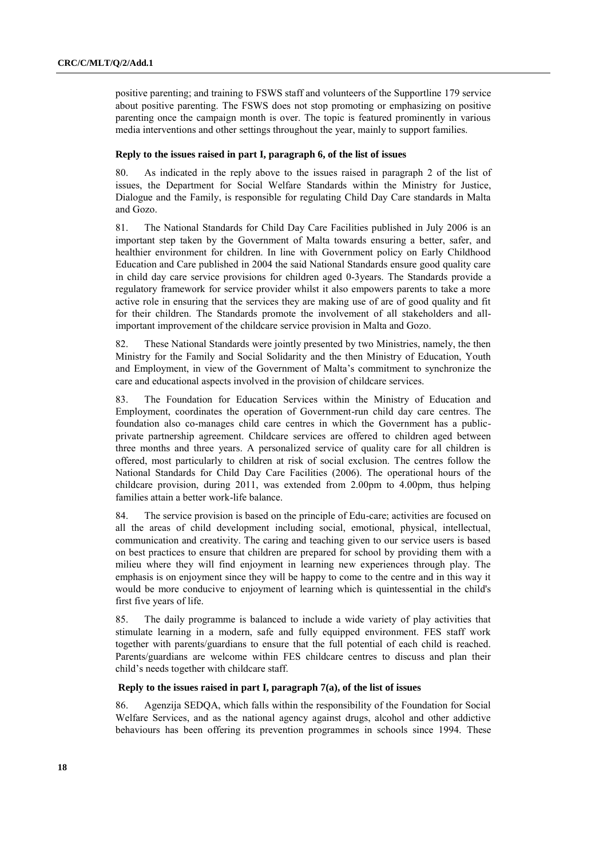positive parenting; and training to FSWS staff and volunteers of the Supportline 179 service about positive parenting. The FSWS does not stop promoting or emphasizing on positive parenting once the campaign month is over. The topic is featured prominently in various media interventions and other settings throughout the year, mainly to support families.

#### **Reply to the issues raised in part I, paragraph 6, of the list of issues**

80. As indicated in the reply above to the issues raised in paragraph 2 of the list of issues, the Department for Social Welfare Standards within the Ministry for Justice, Dialogue and the Family, is responsible for regulating Child Day Care standards in Malta and Gozo.

81. The National Standards for Child Day Care Facilities published in July 2006 is an important step taken by the Government of Malta towards ensuring a better, safer, and healthier environment for children. In line with Government policy on Early Childhood Education and Care published in 2004 the said National Standards ensure good quality care in child day care service provisions for children aged 0-3years. The Standards provide a regulatory framework for service provider whilst it also empowers parents to take a more active role in ensuring that the services they are making use of are of good quality and fit for their children. The Standards promote the involvement of all stakeholders and allimportant improvement of the childcare service provision in Malta and Gozo.

82. These National Standards were jointly presented by two Ministries, namely, the then Ministry for the Family and Social Solidarity and the then Ministry of Education, Youth and Employment, in view of the Government of Malta"s commitment to synchronize the care and educational aspects involved in the provision of childcare services.

83. The Foundation for Education Services within the Ministry of Education and Employment, coordinates the operation of Government-run child day care centres. The foundation also co-manages child care centres in which the Government has a publicprivate partnership agreement. Childcare services are offered to children aged between three months and three years. A personalized service of quality care for all children is offered, most particularly to children at risk of social exclusion. The centres follow the National Standards for Child Day Care Facilities (2006). The operational hours of the childcare provision, during 2011, was extended from 2.00pm to 4.00pm, thus helping families attain a better work-life balance.

84. The service provision is based on the principle of Edu-care; activities are focused on all the areas of child development including social, emotional, physical, intellectual, communication and creativity. The caring and teaching given to our service users is based on best practices to ensure that children are prepared for school by providing them with a milieu where they will find enjoyment in learning new experiences through play. The emphasis is on enjoyment since they will be happy to come to the centre and in this way it would be more conducive to enjoyment of learning which is quintessential in the child's first five years of life.

85. The daily programme is balanced to include a wide variety of play activities that stimulate learning in a modern, safe and fully equipped environment. FES staff work together with parents/guardians to ensure that the full potential of each child is reached. Parents/guardians are welcome within FES childcare centres to discuss and plan their child"s needs together with childcare staff.

# **Reply to the issues raised in part I, paragraph 7(a), of the list of issues**

86. Agenzija SEDQA, which falls within the responsibility of the Foundation for Social Welfare Services, and as the national agency against drugs, alcohol and other addictive behaviours has been offering its prevention programmes in schools since 1994. These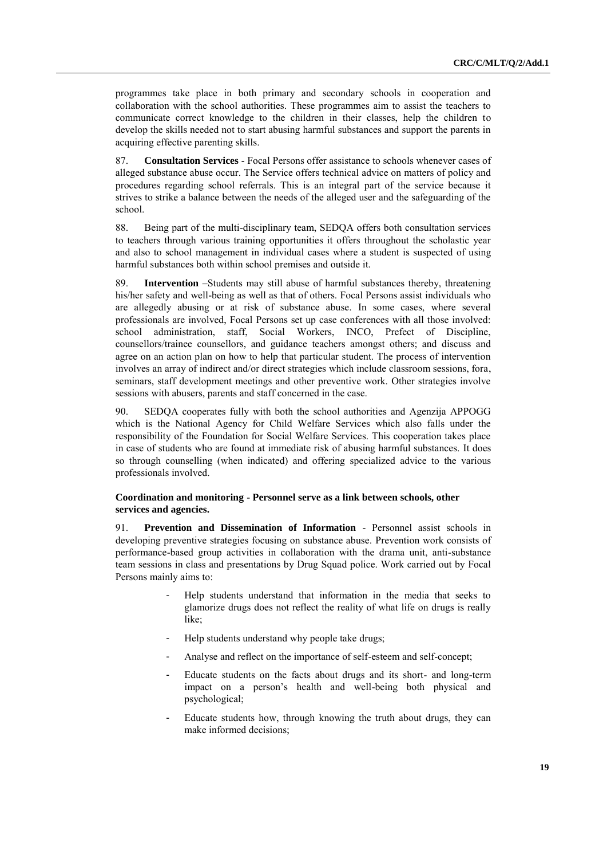programmes take place in both primary and secondary schools in cooperation and collaboration with the school authorities. These programmes aim to assist the teachers to communicate correct knowledge to the children in their classes, help the children to develop the skills needed not to start abusing harmful substances and support the parents in acquiring effective parenting skills.

87. **Consultation Services -** Focal Persons offer assistance to schools whenever cases of alleged substance abuse occur. The Service offers technical advice on matters of policy and procedures regarding school referrals. This is an integral part of the service because it strives to strike a balance between the needs of the alleged user and the safeguarding of the school.

88. Being part of the multi-disciplinary team, SEDQA offers both consultation services to teachers through various training opportunities it offers throughout the scholastic year and also to school management in individual cases where a student is suspected of using harmful substances both within school premises and outside it.

89. **Intervention** –Students may still abuse of harmful substances thereby, threatening his/her safety and well-being as well as that of others. Focal Persons assist individuals who are allegedly abusing or at risk of substance abuse. In some cases, where several professionals are involved, Focal Persons set up case conferences with all those involved: school administration, staff, Social Workers, INCO, Prefect of Discipline, counsellors/trainee counsellors, and guidance teachers amongst others; and discuss and agree on an action plan on how to help that particular student. The process of intervention involves an array of indirect and/or direct strategies which include classroom sessions, fora, seminars, staff development meetings and other preventive work. Other strategies involve sessions with abusers, parents and staff concerned in the case.

90. SEDQA cooperates fully with both the school authorities and Agenzija APPOGG which is the National Agency for Child Welfare Services which also falls under the responsibility of the Foundation for Social Welfare Services. This cooperation takes place in case of students who are found at immediate risk of abusing harmful substances. It does so through counselling (when indicated) and offering specialized advice to the various professionals involved.

# **Coordination and monitoring - Personnel serve as a link between schools, other services and agencies.**

91. **Prevention and Dissemination of Information** - Personnel assist schools in developing preventive strategies focusing on substance abuse. Prevention work consists of performance-based group activities in collaboration with the drama unit, anti-substance team sessions in class and presentations by Drug Squad police. Work carried out by Focal Persons mainly aims to:

- Help students understand that information in the media that seeks to glamorize drugs does not reflect the reality of what life on drugs is really like;
- Help students understand why people take drugs;
- Analyse and reflect on the importance of self-esteem and self-concept;
- Educate students on the facts about drugs and its short- and long-term impact on a person"s health and well-being both physical and psychological;
- Educate students how, through knowing the truth about drugs, they can make informed decisions;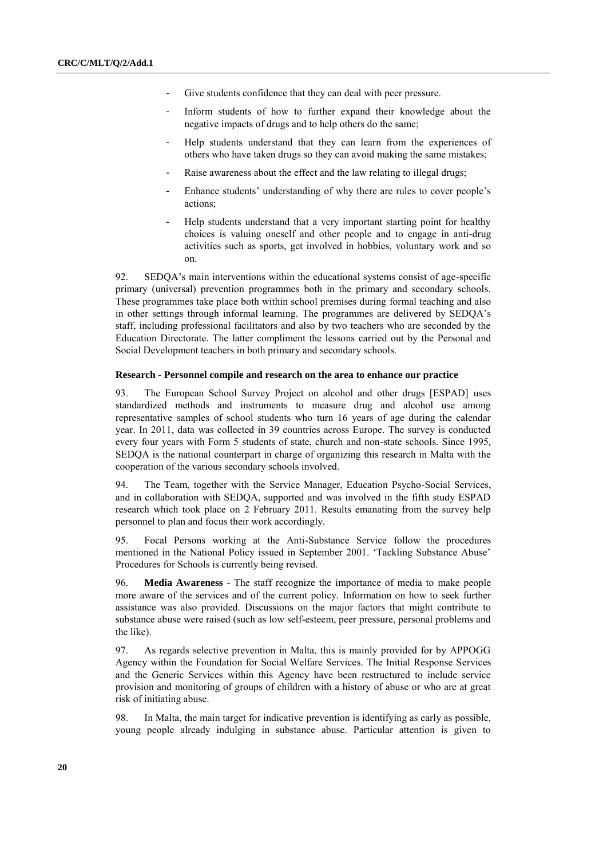- Give students confidence that they can deal with peer pressure.
- Inform students of how to further expand their knowledge about the negative impacts of drugs and to help others do the same;
- Help students understand that they can learn from the experiences of others who have taken drugs so they can avoid making the same mistakes;
- Raise awareness about the effect and the law relating to illegal drugs;
- Enhance students' understanding of why there are rules to cover people's actions;
- Help students understand that a very important starting point for healthy choices is valuing oneself and other people and to engage in anti-drug activities such as sports, get involved in hobbies, voluntary work and so on.

92. SEDQA"s main interventions within the educational systems consist of age-specific primary (universal) prevention programmes both in the primary and secondary schools. These programmes take place both within school premises during formal teaching and also in other settings through informal learning. The programmes are delivered by SEDQA"s staff, including professional facilitators and also by two teachers who are seconded by the Education Directorate. The latter compliment the lessons carried out by the Personal and Social Development teachers in both primary and secondary schools.

#### **Research - Personnel compile and research on the area to enhance our practice**

93. The European School Survey Project on alcohol and other drugs [ESPAD] uses standardized methods and instruments to measure drug and alcohol use among representative samples of school students who turn 16 years of age during the calendar year. In 2011, data was collected in 39 countries across Europe. The survey is conducted every four years with Form 5 students of state, church and non-state schools. Since 1995, SEDQA is the national counterpart in charge of organizing this research in Malta with the cooperation of the various secondary schools involved.

94. The Team, together with the Service Manager, Education Psycho-Social Services, and in collaboration with SEDQA, supported and was involved in the fifth study ESPAD research which took place on 2 February 2011. Results emanating from the survey help personnel to plan and focus their work accordingly.

95. Focal Persons working at the Anti-Substance Service follow the procedures mentioned in the National Policy issued in September 2001. "Tackling Substance Abuse" Procedures for Schools is currently being revised.

96. **Media Awareness** - The staff recognize the importance of media to make people more aware of the services and of the current policy. Information on how to seek further assistance was also provided. Discussions on the major factors that might contribute to substance abuse were raised (such as low self-esteem, peer pressure, personal problems and the like).

97. As regards selective prevention in Malta, this is mainly provided for by APPOGG Agency within the Foundation for Social Welfare Services. The Initial Response Services and the Generic Services within this Agency have been restructured to include service provision and monitoring of groups of children with a history of abuse or who are at great risk of initiating abuse.

98. In Malta, the main target for indicative prevention is identifying as early as possible, young people already indulging in substance abuse. Particular attention is given to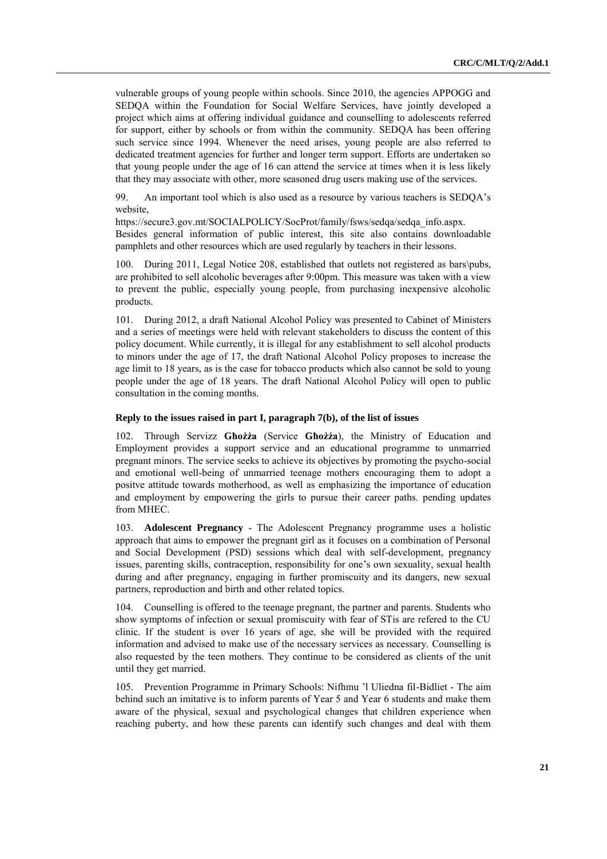vulnerable groups of young people within schools. Since 2010, the agencies APPOGG and SEDQA within the Foundation for Social Welfare Services, have jointly developed a project which aims at offering individual guidance and counselling to adolescents referred for support, either by schools or from within the community. SEDQA has been offering such service since 1994. Whenever the need arises, young people are also referred to dedicated treatment agencies for further and longer term support. Efforts are undertaken so that young people under the age of 16 can attend the service at times when it is less likely that they may associate with other, more seasoned drug users making use of the services.

99. An important tool which is also used as a resource by various teachers is SEDQA"s website,

https://secure3.gov.mt/SOCIALPOLICY/SocProt/family/fsws/sedqa/sedqa\_info.aspx. Besides general information of public interest, this site also contains downloadable pamphlets and other resources which are used regularly by teachers in their lessons.

100. During 2011, Legal Notice 208, established that outlets not registered as bars\pubs, are prohibited to sell alcoholic beverages after 9:00pm. This measure was taken with a view to prevent the public, especially young people, from purchasing inexpensive alcoholic products.

101. During 2012, a draft National Alcohol Policy was presented to Cabinet of Ministers and a series of meetings were held with relevant stakeholders to discuss the content of this policy document. While currently, it is illegal for any establishment to sell alcohol products to minors under the age of 17, the draft National Alcohol Policy proposes to increase the age limit to 18 years, as is the case for tobacco products which also cannot be sold to young people under the age of 18 years. The draft National Alcohol Policy will open to public consultation in the coming months.

#### **Reply to the issues raised in part I, paragraph 7(b), of the list of issues**

102. Through Servizz **Għożża** (Service **Għożża**), the Ministry of Education and Employment provides a support service and an educational programme to unmarried pregnant minors. The service seeks to achieve its objectives by promoting the psycho-social and emotional well-being of unmarried teenage mothers encouraging them to adopt a positve attitude towards motherhood, as well as emphasizing the importance of education and employment by empowering the girls to pursue their career paths. pending updates from MHEC.

103. **Adolescent Pregnancy** - The Adolescent Pregnancy programme uses a holistic approach that aims to empower the pregnant girl as it focuses on a combination of Personal and Social Development (PSD) sessions which deal with self-development, pregnancy issues, parenting skills, contraception, responsibility for one's own sexuality, sexual health during and after pregnancy, engaging in further promiscuity and its dangers, new sexual partners, reproduction and birth and other related topics.

104. Counselling is offered to the teenage pregnant, the partner and parents. Students who show symptoms of infection or sexual promiscuity with fear of STis are refered to the CU clinic. If the student is over 16 years of age, she will be provided with the required information and advised to make use of the necessary services as necessary. Counselling is also requested by the teen mothers. They continue to be considered as clients of the unit until they get married.

105. Prevention Programme in Primary Schools: Nifhmu "l Uliedna fil-Bidliet - The aim behind such an imitative is to inform parents of Year 5 and Year 6 students and make them aware of the physical, sexual and psychological changes that children experience when reaching puberty, and how these parents can identify such changes and deal with them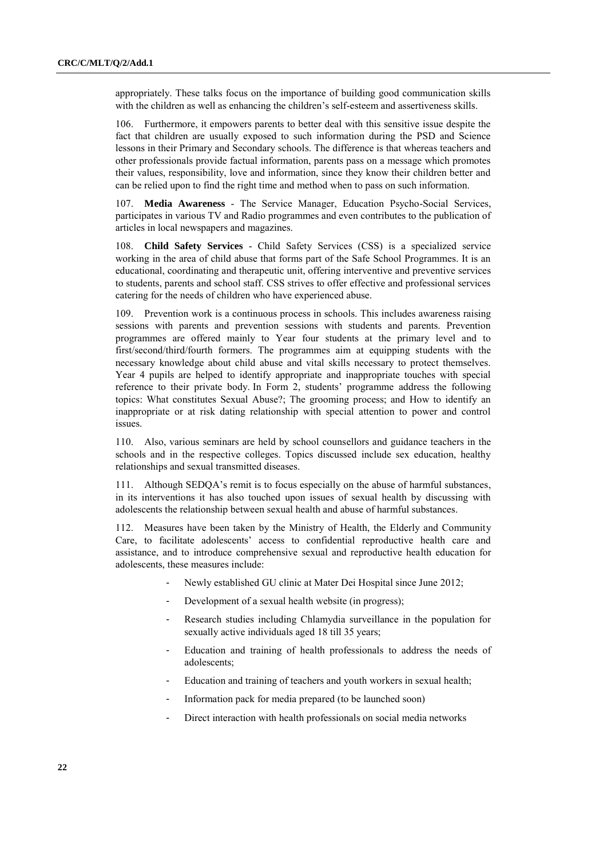appropriately. These talks focus on the importance of building good communication skills with the children as well as enhancing the children"s self-esteem and assertiveness skills.

106. Furthermore, it empowers parents to better deal with this sensitive issue despite the fact that children are usually exposed to such information during the PSD and Science lessons in their Primary and Secondary schools. The difference is that whereas teachers and other professionals provide factual information, parents pass on a message which promotes their values, responsibility, love and information, since they know their children better and can be relied upon to find the right time and method when to pass on such information.

107. **Media Awareness** - The Service Manager, Education Psycho-Social Services, participates in various TV and Radio programmes and even contributes to the publication of articles in local newspapers and magazines.

108. **Child Safety Services** - Child Safety Services (CSS) is a specialized service working in the area of child abuse that forms part of the Safe School Programmes. It is an educational, coordinating and therapeutic unit, offering interventive and preventive services to students, parents and school staff. CSS strives to offer effective and professional services catering for the needs of children who have experienced abuse.

109. Prevention work is a continuous process in schools. This includes awareness raising sessions with parents and prevention sessions with students and parents. Prevention programmes are offered mainly to Year four students at the primary level and to first/second/third/fourth formers. The programmes aim at equipping students with the necessary knowledge about child abuse and vital skills necessary to protect themselves. Year 4 pupils are helped to identify appropriate and inappropriate touches with special reference to their private body. In Form 2, students" programme address the following topics: What constitutes Sexual Abuse?; The grooming process; and How to identify an inappropriate or at risk dating relationship with special attention to power and control issues.

110. Also, various seminars are held by school counsellors and guidance teachers in the schools and in the respective colleges. Topics discussed include sex education, healthy relationships and sexual transmitted diseases.

111. Although SEDQA"s remit is to focus especially on the abuse of harmful substances, in its interventions it has also touched upon issues of sexual health by discussing with adolescents the relationship between sexual health and abuse of harmful substances.

112. Measures have been taken by the Ministry of Health, the Elderly and Community Care, to facilitate adolescents" access to confidential reproductive health care and assistance, and to introduce comprehensive sexual and reproductive health education for adolescents, these measures include:

- Newly established GU clinic at Mater Dei Hospital since June 2012;
- Development of a sexual health website (in progress);
- Research studies including Chlamydia surveillance in the population for sexually active individuals aged 18 till 35 years;
- Education and training of health professionals to address the needs of adolescents;
- Education and training of teachers and youth workers in sexual health;
- Information pack for media prepared (to be launched soon)
- Direct interaction with health professionals on social media networks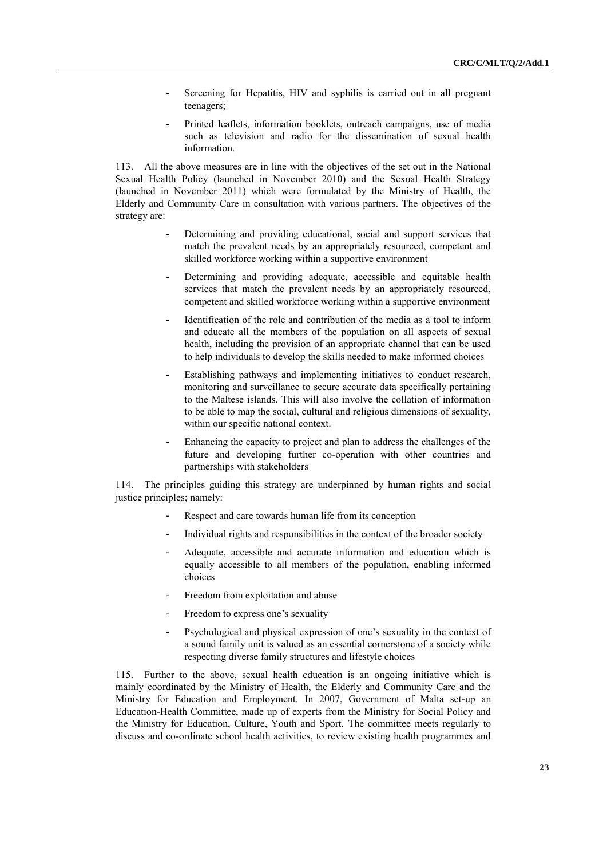- Screening for Hepatitis, HIV and syphilis is carried out in all pregnant teenagers;
- Printed leaflets, information booklets, outreach campaigns, use of media such as television and radio for the dissemination of sexual health information.

113. All the above measures are in line with the objectives of the set out in the National Sexual Health Policy (launched in November 2010) and the Sexual Health Strategy (launched in November 2011) which were formulated by the Ministry of Health, the Elderly and Community Care in consultation with various partners. The objectives of the strategy are:

- Determining and providing educational, social and support services that match the prevalent needs by an appropriately resourced, competent and skilled workforce working within a supportive environment
- Determining and providing adequate, accessible and equitable health services that match the prevalent needs by an appropriately resourced, competent and skilled workforce working within a supportive environment
- Identification of the role and contribution of the media as a tool to inform and educate all the members of the population on all aspects of sexual health, including the provision of an appropriate channel that can be used to help individuals to develop the skills needed to make informed choices
- Establishing pathways and implementing initiatives to conduct research, monitoring and surveillance to secure accurate data specifically pertaining to the Maltese islands. This will also involve the collation of information to be able to map the social, cultural and religious dimensions of sexuality, within our specific national context.
- Enhancing the capacity to project and plan to address the challenges of the future and developing further co-operation with other countries and partnerships with stakeholders

114. The principles guiding this strategy are underpinned by human rights and social justice principles; namely:

- Respect and care towards human life from its conception
- Individual rights and responsibilities in the context of the broader society
- Adequate, accessible and accurate information and education which is equally accessible to all members of the population, enabling informed choices
- Freedom from exploitation and abuse
- Freedom to express one's sexuality
- Psychological and physical expression of one's sexuality in the context of a sound family unit is valued as an essential cornerstone of a society while respecting diverse family structures and lifestyle choices

115. Further to the above, sexual health education is an ongoing initiative which is mainly coordinated by the Ministry of Health, the Elderly and Community Care and the Ministry for Education and Employment. In 2007, Government of Malta set-up an Education-Health Committee, made up of experts from the Ministry for Social Policy and the Ministry for Education, Culture, Youth and Sport. The committee meets regularly to discuss and co-ordinate school health activities, to review existing health programmes and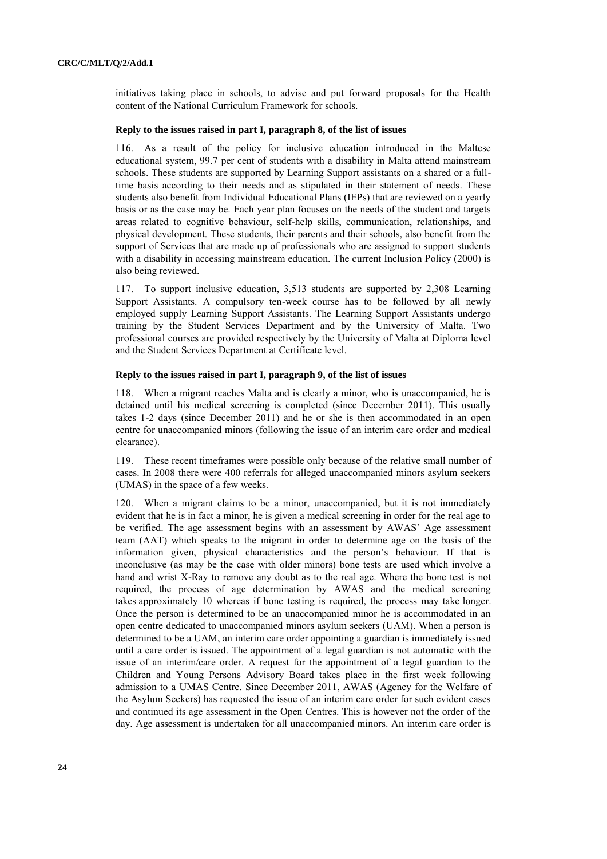initiatives taking place in schools, to advise and put forward proposals for the Health content of the National Curriculum Framework for schools.

### **Reply to the issues raised in part I, paragraph 8, of the list of issues**

116. As a result of the policy for inclusive education introduced in the Maltese educational system, 99.7 per cent of students with a disability in Malta attend mainstream schools. These students are supported by Learning Support assistants on a shared or a fulltime basis according to their needs and as stipulated in their statement of needs. These students also benefit from Individual Educational Plans (IEPs) that are reviewed on a yearly basis or as the case may be. Each year plan focuses on the needs of the student and targets areas related to cognitive behaviour, self-help skills, communication, relationships, and physical development. These students, their parents and their schools, also benefit from the support of Services that are made up of professionals who are assigned to support students with a disability in accessing mainstream education. The current Inclusion Policy (2000) is also being reviewed.

117. To support inclusive education, 3,513 students are supported by 2,308 Learning Support Assistants. A compulsory ten-week course has to be followed by all newly employed supply Learning Support Assistants. The Learning Support Assistants undergo training by the Student Services Department and by the University of Malta. Two professional courses are provided respectively by the University of Malta at Diploma level and the Student Services Department at Certificate level.

#### **Reply to the issues raised in part I, paragraph 9, of the list of issues**

118. When a migrant reaches Malta and is clearly a minor, who is unaccompanied, he is detained until his medical screening is completed (since December 2011). This usually takes 1-2 days (since December 2011) and he or she is then accommodated in an open centre for unaccompanied minors (following the issue of an interim care order and medical clearance).

119. These recent timeframes were possible only because of the relative small number of cases. In 2008 there were 400 referrals for alleged unaccompanied minors asylum seekers (UMAS) in the space of a few weeks.

120. When a migrant claims to be a minor, unaccompanied, but it is not immediately evident that he is in fact a minor, he is given a medical screening in order for the real age to be verified. The age assessment begins with an assessment by AWAS" Age assessment team (AAT) which speaks to the migrant in order to determine age on the basis of the information given, physical characteristics and the person"s behaviour. If that is inconclusive (as may be the case with older minors) bone tests are used which involve a hand and wrist X-Ray to remove any doubt as to the real age. Where the bone test is not required, the process of age determination by AWAS and the medical screening takes approximately 10 whereas if bone testing is required, the process may take longer. Once the person is determined to be an unaccompanied minor he is accommodated in an open centre dedicated to unaccompanied minors asylum seekers (UAM). When a person is determined to be a UAM, an interim care order appointing a guardian is immediately issued until a care order is issued. The appointment of a legal guardian is not automatic with the issue of an interim/care order. A request for the appointment of a legal guardian to the Children and Young Persons Advisory Board takes place in the first week following admission to a UMAS Centre. Since December 2011, AWAS (Agency for the Welfare of the Asylum Seekers) has requested the issue of an interim care order for such evident cases and continued its age assessment in the Open Centres. This is however not the order of the day. Age assessment is undertaken for all unaccompanied minors. An interim care order is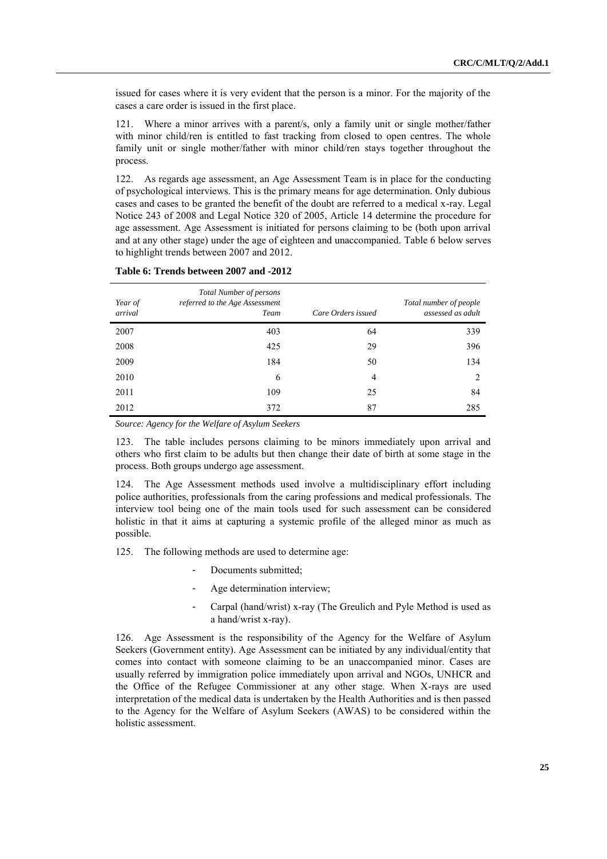issued for cases where it is very evident that the person is a minor. For the majority of the cases a care order is issued in the first place.

121. Where a minor arrives with a parent/s, only a family unit or single mother/father with minor child/ren is entitled to fast tracking from closed to open centres. The whole family unit or single mother/father with minor child/ren stays together throughout the process.

122. As regards age assessment, an Age Assessment Team is in place for the conducting of psychological interviews. This is the primary means for age determination. Only dubious cases and cases to be granted the benefit of the doubt are referred to a medical x-ray. Legal Notice 243 of 2008 and Legal Notice 320 of 2005, Article 14 determine the procedure for age assessment. Age Assessment is initiated for persons claiming to be (both upon arrival and at any other stage) under the age of eighteen and unaccompanied. Table 6 below serves to highlight trends between 2007 and 2012.

| Year of<br>arrival | <b>Total Number of persons</b><br>referred to the Age Assessment<br>Team | Care Orders issued | Total number of people<br>assessed as adult |
|--------------------|--------------------------------------------------------------------------|--------------------|---------------------------------------------|
| 2007               | 403                                                                      | 64                 | 339                                         |
| 2008               | 425                                                                      | 29                 | 396                                         |
| 2009               | 184                                                                      | 50                 | 134                                         |
| 2010               | 6                                                                        | 4                  | 2                                           |
| 2011               | 109                                                                      | 25                 | 84                                          |
| 2012               | 372                                                                      | 87                 | 285                                         |

#### **Table 6: Trends between 2007 and -2012**

*Source: Agency for the Welfare of Asylum Seekers* 

123. The table includes persons claiming to be minors immediately upon arrival and others who first claim to be adults but then change their date of birth at some stage in the process. Both groups undergo age assessment.

124. The Age Assessment methods used involve a multidisciplinary effort including police authorities, professionals from the caring professions and medical professionals. The interview tool being one of the main tools used for such assessment can be considered holistic in that it aims at capturing a systemic profile of the alleged minor as much as possible.

125. The following methods are used to determine age:

- Documents submitted;
- Age determination interview;
- Carpal (hand/wrist) x-ray (The Greulich and Pyle Method is used as a hand/wrist x-ray).

126. Age Assessment is the responsibility of the Agency for the Welfare of Asylum Seekers (Government entity). Age Assessment can be initiated by any individual/entity that comes into contact with someone claiming to be an unaccompanied minor. Cases are usually referred by immigration police immediately upon arrival and NGOs, UNHCR and the Office of the Refugee Commissioner at any other stage. When X-rays are used interpretation of the medical data is undertaken by the Health Authorities and is then passed to the Agency for the Welfare of Asylum Seekers (AWAS) to be considered within the holistic assessment.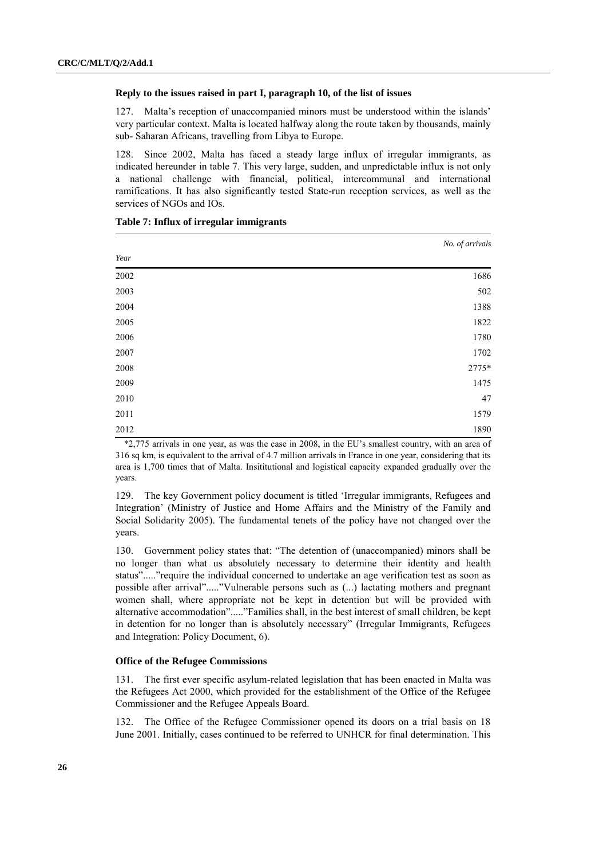#### **Reply to the issues raised in part I, paragraph 10, of the list of issues**

127. Malta"s reception of unaccompanied minors must be understood within the islands" very particular context. Malta is located halfway along the route taken by thousands, mainly sub- Saharan Africans, travelling from Libya to Europe.

128. Since 2002, Malta has faced a steady large influx of irregular immigrants, as indicated hereunder in table 7. This very large, sudden, and unpredictable influx is not only a national challenge with financial, political, intercommunal and international ramifications. It has also significantly tested State-run reception services, as well as the services of NGOs and IOs.

|      | No. of arrivals |
|------|-----------------|
| Year |                 |
| 2002 | 1686            |
| 2003 | 502             |
| 2004 | 1388            |
| 2005 | 1822            |
| 2006 | 1780            |
| 2007 | 1702            |
| 2008 | 2775*           |
| 2009 | 1475            |
| 2010 | 47              |
| 2011 | 1579            |
| 2012 | 1890            |

#### **Table 7: Influx of irregular immigrants**

\*2,775 arrivals in one year, as was the case in 2008, in the EU"s smallest country, with an area of 316 sq km, is equivalent to the arrival of 4.7 million arrivals in France in one year, considering that its area is 1,700 times that of Malta. Insititutional and logistical capacity expanded gradually over the years.

129. The key Government policy document is titled "Irregular immigrants, Refugees and Integration" (Ministry of Justice and Home Affairs and the Ministry of the Family and Social Solidarity 2005). The fundamental tenets of the policy have not changed over the years.

130. Government policy states that: "The detention of (unaccompanied) minors shall be no longer than what us absolutely necessary to determine their identity and health status"....."require the individual concerned to undertake an age verification test as soon as possible after arrival"....."Vulnerable persons such as (...) lactating mothers and pregnant women shall, where appropriate not be kept in detention but will be provided with alternative accommodation"....."Families shall, in the best interest of small children, be kept in detention for no longer than is absolutely necessary" (Irregular Immigrants, Refugees and Integration: Policy Document, 6).

### **Office of the Refugee Commissions**

131. The first ever specific asylum-related legislation that has been enacted in Malta was the Refugees Act 2000, which provided for the establishment of the Office of the Refugee Commissioner and the Refugee Appeals Board.

132. The Office of the Refugee Commissioner opened its doors on a trial basis on 18 June 2001. Initially, cases continued to be referred to UNHCR for final determination. This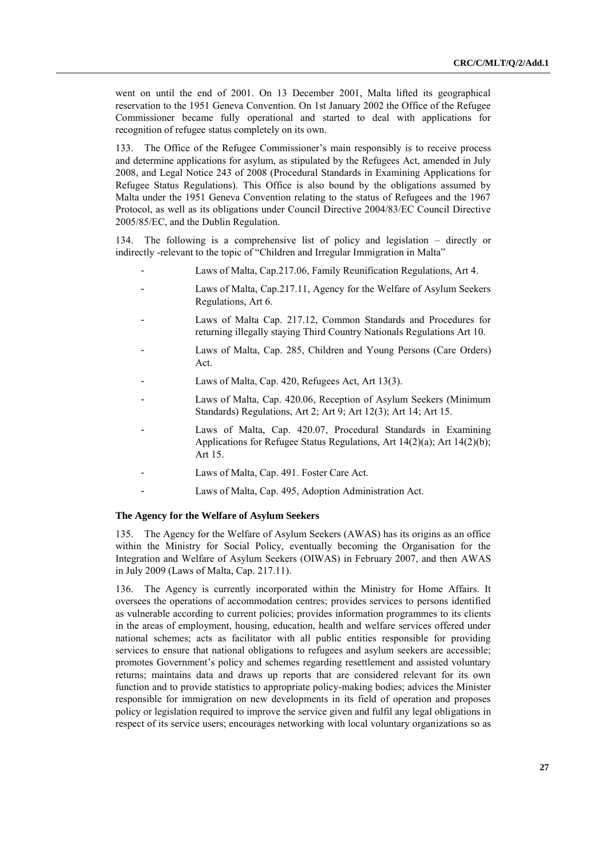went on until the end of 2001. On 13 December 2001, Malta lifted its geographical reservation to the 1951 Geneva Convention. On 1st January 2002 the Office of the Refugee Commissioner became fully operational and started to deal with applications for recognition of refugee status completely on its own.

133. The Office of the Refugee Commissioner"s main responsibly is to receive process and determine applications for asylum, as stipulated by the Refugees Act, amended in July 2008, and Legal Notice 243 of 2008 (Procedural Standards in Examining Applications for Refugee Status Regulations). This Office is also bound by the obligations assumed by Malta under the 1951 Geneva Convention relating to the status of Refugees and the 1967 Protocol, as well as its obligations under Council Directive 2004/83/EC Council Directive 2005/85/EC, and the Dublin Regulation.

134. The following is a comprehensive list of policy and legislation – directly or indirectly -relevant to the topic of "Children and Irregular Immigration in Malta"

- Laws of Malta, Cap.217.06, Family Reunification Regulations, Art 4.
- Laws of Malta, Cap.217.11, Agency for the Welfare of Asylum Seekers Regulations, Art 6.
- Laws of Malta Cap. 217.12, Common Standards and Procedures for returning illegally staying Third Country Nationals Regulations Art 10.
- Laws of Malta, Cap. 285, Children and Young Persons (Care Orders) Act.
- Laws of Malta, Cap. 420, Refugees Act, Art 13(3).
- Laws of Malta, Cap. 420.06, Reception of Asylum Seekers (Minimum Standards) Regulations, Art 2; Art 9; Art 12(3); Art 14; Art 15.
- Laws of Malta, Cap. 420.07, Procedural Standards in Examining Applications for Refugee Status Regulations, Art 14(2)(a); Art 14(2)(b); Art 15.
- Laws of Malta, Cap. 491. Foster Care Act.
- Laws of Malta, Cap. 495, Adoption Administration Act.

#### **The Agency for the Welfare of Asylum Seekers**

135. The Agency for the Welfare of Asylum Seekers (AWAS) has its origins as an office within the Ministry for Social Policy, eventually becoming the Organisation for the Integration and Welfare of Asylum Seekers (OIWAS) in February 2007, and then AWAS in July 2009 (Laws of Malta, Cap. 217.11).

136. The Agency is currently incorporated within the Ministry for Home Affairs. It oversees the operations of accommodation centres; provides services to persons identified as vulnerable according to current policies; provides information programmes to its clients in the areas of employment, housing, education, health and welfare services offered under national schemes; acts as facilitator with all public entities responsible for providing services to ensure that national obligations to refugees and asylum seekers are accessible; promotes Government's policy and schemes regarding resettlement and assisted voluntary returns; maintains data and draws up reports that are considered relevant for its own function and to provide statistics to appropriate policy-making bodies; advices the Minister responsible for immigration on new developments in its field of operation and proposes policy or legislation required to improve the service given and fulfil any legal obligations in respect of its service users; encourages networking with local voluntary organizations so as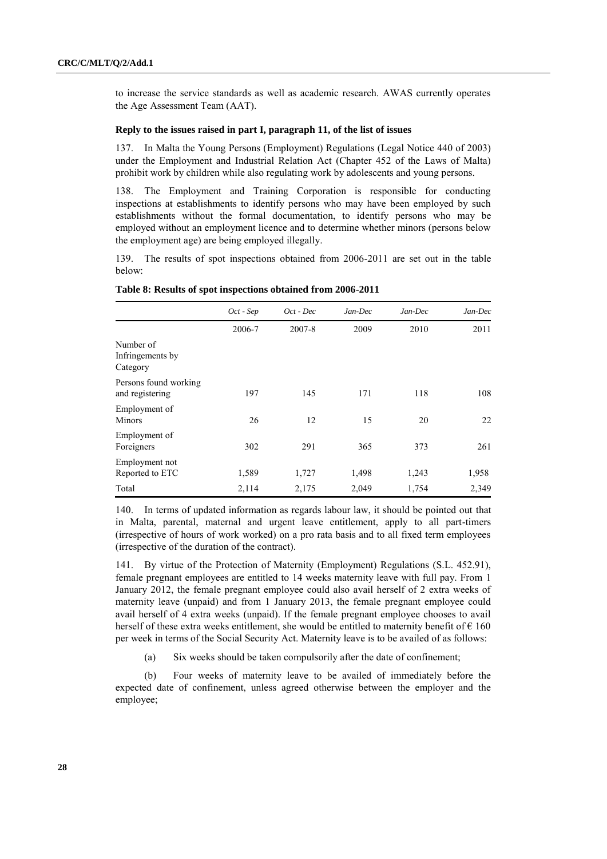to increase the service standards as well as academic research. AWAS currently operates the Age Assessment Team (AAT).

## **Reply to the issues raised in part I, paragraph 11, of the list of issues**

137. In Malta the Young Persons (Employment) Regulations (Legal Notice 440 of 2003) under the Employment and Industrial Relation Act (Chapter 452 of the Laws of Malta) prohibit work by children while also regulating work by adolescents and young persons.

138. The Employment and Training Corporation is responsible for conducting inspections at establishments to identify persons who may have been employed by such establishments without the formal documentation, to identify persons who may be employed without an employment licence and to determine whether minors (persons below the employment age) are being employed illegally.

139. The results of spot inspections obtained from 2006-2011 are set out in the table below:

|                                           | Oct - Sep | Oct - Dec | Jan-Dec | Jan-Dec | Jan-Dec |
|-------------------------------------------|-----------|-----------|---------|---------|---------|
|                                           | 2006-7    | 2007-8    | 2009    | 2010    | 2011    |
| Number of<br>Infringements by<br>Category |           |           |         |         |         |
| Persons found working<br>and registering  | 197       | 145       | 171     | 118     | 108     |
| Employment of<br>Minors                   | 26        | 12        | 15      | 20      | 22      |
| Employment of<br>Foreigners               | 302       | 291       | 365     | 373     | 261     |
| Employment not<br>Reported to ETC         | 1,589     | 1,727     | 1,498   | 1,243   | 1,958   |
| Total                                     | 2,114     | 2,175     | 2,049   | 1,754   | 2,349   |

#### **Table 8: Results of spot inspections obtained from 2006-2011**

140. In terms of updated information as regards labour law, it should be pointed out that in Malta, parental, maternal and urgent leave entitlement, apply to all part-timers (irrespective of hours of work worked) on a pro rata basis and to all fixed term employees (irrespective of the duration of the contract).

141. By virtue of the Protection of Maternity (Employment) Regulations (S.L. 452.91), female pregnant employees are entitled to 14 weeks maternity leave with full pay. From 1 January 2012, the female pregnant employee could also avail herself of 2 extra weeks of maternity leave (unpaid) and from 1 January 2013, the female pregnant employee could avail herself of 4 extra weeks (unpaid). If the female pregnant employee chooses to avail herself of these extra weeks entitlement, she would be entitled to maternity benefit of  $\epsilon$  160 per week in terms of the Social Security Act. Maternity leave is to be availed of as follows:

(a) Six weeks should be taken compulsorily after the date of confinement;

(b) Four weeks of maternity leave to be availed of immediately before the expected date of confinement, unless agreed otherwise between the employer and the employee;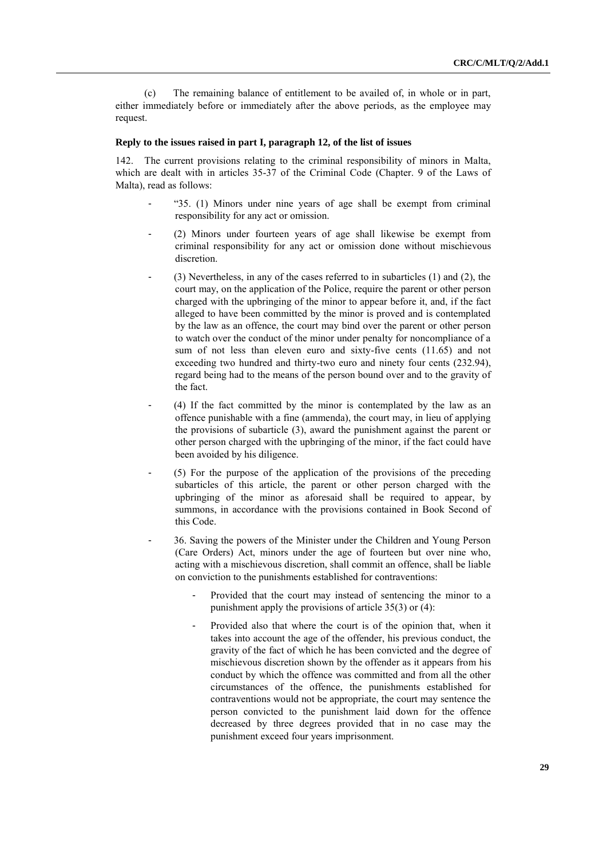(c) The remaining balance of entitlement to be availed of, in whole or in part, either immediately before or immediately after the above periods, as the employee may request.

# **Reply to the issues raised in part I, paragraph 12, of the list of issues**

The current provisions relating to the criminal responsibility of minors in Malta, which are dealt with in articles 35-37 of the Criminal Code (Chapter. 9 of the Laws of Malta), read as follows:

- "35. (1) Minors under nine years of age shall be exempt from criminal responsibility for any act or omission.
- (2) Minors under fourteen years of age shall likewise be exempt from criminal responsibility for any act or omission done without mischievous discretion.
- $(3)$  Nevertheless, in any of the cases referred to in subarticles  $(1)$  and  $(2)$ , the court may, on the application of the Police, require the parent or other person charged with the upbringing of the minor to appear before it, and, if the fact alleged to have been committed by the minor is proved and is contemplated by the law as an offence, the court may bind over the parent or other person to watch over the conduct of the minor under penalty for noncompliance of a sum of not less than eleven euro and sixty-five cents (11.65) and not exceeding two hundred and thirty-two euro and ninety four cents (232.94), regard being had to the means of the person bound over and to the gravity of the fact.
- (4) If the fact committed by the minor is contemplated by the law as an offence punishable with a fine (ammenda), the court may, in lieu of applying the provisions of subarticle (3), award the punishment against the parent or other person charged with the upbringing of the minor, if the fact could have been avoided by his diligence.
- (5) For the purpose of the application of the provisions of the preceding subarticles of this article, the parent or other person charged with the upbringing of the minor as aforesaid shall be required to appear, by summons, in accordance with the provisions contained in Book Second of this Code.
- 36. Saving the powers of the Minister under the Children and Young Person (Care Orders) Act, minors under the age of fourteen but over nine who, acting with a mischievous discretion, shall commit an offence, shall be liable on conviction to the punishments established for contraventions:
	- Provided that the court may instead of sentencing the minor to a punishment apply the provisions of article 35(3) or (4):
	- Provided also that where the court is of the opinion that, when it takes into account the age of the offender, his previous conduct, the gravity of the fact of which he has been convicted and the degree of mischievous discretion shown by the offender as it appears from his conduct by which the offence was committed and from all the other circumstances of the offence, the punishments established for contraventions would not be appropriate, the court may sentence the person convicted to the punishment laid down for the offence decreased by three degrees provided that in no case may the punishment exceed four years imprisonment.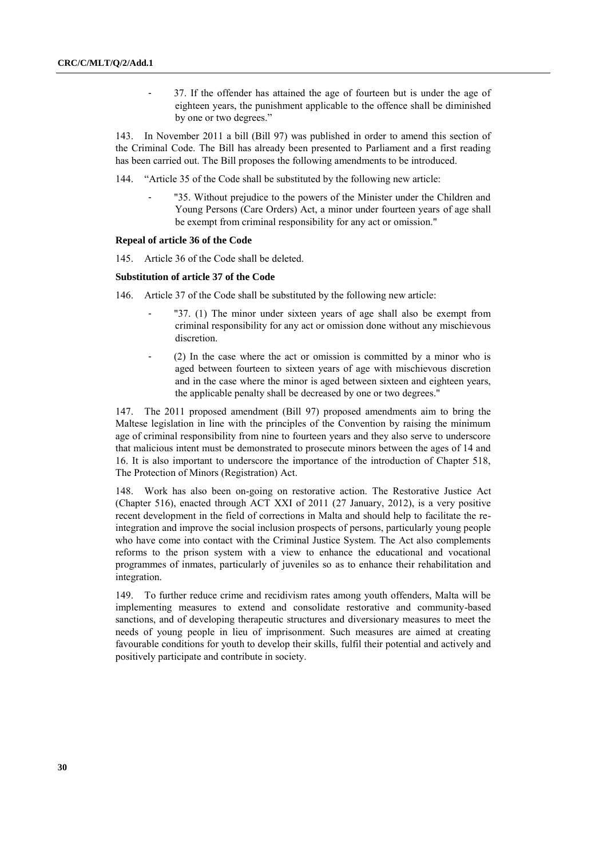- 37. If the offender has attained the age of fourteen but is under the age of eighteen years, the punishment applicable to the offence shall be diminished by one or two degrees."

143. In November 2011 a bill (Bill 97) was published in order to amend this section of the Criminal Code. The Bill has already been presented to Parliament and a first reading has been carried out. The Bill proposes the following amendments to be introduced.

144. "Article 35 of the Code shall be substituted by the following new article:

"35. Without prejudice to the powers of the Minister under the Children and Young Persons (Care Orders) Act, a minor under fourteen years of age shall be exempt from criminal responsibility for any act or omission."

### **Repeal of article 36 of the Code**

145. Article 36 of the Code shall be deleted.

#### **Substitution of article 37 of the Code**

146. Article 37 of the Code shall be substituted by the following new article:

- "37. (1) The minor under sixteen years of age shall also be exempt from criminal responsibility for any act or omission done without any mischievous discretion.
- (2) In the case where the act or omission is committed by a minor who is aged between fourteen to sixteen years of age with mischievous discretion and in the case where the minor is aged between sixteen and eighteen years, the applicable penalty shall be decreased by one or two degrees."

147. The 2011 proposed amendment (Bill 97) proposed amendments aim to bring the Maltese legislation in line with the principles of the Convention by raising the minimum age of criminal responsibility from nine to fourteen years and they also serve to underscore that malicious intent must be demonstrated to prosecute minors between the ages of 14 and 16. It is also important to underscore the importance of the introduction of Chapter 518, The Protection of Minors (Registration) Act.

148. Work has also been on-going on restorative action. The Restorative Justice Act (Chapter 516), enacted through ACT XXI of 2011 (27 January, 2012), is a very positive recent development in the field of corrections in Malta and should help to facilitate the reintegration and improve the social inclusion prospects of persons, particularly young people who have come into contact with the Criminal Justice System. The Act also complements reforms to the prison system with a view to enhance the educational and vocational programmes of inmates, particularly of juveniles so as to enhance their rehabilitation and integration.

To further reduce crime and recidivism rates among youth offenders, Malta will be implementing measures to extend and consolidate restorative and community-based sanctions, and of developing therapeutic structures and diversionary measures to meet the needs of young people in lieu of imprisonment. Such measures are aimed at creating favourable conditions for youth to develop their skills, fulfil their potential and actively and positively participate and contribute in society.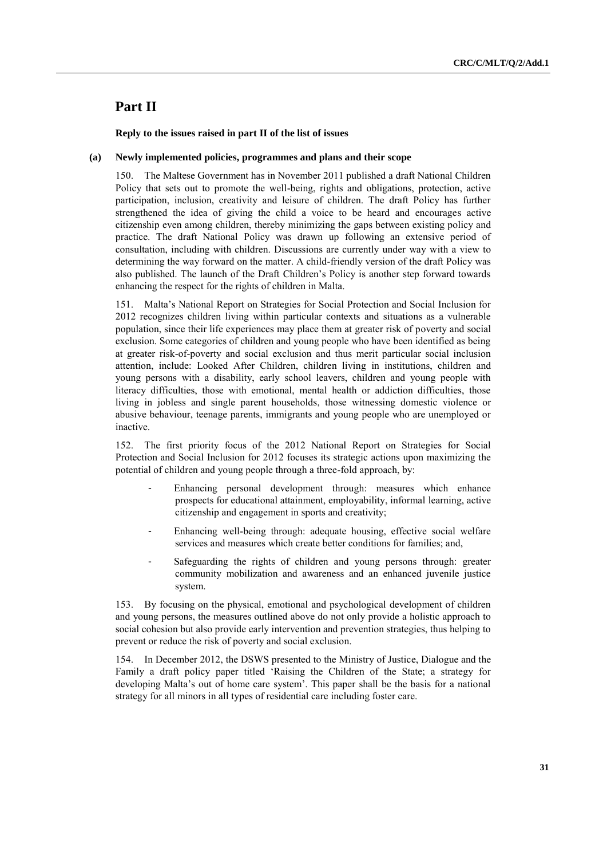# **Part II**

# **Reply to the issues raised in part II of the list of issues**

### **(a) Newly implemented policies, programmes and plans and their scope**

150. The Maltese Government has in November 2011 published a draft National Children Policy that sets out to promote the well-being, rights and obligations, protection, active participation, inclusion, creativity and leisure of children. The draft Policy has further strengthened the idea of giving the child a voice to be heard and encourages active citizenship even among children, thereby minimizing the gaps between existing policy and practice. The draft National Policy was drawn up following an extensive period of consultation, including with children. Discussions are currently under way with a view to determining the way forward on the matter. A child-friendly version of the draft Policy was also published. The launch of the Draft Children"s Policy is another step forward towards enhancing the respect for the rights of children in Malta.

151. Malta"s National Report on Strategies for Social Protection and Social Inclusion for 2012 recognizes children living within particular contexts and situations as a vulnerable population, since their life experiences may place them at greater risk of poverty and social exclusion. Some categories of children and young people who have been identified as being at greater risk-of-poverty and social exclusion and thus merit particular social inclusion attention, include: Looked After Children, children living in institutions, children and young persons with a disability, early school leavers, children and young people with literacy difficulties, those with emotional, mental health or addiction difficulties, those living in jobless and single parent households, those witnessing domestic violence or abusive behaviour, teenage parents, immigrants and young people who are unemployed or inactive.

152. The first priority focus of the 2012 National Report on Strategies for Social Protection and Social Inclusion for 2012 focuses its strategic actions upon maximizing the potential of children and young people through a three-fold approach, by:

- Enhancing personal development through: measures which enhance prospects for educational attainment, employability, informal learning, active citizenship and engagement in sports and creativity;
- Enhancing well-being through: adequate housing, effective social welfare services and measures which create better conditions for families; and,
- Safeguarding the rights of children and young persons through: greater community mobilization and awareness and an enhanced juvenile justice system.

153. By focusing on the physical, emotional and psychological development of children and young persons, the measures outlined above do not only provide a holistic approach to social cohesion but also provide early intervention and prevention strategies, thus helping to prevent or reduce the risk of poverty and social exclusion.

154. In December 2012, the DSWS presented to the Ministry of Justice, Dialogue and the Family a draft policy paper titled "Raising the Children of the State; a strategy for developing Malta's out of home care system'. This paper shall be the basis for a national strategy for all minors in all types of residential care including foster care.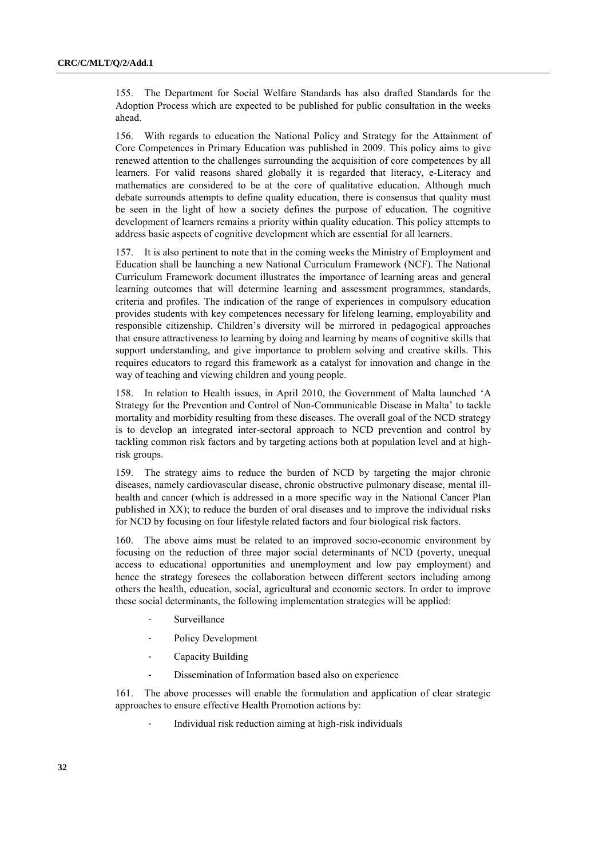155. The Department for Social Welfare Standards has also drafted Standards for the Adoption Process which are expected to be published for public consultation in the weeks ahead.

156. With regards to education the National Policy and Strategy for the Attainment of Core Competences in Primary Education was published in 2009. This policy aims to give renewed attention to the challenges surrounding the acquisition of core competences by all learners. For valid reasons shared globally it is regarded that literacy, e-Literacy and mathematics are considered to be at the core of qualitative education. Although much debate surrounds attempts to define quality education, there is consensus that quality must be seen in the light of how a society defines the purpose of education. The cognitive development of learners remains a priority within quality education. This policy attempts to address basic aspects of cognitive development which are essential for all learners.

157. It is also pertinent to note that in the coming weeks the Ministry of Employment and Education shall be launching a new National Curriculum Framework (NCF). The National Curriculum Framework document illustrates the importance of learning areas and general learning outcomes that will determine learning and assessment programmes, standards, criteria and profiles. The indication of the range of experiences in compulsory education provides students with key competences necessary for lifelong learning, employability and responsible citizenship. Children"s diversity will be mirrored in pedagogical approaches that ensure attractiveness to learning by doing and learning by means of cognitive skills that support understanding, and give importance to problem solving and creative skills. This requires educators to regard this framework as a catalyst for innovation and change in the way of teaching and viewing children and young people.

158. In relation to Health issues, in April 2010, the Government of Malta launched "A Strategy for the Prevention and Control of Non-Communicable Disease in Malta" to tackle mortality and morbidity resulting from these diseases. The overall goal of the NCD strategy is to develop an integrated inter-sectoral approach to NCD prevention and control by tackling common risk factors and by targeting actions both at population level and at highrisk groups.

159. The strategy aims to reduce the burden of NCD by targeting the major chronic diseases, namely cardiovascular disease, chronic obstructive pulmonary disease, mental illhealth and cancer (which is addressed in a more specific way in the National Cancer Plan published in XX); to reduce the burden of oral diseases and to improve the individual risks for NCD by focusing on four lifestyle related factors and four biological risk factors.

160. The above aims must be related to an improved socio-economic environment by focusing on the reduction of three major social determinants of NCD (poverty, unequal access to educational opportunities and unemployment and low pay employment) and hence the strategy foresees the collaboration between different sectors including among others the health, education, social, agricultural and economic sectors. In order to improve these social determinants, the following implementation strategies will be applied:

- Surveillance
- Policy Development
- Capacity Building
- Dissemination of Information based also on experience

161. The above processes will enable the formulation and application of clear strategic approaches to ensure effective Health Promotion actions by:

Individual risk reduction aiming at high-risk individuals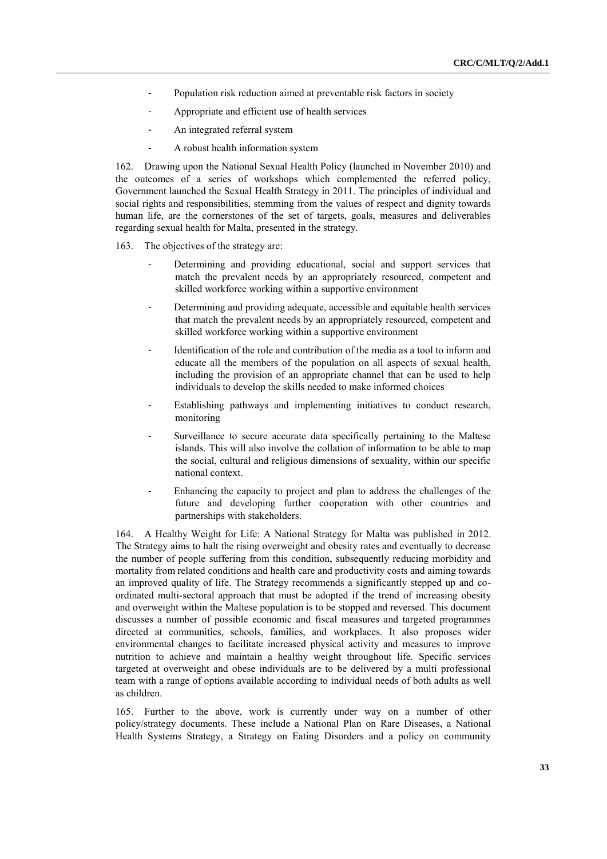- Population risk reduction aimed at preventable risk factors in society
- Appropriate and efficient use of health services
- An integrated referral system
- A robust health information system

162. Drawing upon the National Sexual Health Policy (launched in November 2010) and the outcomes of a series of workshops which complemented the referred policy, Government launched the Sexual Health Strategy in 2011. The principles of individual and social rights and responsibilities, stemming from the values of respect and dignity towards human life, are the cornerstones of the set of targets, goals, measures and deliverables regarding sexual health for Malta, presented in the strategy.

163. The objectives of the strategy are:

- Determining and providing educational, social and support services that match the prevalent needs by an appropriately resourced, competent and skilled workforce working within a supportive environment
- Determining and providing adequate, accessible and equitable health services that match the prevalent needs by an appropriately resourced, competent and skilled workforce working within a supportive environment
- Identification of the role and contribution of the media as a tool to inform and educate all the members of the population on all aspects of sexual health, including the provision of an appropriate channel that can be used to help individuals to develop the skills needed to make informed choices
- Establishing pathways and implementing initiatives to conduct research, monitoring
- Surveillance to secure accurate data specifically pertaining to the Maltese islands. This will also involve the collation of information to be able to map the social, cultural and religious dimensions of sexuality, within our specific national context.
- Enhancing the capacity to project and plan to address the challenges of the future and developing further cooperation with other countries and partnerships with stakeholders.

164. A Healthy Weight for Life: A National Strategy for Malta was published in 2012. The Strategy aims to halt the rising overweight and obesity rates and eventually to decrease the number of people suffering from this condition, subsequently reducing morbidity and mortality from related conditions and health care and productivity costs and aiming towards an improved quality of life. The Strategy recommends a significantly stepped up and coordinated multi-sectoral approach that must be adopted if the trend of increasing obesity and overweight within the Maltese population is to be stopped and reversed. This document discusses a number of possible economic and fiscal measures and targeted programmes directed at communities, schools, families, and workplaces. It also proposes wider environmental changes to facilitate increased physical activity and measures to improve nutrition to achieve and maintain a healthy weight throughout life. Specific services targeted at overweight and obese individuals are to be delivered by a multi professional team with a range of options available according to individual needs of both adults as well as children.

165. Further to the above, work is currently under way on a number of other policy/strategy documents. These include a National Plan on Rare Diseases, a National Health Systems Strategy, a Strategy on Eating Disorders and a policy on community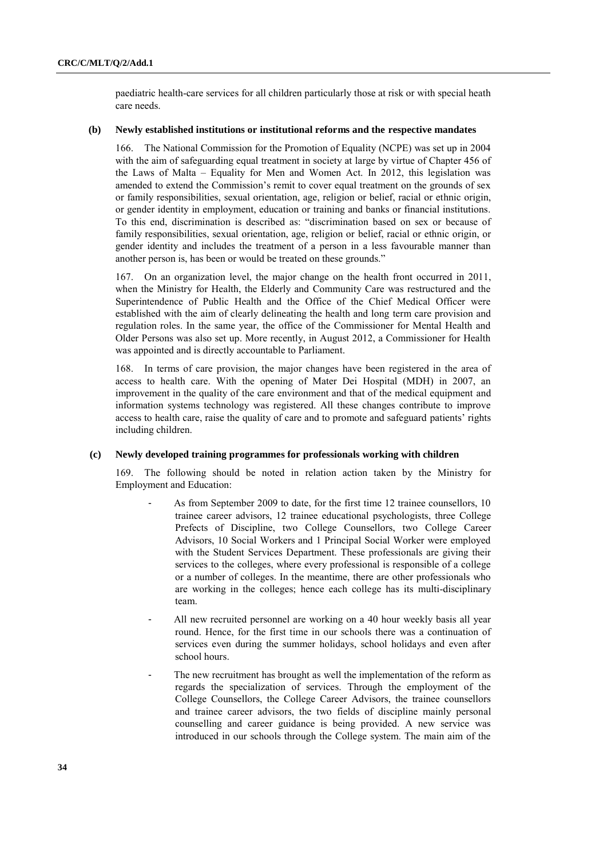paediatric health-care services for all children particularly those at risk or with special heath care needs.

# **(b) Newly established institutions or institutional reforms and the respective mandates**

166. The National Commission for the Promotion of Equality (NCPE) was set up in 2004 with the aim of safeguarding equal treatment in society at large by virtue of Chapter 456 of the Laws of Malta – Equality for Men and Women Act. In 2012, this legislation was amended to extend the Commission"s remit to cover equal treatment on the grounds of sex or family responsibilities, sexual orientation, age, religion or belief, racial or ethnic origin, or gender identity in employment, education or training and banks or financial institutions. To this end, discrimination is described as: "discrimination based on sex or because of family responsibilities, sexual orientation, age, religion or belief, racial or ethnic origin, or gender identity and includes the treatment of a person in a less favourable manner than another person is, has been or would be treated on these grounds."

167. On an organization level, the major change on the health front occurred in 2011, when the Ministry for Health, the Elderly and Community Care was restructured and the Superintendence of Public Health and the Office of the Chief Medical Officer were established with the aim of clearly delineating the health and long term care provision and regulation roles. In the same year, the office of the Commissioner for Mental Health and Older Persons was also set up. More recently, in August 2012, a Commissioner for Health was appointed and is directly accountable to Parliament.

168. In terms of care provision, the major changes have been registered in the area of access to health care. With the opening of Mater Dei Hospital (MDH) in 2007, an improvement in the quality of the care environment and that of the medical equipment and information systems technology was registered. All these changes contribute to improve access to health care, raise the quality of care and to promote and safeguard patients' rights including children.

### **(c) Newly developed training programmes for professionals working with children**

The following should be noted in relation action taken by the Ministry for Employment and Education:

- As from September 2009 to date, for the first time 12 trainee counsellors, 10 trainee career advisors, 12 trainee educational psychologists, three College Prefects of Discipline, two College Counsellors, two College Career Advisors, 10 Social Workers and 1 Principal Social Worker were employed with the Student Services Department. These professionals are giving their services to the colleges, where every professional is responsible of a college or a number of colleges. In the meantime, there are other professionals who are working in the colleges; hence each college has its multi-disciplinary team.
- All new recruited personnel are working on a 40 hour weekly basis all year round. Hence, for the first time in our schools there was a continuation of services even during the summer holidays, school holidays and even after school hours.
- The new recruitment has brought as well the implementation of the reform as regards the specialization of services. Through the employment of the College Counsellors, the College Career Advisors, the trainee counsellors and trainee career advisors, the two fields of discipline mainly personal counselling and career guidance is being provided. A new service was introduced in our schools through the College system. The main aim of the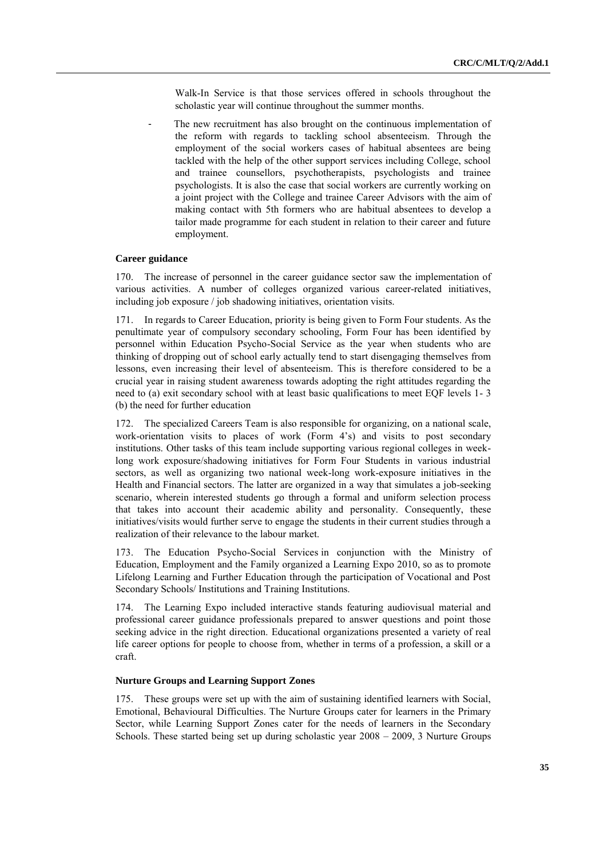Walk-In Service is that those services offered in schools throughout the scholastic year will continue throughout the summer months.

The new recruitment has also brought on the continuous implementation of the reform with regards to tackling school absenteeism. Through the employment of the social workers cases of habitual absentees are being tackled with the help of the other support services including College, school and trainee counsellors, psychotherapists, psychologists and trainee psychologists. It is also the case that social workers are currently working on a joint project with the College and trainee Career Advisors with the aim of making contact with 5th formers who are habitual absentees to develop a tailor made programme for each student in relation to their career and future employment.

#### **Career guidance**

170. The increase of personnel in the career guidance sector saw the implementation of various activities. A number of colleges organized various career-related initiatives, including job exposure / job shadowing initiatives, orientation visits.

171. In regards to Career Education, priority is being given to Form Four students. As the penultimate year of compulsory secondary schooling, Form Four has been identified by personnel within Education Psycho-Social Service as the year when students who are thinking of dropping out of school early actually tend to start disengaging themselves from lessons, even increasing their level of absenteeism. This is therefore considered to be a crucial year in raising student awareness towards adopting the right attitudes regarding the need to (a) exit secondary school with at least basic qualifications to meet EQF levels 1- 3 (b) the need for further education

172. The specialized Careers Team is also responsible for organizing, on a national scale, work-orientation visits to places of work (Form 4's) and visits to post secondary institutions. Other tasks of this team include supporting various regional colleges in weeklong work exposure/shadowing initiatives for Form Four Students in various industrial sectors, as well as organizing two national week-long work-exposure initiatives in the Health and Financial sectors. The latter are organized in a way that simulates a job-seeking scenario, wherein interested students go through a formal and uniform selection process that takes into account their academic ability and personality. Consequently, these initiatives/visits would further serve to engage the students in their current studies through a realization of their relevance to the labour market.

173. The Education Psycho-Social Services in conjunction with the Ministry of Education, Employment and the Family organized a Learning Expo 2010, so as to promote Lifelong Learning and Further Education through the participation of Vocational and Post Secondary Schools/ Institutions and Training Institutions.

174. The Learning Expo included interactive stands featuring audiovisual material and professional career guidance professionals prepared to answer questions and point those seeking advice in the right direction. Educational organizations presented a variety of real life career options for people to choose from, whether in terms of a profession, a skill or a craft.

#### **Nurture Groups and Learning Support Zones**

175. These groups were set up with the aim of sustaining identified learners with Social, Emotional, Behavioural Difficulties. The Nurture Groups cater for learners in the Primary Sector, while Learning Support Zones cater for the needs of learners in the Secondary Schools. These started being set up during scholastic year 2008 – 2009, 3 Nurture Groups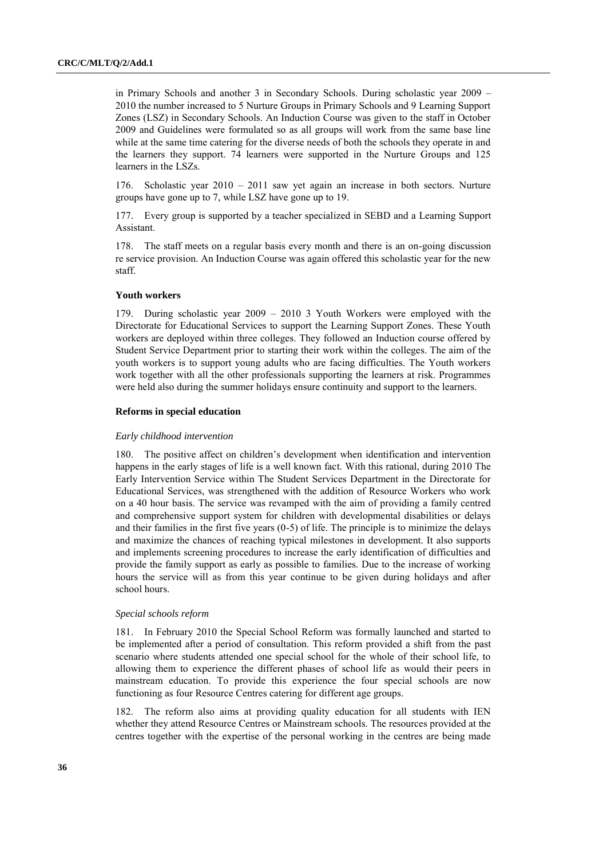in Primary Schools and another 3 in Secondary Schools. During scholastic year 2009 – 2010 the number increased to 5 Nurture Groups in Primary Schools and 9 Learning Support Zones (LSZ) in Secondary Schools. An Induction Course was given to the staff in October 2009 and Guidelines were formulated so as all groups will work from the same base line while at the same time catering for the diverse needs of both the schools they operate in and the learners they support. 74 learners were supported in the Nurture Groups and 125 learners in the LSZs.

176. Scholastic year 2010 – 2011 saw yet again an increase in both sectors. Nurture groups have gone up to 7, while LSZ have gone up to 19.

177. Every group is supported by a teacher specialized in SEBD and a Learning Support Assistant.

178. The staff meets on a regular basis every month and there is an on-going discussion re service provision. An Induction Course was again offered this scholastic year for the new staff.

# **Youth workers**

179. During scholastic year 2009 – 2010 3 Youth Workers were employed with the Directorate for Educational Services to support the Learning Support Zones. These Youth workers are deployed within three colleges. They followed an Induction course offered by Student Service Department prior to starting their work within the colleges. The aim of the youth workers is to support young adults who are facing difficulties. The Youth workers work together with all the other professionals supporting the learners at risk. Programmes were held also during the summer holidays ensure continuity and support to the learners.

#### **Reforms in special education**

#### *Early childhood intervention*

180. The positive affect on children"s development when identification and intervention happens in the early stages of life is a well known fact. With this rational, during 2010 The Early Intervention Service within The Student Services Department in the Directorate for Educational Services, was strengthened with the addition of Resource Workers who work on a 40 hour basis. The service was revamped with the aim of providing a family centred and comprehensive support system for children with developmental disabilities or delays and their families in the first five years (0-5) of life. The principle is to minimize the delays and maximize the chances of reaching typical milestones in development. It also supports and implements screening procedures to increase the early identification of difficulties and provide the family support as early as possible to families. Due to the increase of working hours the service will as from this year continue to be given during holidays and after school hours.

#### *Special schools reform*

181. In February 2010 the Special School Reform was formally launched and started to be implemented after a period of consultation. This reform provided a shift from the past scenario where students attended one special school for the whole of their school life, to allowing them to experience the different phases of school life as would their peers in mainstream education. To provide this experience the four special schools are now functioning as four Resource Centres catering for different age groups.

182. The reform also aims at providing quality education for all students with IEN whether they attend Resource Centres or Mainstream schools. The resources provided at the centres together with the expertise of the personal working in the centres are being made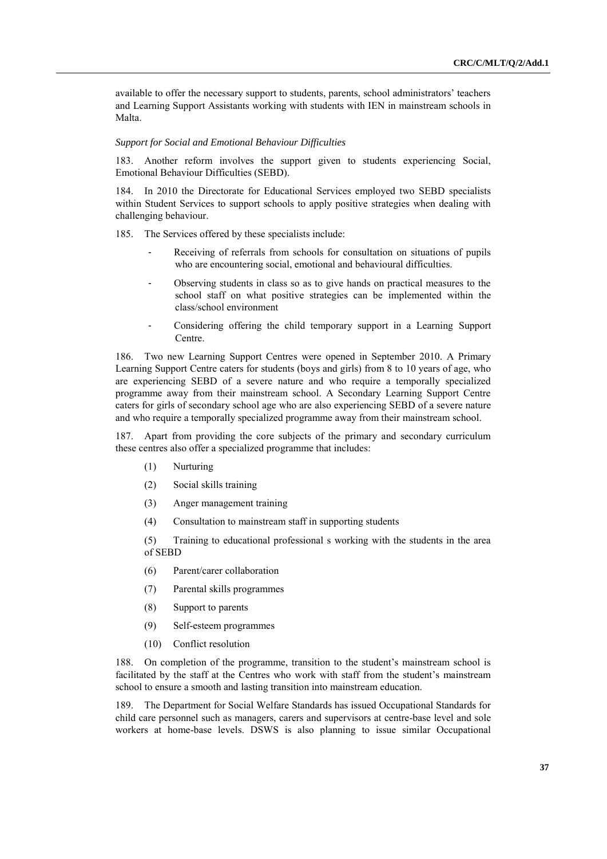available to offer the necessary support to students, parents, school administrators" teachers and Learning Support Assistants working with students with IEN in mainstream schools in Malta.

#### *Support for Social and Emotional Behaviour Difficulties*

183. Another reform involves the support given to students experiencing Social, Emotional Behaviour Difficulties (SEBD).

184. In 2010 the Directorate for Educational Services employed two SEBD specialists within Student Services to support schools to apply positive strategies when dealing with challenging behaviour.

185. The Services offered by these specialists include:

- Receiving of referrals from schools for consultation on situations of pupils who are encountering social, emotional and behavioural difficulties.
- Observing students in class so as to give hands on practical measures to the school staff on what positive strategies can be implemented within the class/school environment
- Considering offering the child temporary support in a Learning Support Centre.

186. Two new Learning Support Centres were opened in September 2010. A Primary Learning Support Centre caters for students (boys and girls) from 8 to 10 years of age, who are experiencing SEBD of a severe nature and who require a temporally specialized programme away from their mainstream school. A Secondary Learning Support Centre caters for girls of secondary school age who are also experiencing SEBD of a severe nature and who require a temporally specialized programme away from their mainstream school.

187. Apart from providing the core subjects of the primary and secondary curriculum these centres also offer a specialized programme that includes:

- (1) Nurturing
- (2) Social skills training
- (3) Anger management training
- (4) Consultation to mainstream staff in supporting students

(5) Training to educational professional s working with the students in the area of SEBD

- (6) Parent/carer collaboration
- (7) Parental skills programmes
- (8) Support to parents
- (9) Self-esteem programmes
- (10) Conflict resolution

188. On completion of the programme, transition to the student's mainstream school is facilitated by the staff at the Centres who work with staff from the student's mainstream school to ensure a smooth and lasting transition into mainstream education.

189. The Department for Social Welfare Standards has issued Occupational Standards for child care personnel such as managers, carers and supervisors at centre-base level and sole workers at home-base levels. DSWS is also planning to issue similar Occupational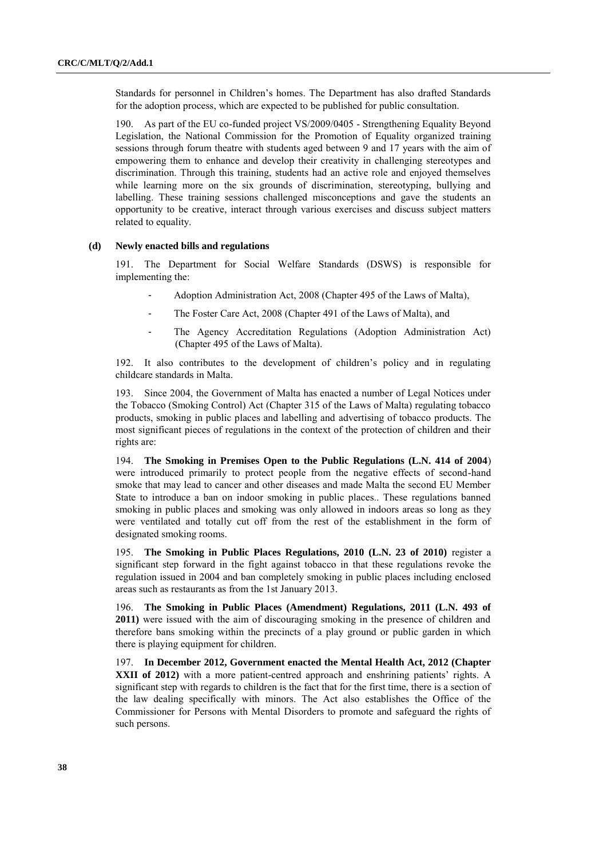Standards for personnel in Children"s homes. The Department has also drafted Standards for the adoption process, which are expected to be published for public consultation.

190. As part of the EU co-funded project VS/2009/0405 - Strengthening Equality Beyond Legislation, the National Commission for the Promotion of Equality organized training sessions through forum theatre with students aged between 9 and 17 years with the aim of empowering them to enhance and develop their creativity in challenging stereotypes and discrimination. Through this training, students had an active role and enjoyed themselves while learning more on the six grounds of discrimination, stereotyping, bullying and labelling. These training sessions challenged misconceptions and gave the students an opportunity to be creative, interact through various exercises and discuss subject matters related to equality.

#### **(d) Newly enacted bills and regulations**

191. The Department for Social Welfare Standards (DSWS) is responsible for implementing the:

- Adoption Administration Act, 2008 (Chapter 495 of the Laws of Malta),
- The Foster Care Act, 2008 (Chapter 491 of the Laws of Malta), and
- The Agency Accreditation Regulations (Adoption Administration Act) (Chapter 495 of the Laws of Malta).

192. It also contributes to the development of children"s policy and in regulating childcare standards in Malta.

193. Since 2004, the Government of Malta has enacted a number of Legal Notices under the Tobacco (Smoking Control) Act (Chapter 315 of the Laws of Malta) regulating tobacco products, smoking in public places and labelling and advertising of tobacco products. The most significant pieces of regulations in the context of the protection of children and their rights are:

194. **The Smoking in Premises Open to the Public Regulations (L.N. 414 of 2004**) were introduced primarily to protect people from the negative effects of second-hand smoke that may lead to cancer and other diseases and made Malta the second EU Member State to introduce a ban on indoor smoking in public places.. These regulations banned smoking in public places and smoking was only allowed in indoors areas so long as they were ventilated and totally cut off from the rest of the establishment in the form of designated smoking rooms.

195. **The Smoking in Public Places Regulations, 2010 (L.N. 23 of 2010)** register a significant step forward in the fight against tobacco in that these regulations revoke the regulation issued in 2004 and ban completely smoking in public places including enclosed areas such as restaurants as from the 1st January 2013.

196. **The Smoking in Public Places (Amendment) Regulations, 2011 (L.N. 493 of 2011)** were issued with the aim of discouraging smoking in the presence of children and therefore bans smoking within the precincts of a play ground or public garden in which there is playing equipment for children.

197. **In December 2012, Government enacted the Mental Health Act, 2012 (Chapter**  XXII of 2012) with a more patient-centred approach and enshrining patients' rights. A significant step with regards to children is the fact that for the first time, there is a section of the law dealing specifically with minors. The Act also establishes the Office of the Commissioner for Persons with Mental Disorders to promote and safeguard the rights of such persons.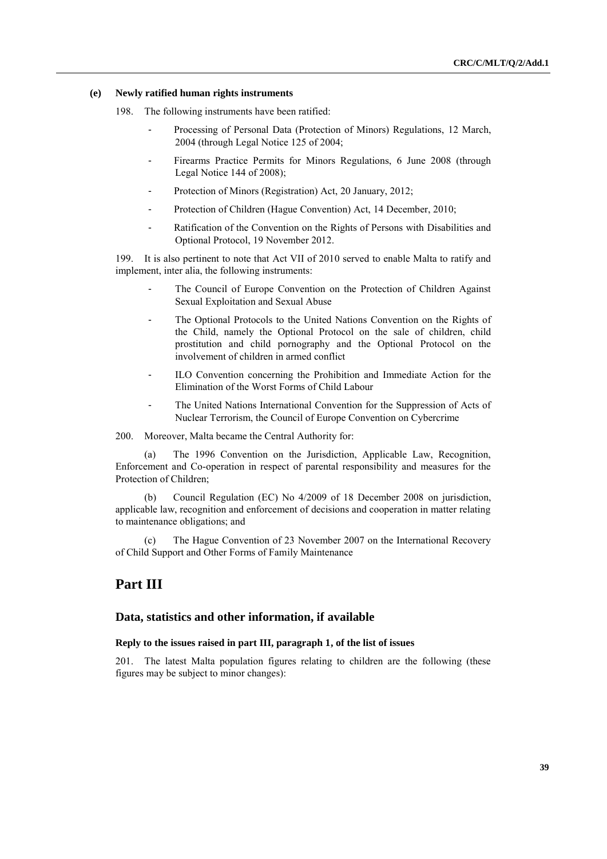#### **(e) Newly ratified human rights instruments**

198. The following instruments have been ratified:

- Processing of Personal Data (Protection of Minors) Regulations, 12 March, 2004 (through Legal Notice 125 of 2004;
- Firearms Practice Permits for Minors Regulations, 6 June 2008 (through Legal Notice 144 of 2008);
- Protection of Minors (Registration) Act, 20 January, 2012;
- Protection of Children (Hague Convention) Act, 14 December, 2010;
- Ratification of the Convention on the Rights of Persons with Disabilities and Optional Protocol, 19 November 2012.

199. It is also pertinent to note that Act VII of 2010 served to enable Malta to ratify and implement, inter alia, the following instruments:

- The Council of Europe Convention on the Protection of Children Against Sexual Exploitation and Sexual Abuse
- The Optional Protocols to the United Nations Convention on the Rights of the Child, namely the Optional Protocol on the sale of children, child prostitution and child pornography and the Optional Protocol on the involvement of children in armed conflict
- ILO Convention concerning the Prohibition and Immediate Action for the Elimination of the Worst Forms of Child Labour
- The United Nations International Convention for the Suppression of Acts of Nuclear Terrorism, the Council of Europe Convention on Cybercrime

200. Moreover, Malta became the Central Authority for:

The 1996 Convention on the Jurisdiction, Applicable Law, Recognition, Enforcement and Co-operation in respect of parental responsibility and measures for the Protection of Children;

(b) Council Regulation (EC) No 4/2009 of 18 December 2008 on jurisdiction, applicable law, recognition and enforcement of decisions and cooperation in matter relating to maintenance obligations; and

(c) The Hague Convention of 23 November 2007 on the International Recovery of Child Support and Other Forms of Family Maintenance

# **Part III**

### **Data, statistics and other information, if available**

# **Reply to the issues raised in part III, paragraph 1, of the list of issues**

201. The latest Malta population figures relating to children are the following (these figures may be subject to minor changes):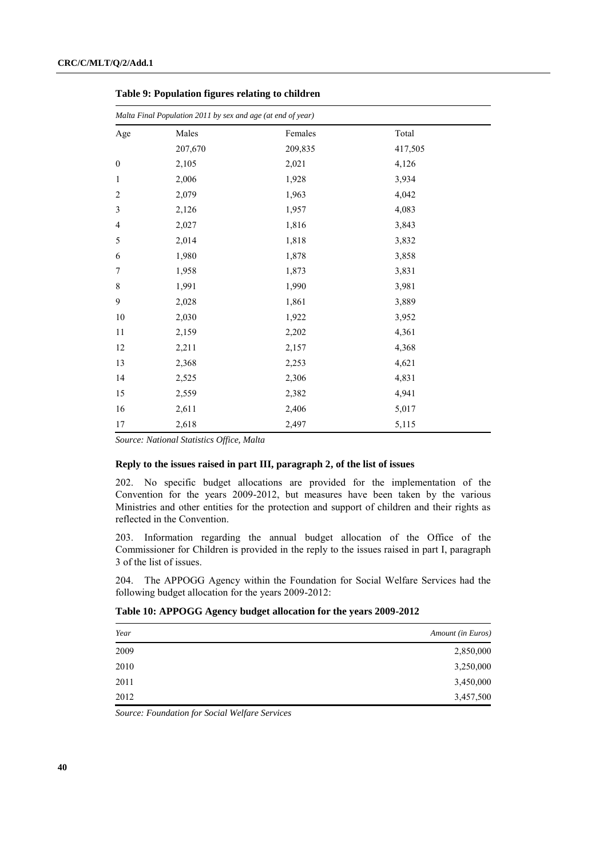|                  | Malta Final Population 2011 by sex and age (at end of year) |         |         |  |  |
|------------------|-------------------------------------------------------------|---------|---------|--|--|
| Age              | Males                                                       | Females | Total   |  |  |
|                  | 207,670                                                     | 209,835 | 417,505 |  |  |
| $\boldsymbol{0}$ | 2,105                                                       | 2,021   | 4,126   |  |  |
| $\mathbf{1}$     | 2,006                                                       | 1,928   | 3,934   |  |  |
| $\overline{2}$   | 2,079                                                       | 1,963   | 4,042   |  |  |
| 3                | 2,126                                                       | 1,957   | 4,083   |  |  |
| 4                | 2,027                                                       | 1,816   | 3,843   |  |  |
| 5                | 2,014                                                       | 1,818   | 3,832   |  |  |
| 6                | 1,980                                                       | 1,878   | 3,858   |  |  |
| 7                | 1,958                                                       | 1,873   | 3,831   |  |  |
| 8                | 1,991                                                       | 1,990   | 3,981   |  |  |
| 9                | 2,028                                                       | 1,861   | 3,889   |  |  |
| 10               | 2,030                                                       | 1,922   | 3,952   |  |  |
| $11\,$           | 2,159                                                       | 2,202   | 4,361   |  |  |
| 12               | 2,211                                                       | 2,157   | 4,368   |  |  |
| 13               | 2,368                                                       | 2,253   | 4,621   |  |  |
| 14               | 2,525                                                       | 2,306   | 4,831   |  |  |
| 15               | 2,559                                                       | 2,382   | 4,941   |  |  |
| 16               | 2,611                                                       | 2,406   | 5,017   |  |  |
| 17               | 2,618                                                       | 2,497   | 5,115   |  |  |

**Table 9: Population figures relating to children**

*Source: National Statistics Office, Malta* 

## **Reply to the issues raised in part III, paragraph 2, of the list of issues**

202. No specific budget allocations are provided for the implementation of the Convention for the years 2009-2012, but measures have been taken by the various Ministries and other entities for the protection and support of children and their rights as reflected in the Convention.

203. Information regarding the annual budget allocation of the Office of the Commissioner for Children is provided in the reply to the issues raised in part I, paragraph 3 of the list of issues.

204. The APPOGG Agency within the Foundation for Social Welfare Services had the following budget allocation for the years 2009-2012:

# **Table 10: APPOGG Agency budget allocation for the years 2009-2012**

| Amount (in Euros) |
|-------------------|
| 2,850,000         |
| 3,250,000         |
| 3,450,000         |
| 3,457,500         |
|                   |

*Source: Foundation for Social Welfare Services*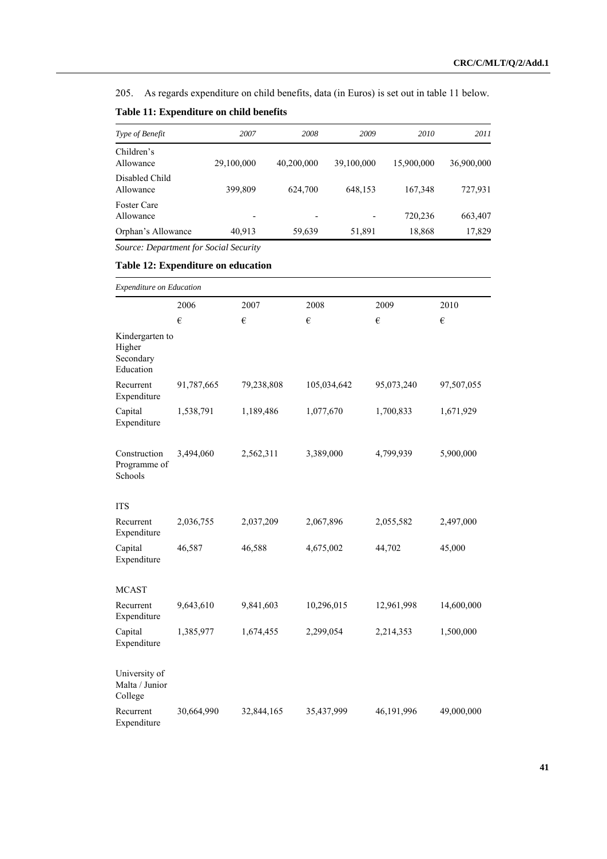205. As regards expenditure on child benefits, data (in Euros) is set out in table 11 below.

| Type of Benefit                 | 2007                     | 2008       | 2009                     | 2010       | 2011       |
|---------------------------------|--------------------------|------------|--------------------------|------------|------------|
| Children's<br>Allowance         | 29,100,000               | 40,200,000 | 39,100,000               | 15,900,000 | 36,900,000 |
| Disabled Child<br>Allowance     | 399,809                  | 624,700    | 648,153                  | 167,348    | 727,931    |
| <b>Foster Care</b><br>Allowance | $\overline{\phantom{0}}$ |            | $\overline{\phantom{0}}$ | 720,236    | 663,407    |
| Orphan's Allowance              | 40,913                   | 59,639     | 51,891                   | 18,868     | 17,829     |
|                                 |                          |            |                          |            |            |

# **Table 11: Expenditure on child benefits**

*Source: Department for Social Security*

# **Table 12: Expenditure on education**

| Expenditure on Education                            |            |            |             |            |            |
|-----------------------------------------------------|------------|------------|-------------|------------|------------|
|                                                     | 2006       | 2007       | 2008        | 2009       | 2010       |
|                                                     | €          | €          | €           | $\epsilon$ | €          |
| Kindergarten to<br>Higher<br>Secondary<br>Education |            |            |             |            |            |
| Recurrent<br>Expenditure                            | 91,787,665 | 79,238,808 | 105,034,642 | 95,073,240 | 97,507,055 |
| Capital<br>Expenditure                              | 1,538,791  | 1,189,486  | 1,077,670   | 1,700,833  | 1,671,929  |
| Construction<br>Programme of<br>Schools             | 3,494,060  | 2,562,311  | 3,389,000   | 4,799,939  | 5,900,000  |
| <b>ITS</b>                                          |            |            |             |            |            |
| Recurrent<br>Expenditure                            | 2,036,755  | 2,037,209  | 2,067,896   | 2,055,582  | 2,497,000  |
| Capital<br>Expenditure                              | 46,587     | 46,588     | 4,675,002   | 44,702     | 45,000     |
| <b>MCAST</b>                                        |            |            |             |            |            |
| Recurrent<br>Expenditure                            | 9,643,610  | 9,841,603  | 10,296,015  | 12,961,998 | 14,600,000 |
| Capital<br>Expenditure                              | 1,385,977  | 1,674,455  | 2,299,054   | 2,214,353  | 1,500,000  |
| University of<br>Malta / Junior<br>College          |            |            |             |            |            |
| Recurrent<br>Expenditure                            | 30,664,990 | 32,844,165 | 35,437,999  | 46,191,996 | 49,000,000 |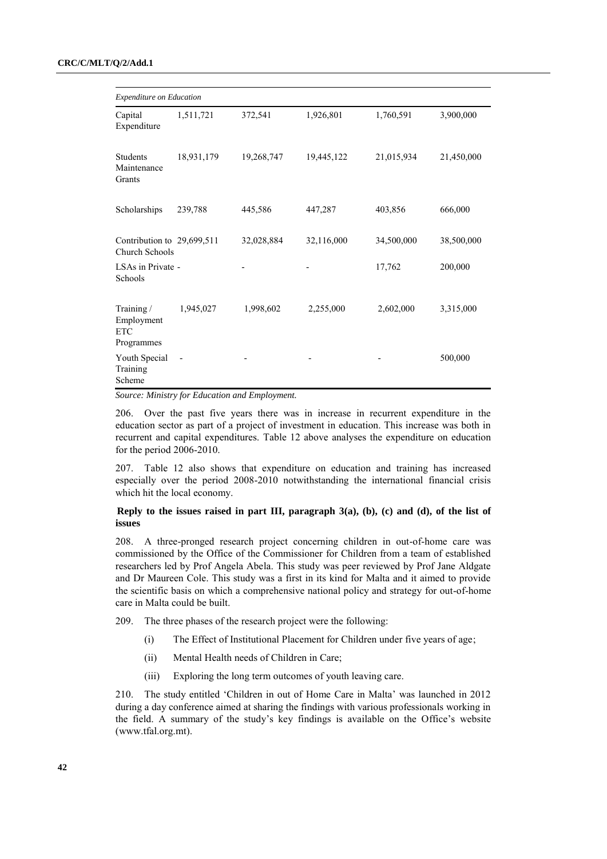|                                                      | Expenditure on Education |            |            |            |            |
|------------------------------------------------------|--------------------------|------------|------------|------------|------------|
| Capital<br>Expenditure                               | 1,511,721                | 372,541    | 1,926,801  | 1,760,591  | 3,900,000  |
| Students<br>Maintenance<br>Grants                    | 18,931,179               | 19,268,747 | 19,445,122 | 21,015,934 | 21,450,000 |
| Scholarships                                         | 239,788                  | 445,586    | 447,287    | 403,856    | 666,000    |
| Contribution to 29,699,511<br>Church Schools         |                          | 32,028,884 | 32,116,000 | 34,500,000 | 38,500,000 |
| LSAs in Private -<br>Schools                         |                          |            |            | 17,762     | 200,000    |
| Training /<br>Employment<br><b>ETC</b><br>Programmes | 1,945,027                | 1,998,602  | 2,255,000  | 2,602,000  | 3,315,000  |
| Youth Special<br>Training<br>Scheme                  |                          |            |            |            | 500,000    |

*Source: Ministry for Education and Employment.*

206. Over the past five years there was in increase in recurrent expenditure in the education sector as part of a project of investment in education. This increase was both in recurrent and capital expenditures. Table 12 above analyses the expenditure on education for the period 2006-2010.

207. Table 12 also shows that expenditure on education and training has increased especially over the period 2008-2010 notwithstanding the international financial crisis which hit the local economy.

# **Reply to the issues raised in part III, paragraph 3(a), (b), (c) and (d), of the list of issues**

208. A three-pronged research project concerning children in out-of-home care was commissioned by the Office of the Commissioner for Children from a team of established researchers led by Prof Angela Abela. This study was peer reviewed by Prof Jane Aldgate and Dr Maureen Cole. This study was a first in its kind for Malta and it aimed to provide the scientific basis on which a comprehensive national policy and strategy for out-of-home care in Malta could be built.

209. The three phases of the research project were the following:

- (i) The Effect of Institutional Placement for Children under five years of age;
- (ii) Mental Health needs of Children in Care;
- (iii) Exploring the long term outcomes of youth leaving care.

210. The study entitled "Children in out of Home Care in Malta" was launched in 2012 during a day conference aimed at sharing the findings with various professionals working in the field. A summary of the study"s key findings is available on the Office"s website [\(www.tfal.org.mt\)](http://www.tfal.org.mt/).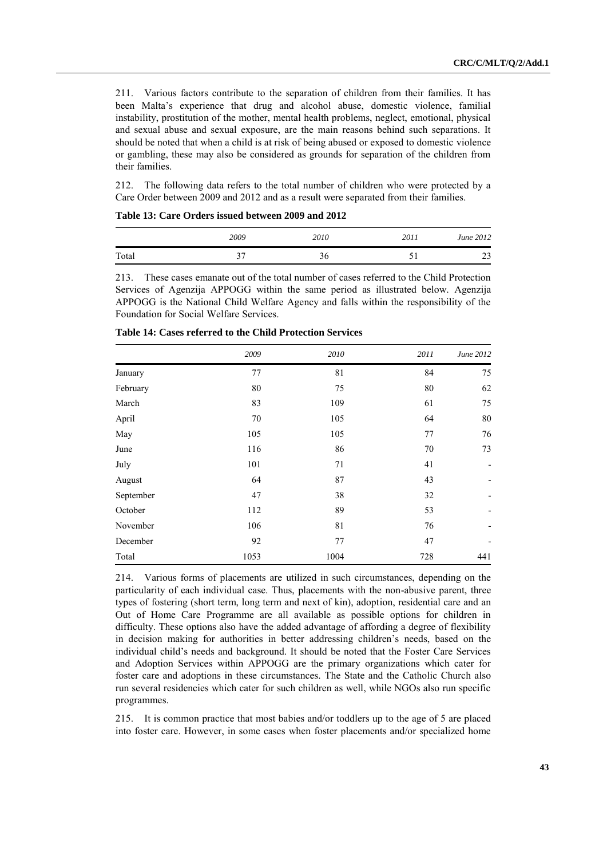211. Various factors contribute to the separation of children from their families. It has been Malta"s experience that drug and alcohol abuse, domestic violence, familial instability, prostitution of the mother, mental health problems, neglect, emotional, physical and sexual abuse and sexual exposure, are the main reasons behind such separations. It should be noted that when a child is at risk of being abused or exposed to domestic violence or gambling, these may also be considered as grounds for separation of the children from their families.

212. The following data refers to the total number of children who were protected by a Care Order between 2009 and 2012 and as a result were separated from their families.

|       | 2009 | 2010 | 2011 | June 2012 |
|-------|------|------|------|-----------|
| Total | ↑∼   | 90   |      | າາ<br>رے  |

| Table 13: Care Orders issued between 2009 and 2012 |
|----------------------------------------------------|
|----------------------------------------------------|

213. These cases emanate out of the total number of cases referred to the Child Protection Services of Agenzija APPOGG within the same period as illustrated below. Agenzija APPOGG is the National Child Welfare Agency and falls within the responsibility of the Foundation for Social Welfare Services.

|           | 2009 | 2010 | 2011     | June 2012 |
|-----------|------|------|----------|-----------|
| January   | 77   | 81   | 84       | 75        |
| February  | 80   | 75   | $\rm 80$ | 62        |
| March     | 83   | 109  | 61       | 75        |
| April     | 70   | 105  | 64       | 80        |
| May       | 105  | 105  | 77       | 76        |
| June      | 116  | 86   | $70\,$   | 73        |
| July      | 101  | 71   | 41       |           |
| August    | 64   | 87   | 43       |           |
| September | 47   | 38   | 32       |           |
| October   | 112  | 89   | 53       |           |
| November  | 106  | 81   | 76       |           |
| December  | 92   | 77   | 47       |           |
| Total     | 1053 | 1004 | 728      | 441       |

| Table 14: Cases referred to the Child Protection Services |  |
|-----------------------------------------------------------|--|
|-----------------------------------------------------------|--|

214. Various forms of placements are utilized in such circumstances, depending on the particularity of each individual case. Thus, placements with the non-abusive parent, three types of fostering (short term, long term and next of kin), adoption, residential care and an Out of Home Care Programme are all available as possible options for children in difficulty. These options also have the added advantage of affording a degree of flexibility in decision making for authorities in better addressing children"s needs, based on the individual child"s needs and background. It should be noted that the Foster Care Services and Adoption Services within APPOGG are the primary organizations which cater for foster care and adoptions in these circumstances. The State and the Catholic Church also run several residencies which cater for such children as well, while NGOs also run specific programmes.

215. It is common practice that most babies and/or toddlers up to the age of 5 are placed into foster care. However, in some cases when foster placements and/or specialized home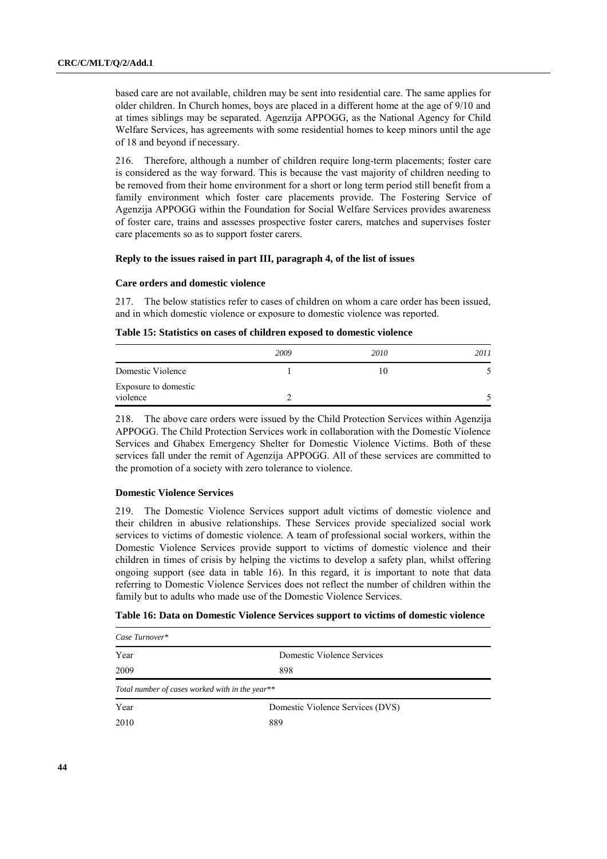based care are not available, children may be sent into residential care. The same applies for older children. In Church homes, boys are placed in a different home at the age of 9/10 and at times siblings may be separated. Agenzija APPOGG, as the National Agency for Child Welfare Services, has agreements with some residential homes to keep minors until the age of 18 and beyond if necessary.

216. Therefore, although a number of children require long-term placements; foster care is considered as the way forward. This is because the vast majority of children needing to be removed from their home environment for a short or long term period still benefit from a family environment which foster care placements provide. The Fostering Service of Agenzija APPOGG within the Foundation for Social Welfare Services provides awareness of foster care, trains and assesses prospective foster carers, matches and supervises foster care placements so as to support foster carers.

# **Reply to the issues raised in part III, paragraph 4, of the list of issues**

#### **Care orders and domestic violence**

217. The below statistics refer to cases of children on whom a care order has been issued, and in which domestic violence or exposure to domestic violence was reported.

| Table 15: Statistics on cases of children exposed to domestic violence |  |  |  |  |
|------------------------------------------------------------------------|--|--|--|--|
|------------------------------------------------------------------------|--|--|--|--|

|                                  | 2009 | 2010 | 2011 |
|----------------------------------|------|------|------|
| Domestic Violence                |      | 1 O  |      |
| Exposure to domestic<br>violence |      |      |      |

218. The above care orders were issued by the Child Protection Services within Agenzija APPOGG. The Child Protection Services work in collaboration with the Domestic Violence Services and Ghabex Emergency Shelter for Domestic Violence Victims. Both of these services fall under the remit of Agenzija APPOGG. All of these services are committed to the promotion of a society with zero tolerance to violence.

#### **Domestic Violence Services**

219. The Domestic Violence Services support adult victims of domestic violence and their children in abusive relationships. These Services provide specialized social work services to victims of domestic violence. A team of professional social workers, within the Domestic Violence Services provide support to victims of domestic violence and their children in times of crisis by helping the victims to develop a safety plan, whilst offering ongoing support (see data in table 16). In this regard, it is important to note that data referring to Domestic Violence Services does not reflect the number of children within the family but to adults who made use of the Domestic Violence Services.

|  | Table 16: Data on Domestic Violence Services support to victims of domestic violence |
|--|--------------------------------------------------------------------------------------|
|  |                                                                                      |

| Case Turnover*                                  |                                  |  |  |
|-------------------------------------------------|----------------------------------|--|--|
| Year                                            | Domestic Violence Services       |  |  |
| 2009                                            | 898                              |  |  |
| Total number of cases worked with in the year** |                                  |  |  |
| Year                                            | Domestic Violence Services (DVS) |  |  |
| 2010                                            | 889                              |  |  |
|                                                 |                                  |  |  |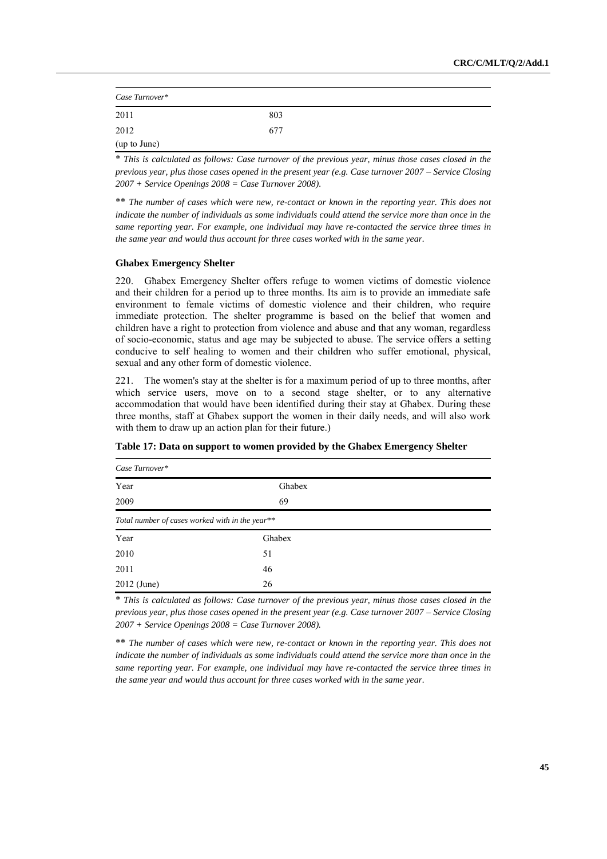| Case Turnover* |     |  |
|----------------|-----|--|
| 2011           | 803 |  |
| 2012           | 677 |  |
| (up to June)   |     |  |

\* *This is calculated as follows: Case turnover of the previous year, minus those cases closed in the previous year, plus those cases opened in the present year (e.g. Case turnover 2007 – Service Closing 2007 + Service Openings 2008 = Case Turnover 2008).*

\*\* *The number of cases which were new, re-contact or known in the reporting year. This does not indicate the number of individuals as some individuals could attend the service more than once in the same reporting year. For example, one individual may have re-contacted the service three times in the same year and would thus account for three cases worked with in the same year.*

#### **Ghabex Emergency Shelter**

220. Għabex Emergency Shelter offers refuge to women victims of domestic violence and their children for a period up to three months. Its aim is to provide an immediate safe environment to female victims of domestic violence and their children, who require immediate protection. The shelter programme is based on the belief that women and children have a right to protection from violence and abuse and that any woman, regardless of socio-economic, status and age may be subjected to abuse. The service offers a setting conducive to self healing to women and their children who suffer emotional, physical, sexual and any other form of domestic violence.

221. The women's stay at the shelter is for a maximum period of up to three months, after which service users, move on to a second stage shelter, or to any alternative accommodation that would have been identified during their stay at Għabex. During these three months, staff at Għabex support the women in their daily needs, and will also work with them to draw up an action plan for their future.)

| Case Turnover*                                  |        |  |  |  |
|-------------------------------------------------|--------|--|--|--|
| Year                                            | Ghabex |  |  |  |
| 2009                                            | 69     |  |  |  |
| Total number of cases worked with in the year** |        |  |  |  |
| Year                                            | Ghabex |  |  |  |
| 2010                                            | 51     |  |  |  |
| 2011                                            | 46     |  |  |  |
| 2012 (June)                                     | 26     |  |  |  |

**Table 17: Data on support to women provided by the Ghabex Emergency Shelter**

\* *This is calculated as follows: Case turnover of the previous year, minus those cases closed in the previous year, plus those cases opened in the present year (e.g. Case turnover 2007 – Service Closing 2007 + Service Openings 2008 = Case Turnover 2008).*

\*\* *The number of cases which were new, re-contact or known in the reporting year. This does not indicate the number of individuals as some individuals could attend the service more than once in the same reporting year. For example, one individual may have re-contacted the service three times in the same year and would thus account for three cases worked with in the same year.*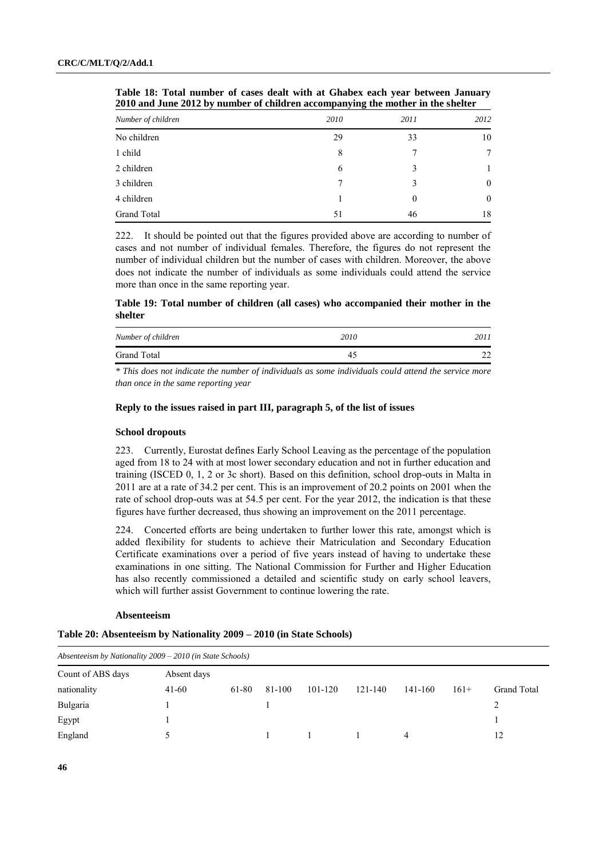| Number of children | 2010 | 2011     | 2012           |
|--------------------|------|----------|----------------|
| No children        | 29   | 33       | 10             |
| 1 child            | 8    | 7        | $\overline{7}$ |
| 2 children         | 6    | 3        |                |
| 3 children         | 7    | 3        | $\mathbf{0}$   |
| 4 children         |      | $\theta$ | $\overline{0}$ |
| Grand Total        | 51   | 46       | 18             |

**Table 18: Total number of cases dealt with at Ghabex each year between January 2010 and June 2012 by number of children accompanying the mother in the shelter**

222. It should be pointed out that the figures provided above are according to number of cases and not number of individual females. Therefore, the figures do not represent the number of individual children but the number of cases with children. Moreover, the above does not indicate the number of individuals as some individuals could attend the service more than once in the same reporting year.

**Table 19: Total number of children (all cases) who accompanied their mother in the shelter**

| Number of children | 2010 | 2011 |
|--------------------|------|------|
| Grand Total        |      | ົ    |

*\* This does not indicate the number of individuals as some individuals could attend the service more than once in the same reporting year*

## **Reply to the issues raised in part III, paragraph 5, of the list of issues**

#### **School dropouts**

223. Currently, Eurostat defines Early School Leaving as the percentage of the population aged from 18 to 24 with at most lower secondary education and not in further education and training (ISCED 0, 1, 2 or 3c short). Based on this definition, school drop-outs in Malta in 2011 are at a rate of 34.2 per cent. This is an improvement of 20.2 points on 2001 when the rate of school drop-outs was at 54.5 per cent. For the year 2012, the indication is that these figures have further decreased, thus showing an improvement on the 2011 percentage.

224. Concerted efforts are being undertaken to further lower this rate, amongst which is added flexibility for students to achieve their Matriculation and Secondary Education Certificate examinations over a period of five years instead of having to undertake these examinations in one sitting. The National Commission for Further and Higher Education has also recently commissioned a detailed and scientific study on early school leavers, which will further assist Government to continue lowering the rate.

#### **Absenteeism**

**Table 20: Absenteeism by Nationality 2009 – 2010 (in State Schools)**

| Absenteeism by Nationality 2009 - 2010 (in State Schools) |             |       |        |         |         |         |        |                    |
|-----------------------------------------------------------|-------------|-------|--------|---------|---------|---------|--------|--------------------|
| Count of ABS days                                         | Absent days |       |        |         |         |         |        |                    |
| nationality                                               | $41-60$     | 61-80 | 81-100 | 101-120 | 121-140 | 141-160 | $161+$ | <b>Grand Total</b> |
| Bulgaria                                                  |             |       |        |         |         |         |        |                    |
| Egypt                                                     |             |       |        |         |         |         |        |                    |
| England                                                   |             |       |        |         |         | 4       |        | 12                 |
|                                                           |             |       |        |         |         |         |        |                    |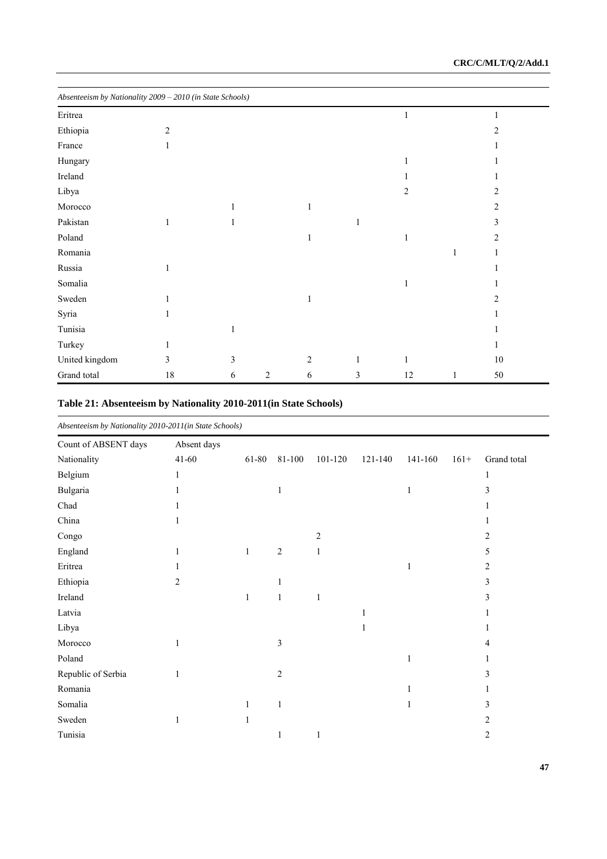| Absenteeism by Nationality 2009 - 2010 (in State Schools) |                |              |                |   |              |    |              |                |
|-----------------------------------------------------------|----------------|--------------|----------------|---|--------------|----|--------------|----------------|
| Eritrea                                                   |                |              |                |   |              |    |              |                |
| Ethiopia                                                  | $\overline{2}$ |              |                |   |              |    |              | $\mathfrak{D}$ |
| France                                                    |                |              |                |   |              |    |              |                |
| Hungary                                                   |                |              |                |   |              |    |              |                |
| Ireland                                                   |                |              |                |   |              |    |              |                |
| Libya                                                     |                |              |                |   |              | 2  |              | 2              |
| Morocco                                                   |                |              |                | 1 |              |    |              | 2              |
| Pakistan                                                  | 1              |              |                |   | $\mathbf{1}$ |    |              | 3              |
| Poland                                                    |                |              |                | 1 |              |    |              | 2              |
| Romania                                                   |                |              |                |   |              |    | 1            |                |
| Russia                                                    |                |              |                |   |              |    |              |                |
| Somalia                                                   |                |              |                |   |              |    |              |                |
| Sweden                                                    |                |              |                |   |              |    |              | 2              |
| Syria                                                     |                |              |                |   |              |    |              |                |
| Tunisia                                                   |                | $\mathbf{1}$ |                |   |              |    |              |                |
| Turkey                                                    |                |              |                |   |              |    |              |                |
| United kingdom                                            | 3              | 3            |                | 2 | $\mathbf{1}$ |    |              | 10             |
| Grand total                                               | $18\,$         | 6            | $\overline{2}$ | 6 | 3            | 12 | $\mathbf{1}$ | 50             |

# **Table 21: Absenteeism by Nationality 2010-2011(in State Schools)**

| Absenteeism by Nationality 2010-2011(in State Schools) |                |       |              |         |              |              |        |             |  |
|--------------------------------------------------------|----------------|-------|--------------|---------|--------------|--------------|--------|-------------|--|
| Count of ABSENT days                                   | Absent days    |       |              |         |              |              |        |             |  |
| Nationality                                            | $41 - 60$      | 61-80 | 81-100       | 101-120 | 121-140      | 141-160      | $161+$ | Grand total |  |
| Belgium                                                | 1              |       |              |         |              |              |        | 1           |  |
| Bulgaria                                               |                |       | 1            |         |              | $\mathbf{1}$ |        | 3           |  |
| Chad                                                   |                |       |              |         |              |              |        |             |  |
| China                                                  |                |       |              |         |              |              |        |             |  |
| Congo                                                  |                |       |              | 2       |              |              |        | 2           |  |
| England                                                | 1              | 1     | 2            | 1       |              |              |        | 5           |  |
| Eritrea                                                |                |       |              |         |              | 1            |        | 2           |  |
| Ethiopia                                               | $\overline{c}$ |       |              |         |              |              |        | 3           |  |
| Ireland                                                |                | 1     | 1            | 1       |              |              |        | 3           |  |
| Latvia                                                 |                |       |              |         | $\mathbf{1}$ |              |        |             |  |
| Libya                                                  |                |       |              |         |              |              |        |             |  |
| Morocco                                                | 1              |       | 3            |         |              |              |        | 4           |  |
| Poland                                                 |                |       |              |         |              | 1            |        |             |  |
| Republic of Serbia                                     | 1              |       | 2            |         |              |              |        | 3           |  |
| Romania                                                |                |       |              |         |              |              |        |             |  |
| Somalia                                                |                |       | $\mathbf{1}$ |         |              |              |        | 3           |  |
| Sweden                                                 | 1              |       |              |         |              |              |        | 2           |  |
| Tunisia                                                |                |       | 1            | 1       |              |              |        | 2           |  |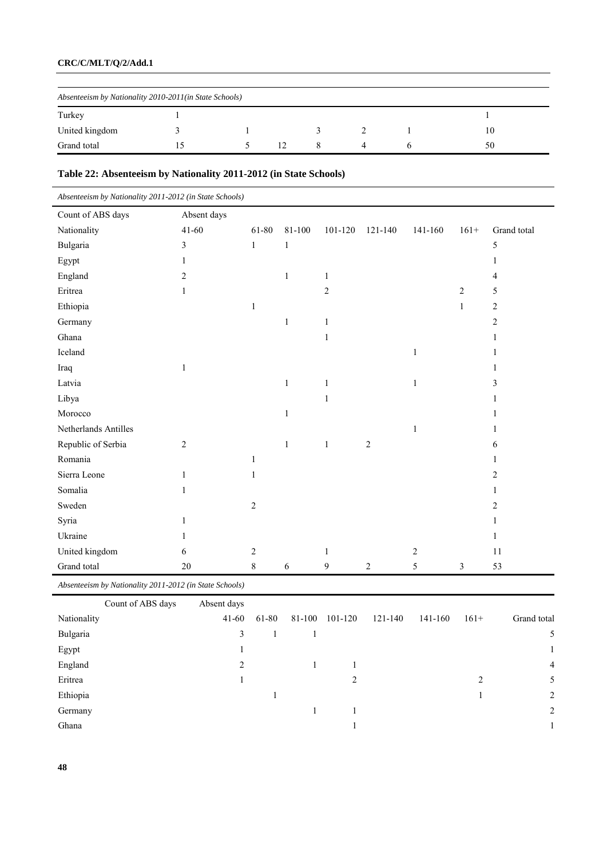# **CRC/C/MLT/Q/2/Add.1**

| Absenteeism by Nationality 2010-2011(in State Schools) |  |  |    |  |  |  |    |  |  |
|--------------------------------------------------------|--|--|----|--|--|--|----|--|--|
| Turkey                                                 |  |  |    |  |  |  |    |  |  |
| United kingdom                                         |  |  |    |  |  |  | 10 |  |  |
| Grand total                                            |  |  | 12 |  |  |  | 50 |  |  |

# **Table 22: Absenteeism by Nationality 2011-2012 (in State Schools)**

| Absenteeism by Nationality 2011-2012 (in State Schools) |                |              |              |                |                |         |                |                |
|---------------------------------------------------------|----------------|--------------|--------------|----------------|----------------|---------|----------------|----------------|
| Count of ABS days                                       | Absent days    |              |              |                |                |         |                |                |
| Nationality                                             | $41 - 60$      | 61-80        | 81-100       | 101-120        | 121-140        | 141-160 | $161+$         | Grand total    |
| Bulgaria                                                | 3              | $\mathbf{1}$ | $\mathbf{1}$ |                |                |         |                | 5              |
| Egypt                                                   | 1              |              |              |                |                |         |                |                |
| England                                                 | $\overline{2}$ |              | $\mathbf{1}$ | 1              |                |         |                | 4              |
| Eritrea                                                 | 1              |              |              | $\mathfrak{2}$ |                |         | $\overline{2}$ | 5              |
| Ethiopia                                                |                | $\mathbf{1}$ |              |                |                |         | $\mathbf{1}$   | $\overline{2}$ |
| Germany                                                 |                |              | $\mathbf{1}$ | 1              |                |         |                | $\overline{c}$ |
| Ghana                                                   |                |              |              | 1              |                |         |                |                |
| Iceland                                                 |                |              |              |                |                | 1       |                |                |
| Iraq                                                    | 1              |              |              |                |                |         |                |                |
| Latvia                                                  |                |              | 1            | 1              |                | 1       |                | 3              |
| Libya                                                   |                |              |              |                |                |         |                |                |
| Morocco                                                 |                |              | 1            |                |                |         |                |                |
| Netherlands Antilles                                    |                |              |              |                |                | 1       |                |                |
| Republic of Serbia                                      | $\overline{2}$ |              | 1            | $\mathbf{1}$   | $\overline{c}$ |         |                | 6              |
| Romania                                                 |                | 1            |              |                |                |         |                |                |
| Sierra Leone                                            | 1              | 1            |              |                |                |         |                | 2              |
| Somalia                                                 | 1              |              |              |                |                |         |                |                |
| Sweden                                                  |                | 2            |              |                |                |         |                | 2              |
| Syria                                                   | 1              |              |              |                |                |         |                |                |
| Ukraine                                                 | 1              |              |              |                |                |         |                | 1              |
| United kingdom                                          | 6              | 2            |              | 1              |                | 2       |                | 11             |
| Grand total                                             | 20             | $\,8\,$      | 6            | 9              | $\overline{c}$ | 5       | 3              | 53             |

*Absenteeism by Nationality 2011-2012 (in State Schools)*

| Count of ABS days | Absent days |       |                |         |         |        |                |
|-------------------|-------------|-------|----------------|---------|---------|--------|----------------|
| Nationality       | $41 - 60$   | 61-80 | 81-100 101-120 | 121-140 | 141-160 | $161+$ | Grand total    |
| Bulgaria          | 3           |       |                |         |         |        | 5              |
| Egypt             |             |       |                |         |         |        | $\mathbf{1}$   |
| England           | 2           |       |                |         |         |        | $\overline{4}$ |
| Eritrea           |             |       | 2              |         |         | 2      | 5              |
| Ethiopia          |             |       |                |         |         |        | 2              |
| Germany           |             |       |                |         |         |        | 2              |
| Ghana             |             |       |                |         |         |        |                |
|                   |             |       |                |         |         |        |                |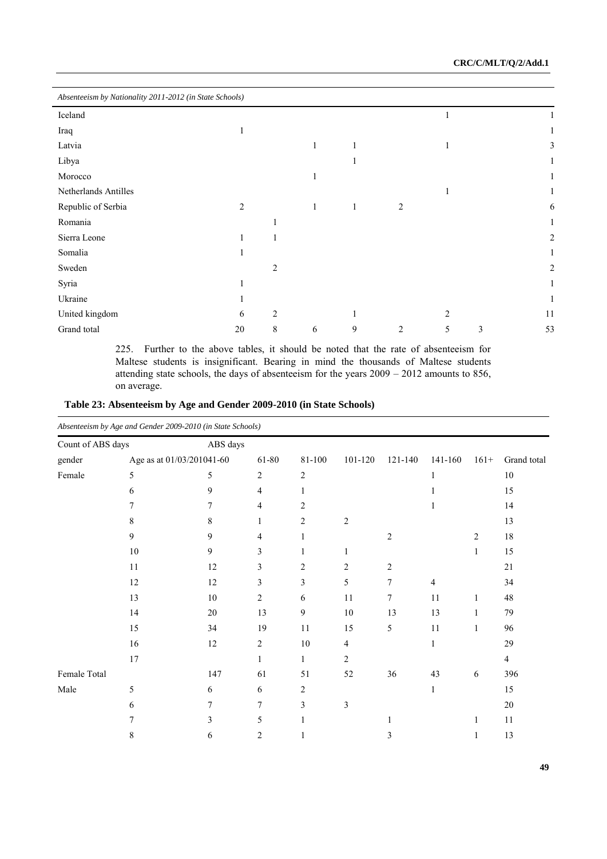| Absenteeism by Nationality 2011-2012 (in State Schools) |                |                |   |              |                |                |   |                |
|---------------------------------------------------------|----------------|----------------|---|--------------|----------------|----------------|---|----------------|
| Iceland                                                 |                |                |   |              |                |                |   |                |
| Iraq                                                    |                |                |   |              |                |                |   |                |
| Latvia                                                  |                |                | 1 | 1            |                |                |   | 3              |
| Libya                                                   |                |                |   | 1            |                |                |   |                |
| Morocco                                                 |                |                |   |              |                |                |   |                |
| Netherlands Antilles                                    |                |                |   |              |                |                |   |                |
| Republic of Serbia                                      | $\overline{c}$ |                | 1 | $\mathbf{1}$ | 2              |                |   | 6              |
| Romania                                                 |                |                |   |              |                |                |   |                |
| Sierra Leone                                            |                |                |   |              |                |                |   | 2              |
| Somalia                                                 |                |                |   |              |                |                |   | 1              |
| Sweden                                                  |                | $\overline{c}$ |   |              |                |                |   | $\overline{c}$ |
| Syria                                                   |                |                |   |              |                |                |   |                |
| Ukraine                                                 |                |                |   |              |                |                |   |                |
| United kingdom                                          | 6              | $\overline{c}$ |   | 1            |                | $\overline{2}$ |   | 11             |
| Grand total                                             | 20             | 8              | 6 | 9            | $\overline{2}$ | 5              | 3 | 53             |

225. Further to the above tables, it should be noted that the rate of absenteeism for Maltese students is insignificant. Bearing in mind the thousands of Maltese students attending state schools, the days of absenteeism for the years 2009 – 2012 amounts to 856, on average.

| Table 23: Absenteeism by Age and Gender 2009-2010 (in State Schools) |
|----------------------------------------------------------------------|
|----------------------------------------------------------------------|

|                   |        | Absenteeism by Age and Gender 2009-2010 (in State Schools) |                |                  |                |                |                |              |                |  |  |  |
|-------------------|--------|------------------------------------------------------------|----------------|------------------|----------------|----------------|----------------|--------------|----------------|--|--|--|
| Count of ABS days |        |                                                            | ABS days       |                  |                |                |                |              |                |  |  |  |
| gender            |        | Age as at 01/03/201041-60                                  | 61-80          | 81-100           | 101-120        | 121-140        | 141-160        | $161+$       | Grand total    |  |  |  |
| Female            | 5      | 5                                                          | $\sqrt{2}$     | $\boldsymbol{2}$ |                |                | 1              |              | $10\,$         |  |  |  |
|                   | 6      | 9                                                          | 4              | 1                |                |                |                |              | 15             |  |  |  |
|                   | 7      | 7                                                          | 4              | $\overline{c}$   |                |                | 1              |              | 14             |  |  |  |
|                   | 8      | 8                                                          | $\mathbf{1}$   | $\overline{2}$   | 2              |                |                |              | 13             |  |  |  |
|                   | 9      | 9                                                          | 4              | $\mathbf{1}$     |                | $\overline{c}$ |                | 2            | $18\,$         |  |  |  |
|                   | $10\,$ | 9                                                          | 3              | 1                | 1              |                |                | $\mathbf{1}$ | 15             |  |  |  |
|                   | 11     | 12                                                         | 3              | $\overline{2}$   | 2              | $\overline{c}$ |                |              | 21             |  |  |  |
|                   | 12     | 12                                                         | 3              | 3                | 5              | 7              | $\overline{4}$ |              | 34             |  |  |  |
|                   | 13     | $10\,$                                                     | $\overline{c}$ | 6                | 11             | 7              | 11             | 1            | $48\,$         |  |  |  |
|                   | 14     | $20\,$                                                     | 13             | 9                | $10\,$         | 13             | 13             | 1            | 79             |  |  |  |
|                   | 15     | 34                                                         | 19             | 11               | 15             | 5              | 11             | $\mathbf{1}$ | 96             |  |  |  |
|                   | 16     | 12                                                         | $\overline{2}$ | 10               | 4              |                | $\mathbf{1}$   |              | 29             |  |  |  |
|                   | 17     |                                                            | $\mathbf{1}$   | $\mathbf{1}$     | $\overline{c}$ |                |                |              | $\overline{4}$ |  |  |  |
| Female Total      |        | 147                                                        | 61             | 51               | 52             | 36             | 43             | 6            | 396            |  |  |  |
| Male              | 5      | 6                                                          | 6              | $\overline{c}$   |                |                | $\mathbf{1}$   |              | 15             |  |  |  |
|                   | 6      | 7                                                          | $\tau$         | 3                | 3              |                |                |              | $20\,$         |  |  |  |
|                   | 7      | 3                                                          | 5              | 1                |                |                |                | 1            | 11             |  |  |  |
|                   | 8      | 6                                                          | 2              |                  |                | 3              |                |              | 13             |  |  |  |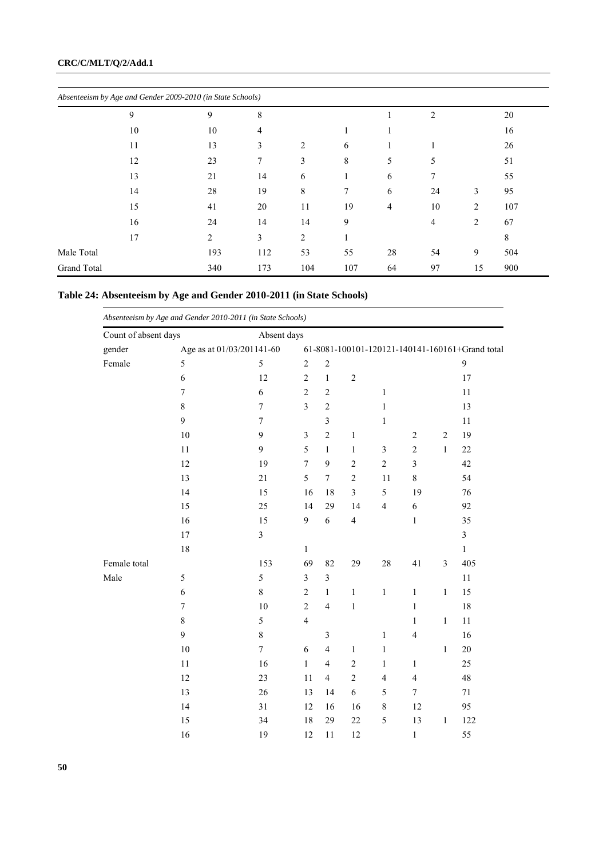|             |    | Absenteeism by Age and Gender 2009-2010 (in State Schools) |     |                |     |    |    |                |     |
|-------------|----|------------------------------------------------------------|-----|----------------|-----|----|----|----------------|-----|
|             | 9  | 9                                                          | 8   |                |     |    | 2  |                | 20  |
|             | 10 | 10                                                         | 4   |                |     |    |    |                | 16  |
|             | 11 | 13                                                         | 3   | $\overline{2}$ | 6   |    |    |                | 26  |
|             | 12 | 23                                                         | 7   | 3              | 8   | 5  | 5  |                | 51  |
|             | 13 | 21                                                         | 14  | 6              | 1   | 6  | 7  |                | 55  |
|             | 14 | 28                                                         | 19  | 8              | 7   | 6  | 24 | 3              | 95  |
|             | 15 | 41                                                         | 20  | 11             | 19  | 4  | 10 | $\overline{2}$ | 107 |
|             | 16 | 24                                                         | 14  | 14             | 9   |    | 4  | $\overline{2}$ | 67  |
|             | 17 | 2                                                          | 3   | $\overline{c}$ |     |    |    |                | 8   |
| Male Total  |    | 193                                                        | 112 | 53             | 55  | 28 | 54 | 9              | 504 |
| Grand Total |    | 340                                                        | 173 | 104            | 107 | 64 | 97 | 15             | 900 |

| Table 24: Absenteeism by Age and Gender 2010-2011 (in State Schools) |  |  |  |
|----------------------------------------------------------------------|--|--|--|
|----------------------------------------------------------------------|--|--|--|

| Absenteeism by Age and Gender 2010-2011 (in State Schools)<br>Count of absent days |                           |                  | Absent days                                                                                |                          |                         |                         |                         |                |                         |  |  |
|------------------------------------------------------------------------------------|---------------------------|------------------|--------------------------------------------------------------------------------------------|--------------------------|-------------------------|-------------------------|-------------------------|----------------|-------------------------|--|--|
| gender                                                                             | Age as at 01/03/201141-60 |                  |                                                                                            |                          |                         |                         |                         |                |                         |  |  |
| Female                                                                             | 5                         | 5                | 61-8081-100101-120121-140141-160161+Grand total<br>9<br>$\boldsymbol{2}$<br>$\overline{2}$ |                          |                         |                         |                         |                |                         |  |  |
|                                                                                    | 6                         | 12               | $\sqrt{2}$                                                                                 | $\,1$                    | $\sqrt{2}$              |                         |                         |                | 17                      |  |  |
|                                                                                    | 7                         | 6                | $\overline{c}$                                                                             | $\overline{c}$           |                         | $\mathbf{1}$            |                         |                | 11                      |  |  |
|                                                                                    | 8                         | $\boldsymbol{7}$ | $\overline{\mathbf{3}}$                                                                    | $\overline{c}$           |                         | $\mathbf{1}$            |                         |                | 13                      |  |  |
|                                                                                    | 9                         | $\overline{7}$   |                                                                                            | $\overline{\mathbf{3}}$  |                         | 1                       |                         |                | 11                      |  |  |
|                                                                                    | 10                        | 9                | $\overline{\mathbf{3}}$                                                                    | $\overline{2}$           | $\mathbf{1}$            |                         | $\sqrt{2}$              | $\overline{2}$ | 19                      |  |  |
|                                                                                    | 11                        | 9                | 5                                                                                          | $\mathbf{1}$             | $\,1$                   | $\sqrt{3}$              | $\sqrt{2}$              | $\mathbf{1}$   | $22\,$                  |  |  |
|                                                                                    | 12                        | 19               | $\sqrt{ }$                                                                                 | 9                        | $\overline{c}$          | $\overline{c}$          | $\mathfrak{Z}$          |                | 42                      |  |  |
|                                                                                    | 13                        | 21               | 5                                                                                          | $\boldsymbol{7}$         | $\overline{c}$          | 11                      | $\,8\,$                 |                | 54                      |  |  |
|                                                                                    | 14                        | 15               | 16                                                                                         | 18                       | 3                       | 5                       | 19                      |                | 76                      |  |  |
|                                                                                    |                           |                  |                                                                                            |                          |                         |                         |                         |                |                         |  |  |
|                                                                                    | 15                        | 25               | 14                                                                                         | 29                       | 14                      | $\overline{\mathbf{4}}$ | $\sqrt{6}$              |                | 92                      |  |  |
|                                                                                    | 16                        | 15               | 9                                                                                          | 6                        | $\overline{\mathbf{4}}$ |                         | $\mathbf{1}$            |                | 35                      |  |  |
|                                                                                    | 17                        | 3                |                                                                                            |                          |                         |                         |                         |                | $\overline{\mathbf{3}}$ |  |  |
|                                                                                    | 18                        |                  | $\mathbf{1}$                                                                               |                          |                         |                         |                         |                | $\mathbf{1}$            |  |  |
| Female total                                                                       |                           | 153              | 69                                                                                         | 82                       | 29                      | 28                      | 41                      | $\mathfrak{Z}$ | 405                     |  |  |
| Male                                                                               | 5                         | 5                | $\mathfrak{Z}$                                                                             | $\mathfrak{Z}$           |                         |                         |                         |                | 11                      |  |  |
|                                                                                    | $\epsilon$                | $\,8\,$          | $\sqrt{2}$                                                                                 | $\mathbf{1}$             | $\,1$                   | $\mathbf{1}$            | $\mathbf{1}$            | $\mathbf{1}$   | 15                      |  |  |
|                                                                                    | $\tau$                    | 10               | $\sqrt{2}$                                                                                 | $\overline{4}$           | $\,1$                   |                         | $\mathbf{1}$            |                | 18                      |  |  |
|                                                                                    | $\,8\,$                   | 5                | $\overline{4}$                                                                             |                          |                         |                         | $\mathbf{1}$            | $\mathbf{1}$   | 11                      |  |  |
|                                                                                    | 9                         | $\,$ $\,$        |                                                                                            | $\overline{\mathbf{3}}$  |                         | $\mathbf{1}$            | $\overline{\mathbf{4}}$ |                | 16                      |  |  |
|                                                                                    | 10                        | $\boldsymbol{7}$ | 6                                                                                          | $\overline{\mathcal{L}}$ | $\mathbf{1}$            | $\mathbf{1}$            |                         | $\mathbf{1}$   | 20                      |  |  |
|                                                                                    | 11                        | 16               | $\mathbf{1}$                                                                               | $\overline{\mathcal{L}}$ | $\overline{c}$          | $\mathbf{1}$            | $\mathbf{1}$            |                | 25                      |  |  |
|                                                                                    | 12                        | 23               | 11                                                                                         | $\overline{4}$           | $\overline{c}$          | $\overline{4}$          | $\overline{\mathbf{4}}$ |                | 48                      |  |  |
|                                                                                    | 13                        | 26               | 13                                                                                         | 14                       | 6                       | 5                       | $\boldsymbol{7}$        |                | $71\,$                  |  |  |
|                                                                                    | 14                        | 31               | 12                                                                                         | 16                       | 16                      | $\,$ 8 $\,$             | 12                      |                | 95                      |  |  |
|                                                                                    | 15                        | 34               | 18                                                                                         | 29                       | 22                      | $\sqrt{5}$              | 13                      | $\mathbf{1}$   | 122                     |  |  |
|                                                                                    | 16                        | 19               | 12                                                                                         | 11                       | 12                      |                         | $\,1$                   |                | 55                      |  |  |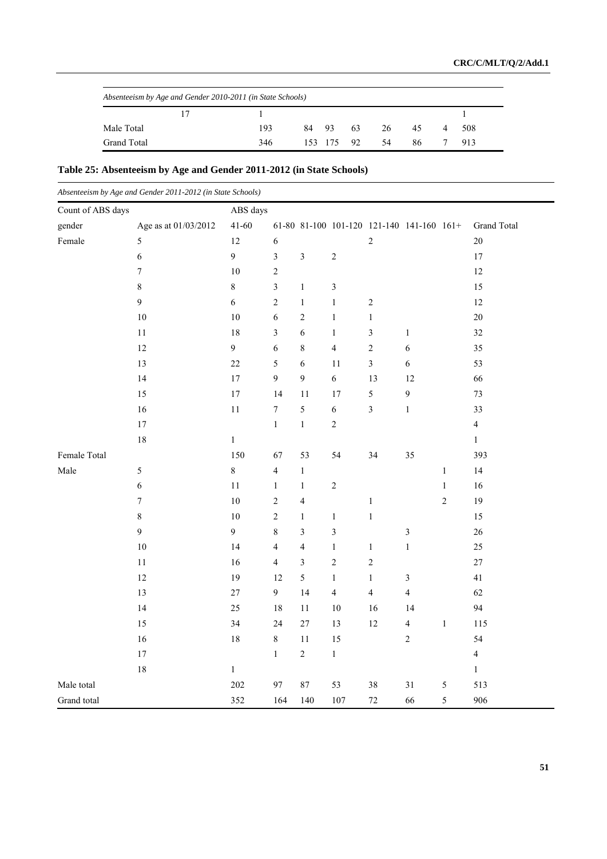| Absenteeism by Age and Gender 2010-2011 (in State Schools) |  |     |  |  |               |             |    |  |       |
|------------------------------------------------------------|--|-----|--|--|---------------|-------------|----|--|-------|
|                                                            |  |     |  |  |               |             |    |  |       |
| Male Total                                                 |  | 193 |  |  |               | 84 93 63 26 | 45 |  | 4 508 |
| Grand Total                                                |  | 346 |  |  | 153 175 92 54 |             | 86 |  | 913   |

# **Table 25: Absenteeism by Age and Gender 2011-2012 (in State Schools)**

| Absenteeism by Age and Gender 2011-2012 (in State Schools) |                      |                  |                          |                         |                |                |                                           |                |                |
|------------------------------------------------------------|----------------------|------------------|--------------------------|-------------------------|----------------|----------------|-------------------------------------------|----------------|----------------|
| Count of ABS days                                          |                      | ABS days         |                          |                         |                |                |                                           |                |                |
| gender                                                     | Age as at 01/03/2012 | $41 - 60$        |                          |                         |                |                | 61-80 81-100 101-120 121-140 141-160 161+ |                | Grand Total    |
| Female                                                     | 5                    | 12               | $\sqrt{6}$               |                         |                | $\overline{c}$ |                                           |                | $20\,$         |
|                                                            | $\boldsymbol{6}$     | $\boldsymbol{9}$ | $\mathfrak{Z}$           | $\mathfrak{Z}$          | $\sqrt{2}$     |                |                                           |                | $17$           |
|                                                            | $\boldsymbol{7}$     | 10               | $\overline{c}$           |                         |                |                |                                           |                | $12\,$         |
|                                                            | $\,$ $\,$            | $\,$ $\,$        | $\mathfrak{Z}$           | $\mathbf{1}$            | $\mathfrak{Z}$ |                |                                           |                | 15             |
|                                                            | 9                    | $\sqrt{6}$       | $\sqrt{2}$               | $\,1$                   | $\mathbf 1$    | $\sqrt{2}$     |                                           |                | $12\,$         |
|                                                            | $10\,$               | $10\,$           | $\epsilon$               | $\overline{c}$          | $\mathbf{1}$   | $\mathbf{1}$   |                                           |                | $20\,$         |
|                                                            | 11                   | 18               | 3                        | 6                       | $\mathbf{1}$   | $\mathfrak{Z}$ | $\,1$                                     |                | 32             |
|                                                            | 12                   | $\mathfrak{g}$   | $\epsilon$               | $\,8\,$                 | $\sqrt{4}$     | $\overline{c}$ | 6                                         |                | 35             |
|                                                            | 13                   | $22\,$           | 5                        | 6                       | 11             | $\mathfrak{Z}$ | 6                                         |                | 53             |
|                                                            | 14                   | 17               | 9                        | 9                       | $\sqrt{6}$     | 13             | 12                                        |                | 66             |
|                                                            | 15                   | $17\,$           | 14                       | 11                      | 17             | $\sqrt{5}$     | 9                                         |                | 73             |
|                                                            | 16                   | $11\,$           | $\boldsymbol{7}$         | 5                       | $\sqrt{6}$     | $\mathfrak{Z}$ | $\,1$                                     |                | 33             |
|                                                            | $17\,$               |                  | $\mathbf{1}$             | $\mathbf{1}$            | $\overline{c}$ |                |                                           |                | $\overline{4}$ |
|                                                            | $18\,$               | $\mathbf{1}$     |                          |                         |                |                |                                           |                | $1\,$          |
| Female Total                                               |                      | 150              | 67                       | 53                      | 54             | 34             | 35                                        |                | 393            |
| Male                                                       | $\sqrt{5}$           | $\,$ $\,$        | $\overline{4}$           | $\mathbf{1}$            |                |                |                                           | $\,1$          | 14             |
|                                                            | $\boldsymbol{6}$     | $11\,$           | $\mathbf{1}$             | $\,1$                   | $\sqrt{2}$     |                |                                           | $\,1$          | 16             |
|                                                            | $\boldsymbol{7}$     | 10               | $\overline{\mathbf{c}}$  | $\overline{4}$          |                | $\mathbf{1}$   |                                           | $\overline{c}$ | 19             |
|                                                            | $\,8\,$              | 10               | $\overline{c}$           | $\mathbf{1}$            | $\mathbf{1}$   | $\mathbf{1}$   |                                           |                | 15             |
|                                                            | 9                    | $\boldsymbol{9}$ | $\,$ 8 $\,$              | 3                       | $\mathfrak{Z}$ |                | 3                                         |                | $26\,$         |
|                                                            | $10\,$               | 14               | $\overline{\mathcal{L}}$ | $\overline{4}$          | $\mathbf 1$    | $\mathbf{1}$   | $\,1$                                     |                | $25\,$         |
|                                                            | $11\,$               | 16               | $\overline{4}$           | $\overline{\mathbf{3}}$ | $\sqrt{2}$     | $\overline{c}$ |                                           |                | $27\,$         |
|                                                            | $12\,$               | 19               | 12                       | 5                       | $\mathbf 1$    | $\mathbf{1}$   | $\mathfrak{Z}$                            |                | $41\,$         |
|                                                            | 13                   | 27               | $\overline{9}$           | 14                      | $\overline{4}$ | $\overline{4}$ | $\overline{\mathbf{4}}$                   |                | 62             |
|                                                            | 14                   | $25\,$           | $1\,8$                   | $11\,$                  | $10\,$         | 16             | 14                                        |                | 94             |
|                                                            | 15                   | 34               | 24                       | $27\,$                  | 13             | $12\,$         | $\overline{\mathbf{4}}$                   | $\,1$          | 115            |
|                                                            | 16                   | 18               | $\,$ 8 $\,$              | $11\,$                  | 15             |                | $\overline{c}$                            |                | 54             |
|                                                            | $17\,$               |                  | $\mathbf{1}$             | $\sqrt{2}$              | $\,1$          |                |                                           |                | $\overline{4}$ |
|                                                            | $18\,$               | $\mathbf{1}$     |                          |                         |                |                |                                           |                | $\mathbf{1}$   |
| Male total                                                 |                      | 202              | 97                       | $87\,$                  | 53             | 38             | 31                                        | 5              | 513            |
| Grand total                                                |                      | 352              | 164                      | 140                     | 107            | $72\,$         | 66                                        | 5              | 906            |